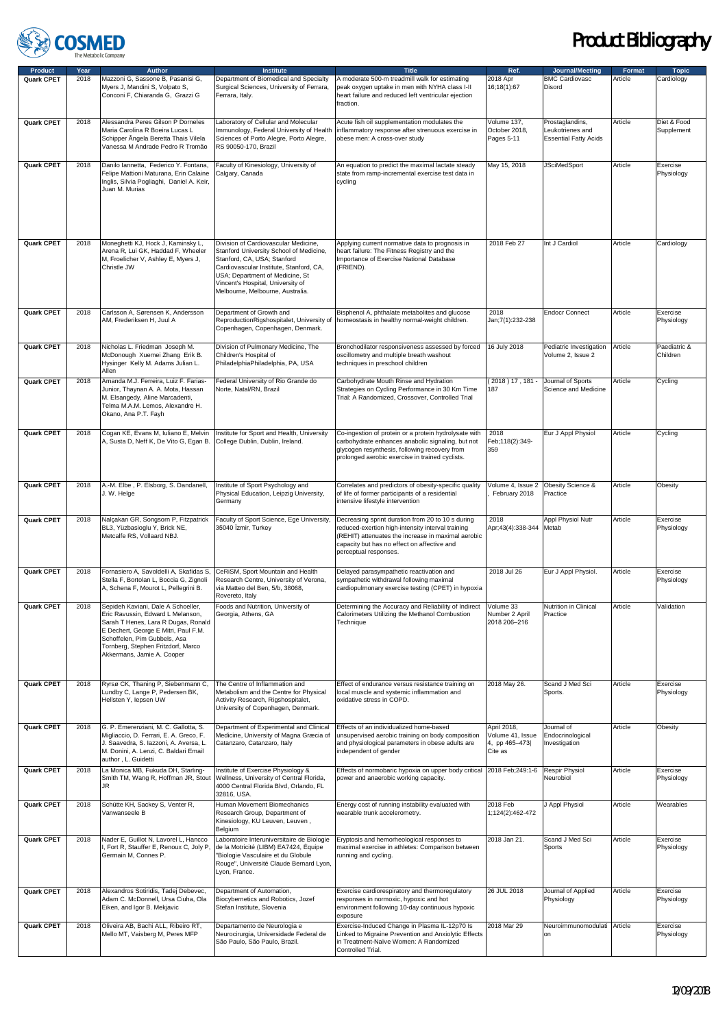

| <b>Product</b>    | Year | <b>Author</b>                                                                                                                                                                                                                                              | <b>Institute</b>                                                                                                                                                                                                                                                      | <b>Title</b>                                                                                                                                                                                                                         | Ref.                                                        | Journal/Meeting                                                     | Format  | <b>Topic</b>              |
|-------------------|------|------------------------------------------------------------------------------------------------------------------------------------------------------------------------------------------------------------------------------------------------------------|-----------------------------------------------------------------------------------------------------------------------------------------------------------------------------------------------------------------------------------------------------------------------|--------------------------------------------------------------------------------------------------------------------------------------------------------------------------------------------------------------------------------------|-------------------------------------------------------------|---------------------------------------------------------------------|---------|---------------------------|
| Quark CPET        | 2018 | Mazzoni G, Sassone B, Pasanisi G,<br>Myers J, Mandini S, Volpato S,<br>Conconi F, Chiaranda G, Grazzi G                                                                                                                                                    | Department of Biomedical and Specialty<br>Surgical Sciences, University of Ferrara,<br>Ferrara, Italy.                                                                                                                                                                | A moderate 500-m treadmill walk for estimating<br>peak oxygen uptake in men with NYHA class I-II<br>heart failure and reduced left ventricular ejection<br>fraction.                                                                 | 2018 Apr<br>16;18(1):67                                     | <b>BMC Cardiovasc</b><br>Disord                                     | Article | Cardiology                |
| Quark CPET        | 2018 | Alessandra Peres Gilson P Dorneles<br>Maria Carolina R Boeira Lucas L<br>Schipper Ângela Beretta Thais Vilela<br>Vanessa M Andrade Pedro R Tromão                                                                                                          | Laboratory of Cellular and Molecular<br>Immunology, Federal University of Health<br>Sciences of Porto Alegre, Porto Alegre,<br>RS 90050-170, Brazil                                                                                                                   | Acute fish oil supplementation modulates the<br>inflammatory response after strenuous exercise in<br>obese men: A cross-over study                                                                                                   | Volume 137,<br>October 2018,<br>Pages 5-11                  | Prostaglandins,<br>Leukotrienes and<br><b>Essential Fatty Acids</b> | Article | Diet & Food<br>Supplement |
| Quark CPET        | 2018 | Danilo lannetta, Federico Y. Fontana,<br>Felipe Mattioni Maturana, Erin Calaine<br>Inglis, Silvia Pogliaghi, Daniel A. Keir,<br>Juan M. Murias                                                                                                             | Faculty of Kinesiology, University of<br>Calgary, Canada                                                                                                                                                                                                              | An equation to predict the maximal lactate steady<br>state from ramp-incremental exercise test data in<br>cycling                                                                                                                    | May 15, 2018                                                | <b>JSciMedSport</b>                                                 | Article | Exercise<br>Physiology    |
| Quark CPET        | 2018 | Moneghetti KJ, Hock J, Kaminsky L,<br>Arena R, Lui GK, Haddad F, Wheeler<br>M, Froelicher V, Ashley E, Myers J,<br>Christle JW                                                                                                                             | Division of Cardiovascular Medicine,<br>Stanford University School of Medicine,<br>Stanford, CA, USA; Stanford<br>Cardiovascular Institute, Stanford, CA,<br>USA; Department of Medicine, St<br>Vincent's Hospital, University of<br>Melbourne, Melbourne, Australia. | Applying current normative data to prognosis in<br>heart failure: The Fitness Registry and the<br>Importance of Exercise National Database<br>(FRIEND).                                                                              | 2018 Feb 27                                                 | Int J Cardiol                                                       | Article | Cardiology                |
| Quark CPET        | 2018 | Carlsson A, Sørensen K, Andersson<br>AM. Frederiksen H. Juul A                                                                                                                                                                                             | Department of Growth and<br>ReproductionRigshospitalet, University of<br>Copenhagen, Copenhagen, Denmark.                                                                                                                                                             | Bisphenol A, phthalate metabolites and glucose<br>homeostasis in healthy normal-weight children.                                                                                                                                     | 2018<br>Jan;7(1):232-238                                    | <b>Endocr Connect</b>                                               | Article | Exercise<br>Physiology    |
| Quark CPET        | 2018 | Nicholas L. Friedman Joseph M.<br>McDonough Xuemei Zhang Erik B.<br>Hysinger Kelly M. Adams Julian L.<br>Allen                                                                                                                                             | Division of Pulmonary Medicine, The<br>Children's Hospital of<br>PhiladelphiaPhiladelphia, PA, USA                                                                                                                                                                    | Bronchodilator responsiveness assessed by forced<br>oscillometry and multiple breath washout<br>techniques in preschool children                                                                                                     | 16 July 2018                                                | Pediatric Investigation<br>Volume 2, Issue 2                        | Article | Paediatric &<br>Children  |
| Quark CPET        | 2018 | Amanda M.J. Ferreira, Luiz F. Farias-<br>Junior, Thaynan A. A. Mota, Hassan<br>M. Elsangedy, Aline Marcadenti,<br>Telma M.A.M. Lemos, Alexandre H.<br>Okano, Ana P.T. Fayh                                                                                 | Federal University of Rio Grande do<br>Norte, Natal/RN, Brazil                                                                                                                                                                                                        | Carbohydrate Mouth Rinse and Hydration<br>Strategies on Cycling Performance in 30 Km Time<br>Trial: A Randomized, Crossover, Controlled Trial                                                                                        | $(2018)17,181-$<br>187                                      | Journal of Sports<br>Science and Medicine                           | Article | Cycling                   |
| Quark CPET        | 2018 | Cogan KE, Evans M, Iuliano E, Melvin<br>A, Susta D, Neff K, De Vito G, Egan B.                                                                                                                                                                             | Institute for Sport and Health, University<br>College Dublin, Dublin, Ireland.                                                                                                                                                                                        | Co-ingestion of protein or a protein hydrolysate with<br>carbohydrate enhances anabolic signaling, but not<br>glycogen resynthesis, following recovery from<br>prolonged aerobic exercise in trained cyclists.                       | 2018<br>Feb;118(2):349-<br>359                              | Eur J Appl Physiol                                                  | Article | Cycling                   |
| Quark CPET        | 2018 | A.-M. Elbe, P. Elsborg, S. Dandanell,<br>J. W. Helge                                                                                                                                                                                                       | Institute of Sport Psychology and<br>Physical Education, Leipzig University,<br>Germany                                                                                                                                                                               | Correlates and predictors of obesity-specific quality<br>of life of former participants of a residential<br>intensive lifestyle intervention                                                                                         | Volume 4, Issue 2<br>February 2018                          | Obesity Science &<br>Practice                                       | Article | Obesity                   |
| Quark CPET        | 2018 | Nalçakan GR, Songsorn P, Fitzpatrick<br>BL3, Yüzbasioglu Y, Brick NE,<br>Metcalfe RS, Vollaard NBJ.                                                                                                                                                        | Faculty of Sport Science, Ege University,<br>35040 İzmir, Turkey                                                                                                                                                                                                      | Decreasing sprint duration from 20 to 10 s during<br>reduced-exertion high-intensity interval training<br>(REHIT) attenuates the increase in maximal aerobic<br>capacity but has no effect on affective and<br>perceptual responses. | 2018<br>Apr;43(4):338-344                                   | Appl Physiol Nutr<br>Metab                                          | Article | Exercise<br>Physiology    |
| Quark CPET        | 2018 | Fornasiero A, Savoldelli A, Skafidas S,<br>Stella F, Bortolan L, Boccia G, Zignoli<br>A, Schena F, Mourot L, Pellegrini B.                                                                                                                                 | CeRiSM, Sport Mountain and Health<br>Research Centre, University of Verona,<br>via Matteo del Ben, 5/b, 38068,<br>Rovereto, Italy                                                                                                                                     | Delayed parasympathetic reactivation and<br>sympathetic withdrawal following maximal<br>cardiopulmonary exercise testing (CPET) in hypoxia                                                                                           | 2018 Jul 26                                                 | Eur J Appl Physiol.                                                 | Article | Exercise<br>Physiology    |
| Quark CPET        | 2018 | Sepideh Kaviani, Dale A Schoeller,<br>Eric Ravussin, Edward L Melanson,<br>Sarah T Henes, Lara R Dugas, Ronald<br>E Dechert, George E Mitri, Paul F.M.<br>Schoffelen, Pim Gubbels, Asa<br>Tornberg, Stephen Fritzdorf, Marco<br>Akkermans, Jamie A. Cooper | Foods and Nutrition, University of<br>Georgia, Athens, GA                                                                                                                                                                                                             | Determining the Accuracy and Reliability of Indirect Volume 33<br>Calorimeters Utilizing the Methanol Combustion<br>Technique                                                                                                        | Number 2 April<br>2018 206-216                              | Nutrition in Clinical<br>Practice                                   | Article | Validation                |
| Quark CPET        | 2018 | Ryrsø CK, Thaning P, Siebenmann C,<br>Lundby C, Lange P, Pedersen BK,<br>Hellsten Y, lepsen UW                                                                                                                                                             | The Centre of Inflammation and<br>Metabolism and the Centre for Physical<br>Activity Research, Rigshospitalet,<br>University of Copenhagen, Denmark.                                                                                                                  | Effect of endurance versus resistance training on<br>local muscle and systemic inflammation and<br>oxidative stress in COPD.                                                                                                         | 2018 May 26.                                                | Scand J Med Sci<br>Sports.                                          | Article | Exercise<br>Physiology    |
| Quark CPET        | 2018 | G. P. Emerenziani, M. C. Gallotta, S.<br>Migliaccio, D. Ferrari, E. A. Greco, F.<br>J. Saavedra, S. lazzoni, A. Aversa, L.<br>M. Donini, A. Lenzi, C. Baldari Email<br>author, L. Guidetti                                                                 | Department of Experimental and Clinical<br>Medicine, University of Magna Græcia of<br>Catanzaro, Catanzaro, Italy                                                                                                                                                     | Effects of an individualized home-based<br>unsupervised aerobic training on body composition<br>and physiological parameters in obese adults are<br>independent of gender                                                            | April 2018,<br>Volume 41, Issue<br>4, pp 465-473<br>Cite as | Journal of<br>Endocrinological<br>Investigation                     | Article | Obesity                   |
| <b>Quark CPET</b> | 2018 | La Monica MB, Fukuda DH, Starling-<br>Smith TM, Wang R, Hoffman JR, Stout<br>JR.                                                                                                                                                                           | Institute of Exercise Physiology &<br>Wellness, University of Central Florida,<br>4000 Central Florida Blvd, Orlando, FL<br>32816, USA.                                                                                                                               | Effects of normobaric hypoxia on upper body critical 2018 Feb;249:1-6<br>power and anaerobic working capacity.                                                                                                                       |                                                             | Respir Physiol<br>Neurobiol                                         | Article | Exercise<br>Physiology    |
| Quark CPET        | 2018 | Schütte KH, Sackey S, Venter R,<br>Vanwanseele B                                                                                                                                                                                                           | Human Movement Biomechanics<br>Research Group, Department of<br>Kinesiology, KU Leuven, Leuven,<br>Belgium                                                                                                                                                            | Energy cost of running instability evaluated with<br>wearable trunk accelerometry.                                                                                                                                                   | 2018 Feb<br>1;124(2):462-472                                | J Appl Physiol                                                      | Article | Wearables                 |
| Quark CPET        | 2018 | Nader E, Guillot N, Lavorel L, Hancco<br>I, Fort R, Stauffer E, Renoux C, Joly P,<br>Germain M, Connes P.                                                                                                                                                  | Laboratoire Interuniversitaire de Biologie<br>de la Motricité (LIBM) EA7424, Équipe<br>"Biologie Vasculaire et du Globule<br>Rouge", Université Claude Bernard Lyon,<br>Lyon, France.                                                                                 | Eryptosis and hemorheological responses to<br>maximal exercise in athletes: Comparison between<br>running and cycling.                                                                                                               | 2018 Jan 21.                                                | Scand J Med Sci<br>Sports                                           | Article | Exercise<br>Physiology    |
| Quark CPET        | 2018 | Alexandros Sotiridis, Tadej Debevec,<br>Adam C. McDonnell, Ursa Ciuha, Ola<br>Eiken, and Igor B. Mekjavic                                                                                                                                                  | Department of Automation,<br>Biocybernetics and Robotics, Jozef<br>Stefan Institute, Slovenia                                                                                                                                                                         | Exercise cardiorespiratory and thermoregulatory<br>responses in normoxic, hypoxic and hot<br>environment following 10-day continuous hypoxic<br>exposure                                                                             | 26 JUL 2018                                                 | Journal of Applied<br>Physiology                                    | Article | Exercise<br>Physiology    |
| Quark CPET        | 2018 | Oliveira AB, Bachi ALL, Ribeiro RT,<br>Mello MT, Vaisberg M, Peres MFP                                                                                                                                                                                     | Departamento de Neurologia e<br>Neurocirurgia, Universidade Federal de<br>São Paulo, São Paulo, Brazil.                                                                                                                                                               | Exercise-Induced Change in Plasma IL-12p70 Is<br>Linked to Migraine Prevention and Anxiolytic Effects<br>in Treatment-Naïve Women: A Randomized<br>Controlled Trial.                                                                 | 2018 Mar 29                                                 | Neuroimmunomodulati Article<br>on                                   |         | Exercise<br>Physiology    |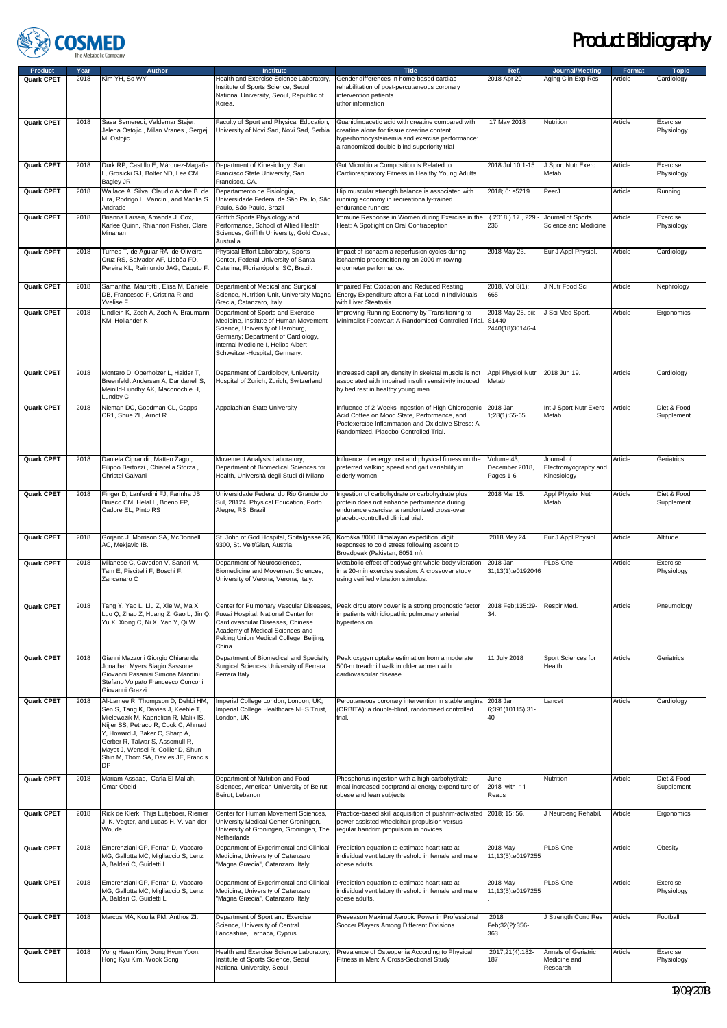

| <b>Product</b>    | Year | <b>Author</b>                                                                                                                                                                                                                                                                                                           | <b>Institute</b>                                                                                                                                                                                                            | <b>Title</b>                                                                                                                                                                                     | Ref.                                            | Journal/Meeting                                   | Format  | <b>Topic</b>              |
|-------------------|------|-------------------------------------------------------------------------------------------------------------------------------------------------------------------------------------------------------------------------------------------------------------------------------------------------------------------------|-----------------------------------------------------------------------------------------------------------------------------------------------------------------------------------------------------------------------------|--------------------------------------------------------------------------------------------------------------------------------------------------------------------------------------------------|-------------------------------------------------|---------------------------------------------------|---------|---------------------------|
| Quark CPET        | 2018 | Kim YH, So WY                                                                                                                                                                                                                                                                                                           | Health and Exercise Science Laboratory,<br>Institute of Sports Science, Seoul<br>National University, Seoul, Republic of<br>Korea.                                                                                          | Gender differences in home-based cardiac<br>rehabilitation of post-percutaneous coronary<br>intervention patients.<br>uthor information                                                          | 2018 Apr 20                                     | Aging Clin Exp Res                                | Article | Cardiology                |
| Quark CPET        | 2018 | Sasa Semeredi, Valdemar Stajer,<br>Jelena Ostojic, Milan Vranes, Sergej<br>M. Ostojic                                                                                                                                                                                                                                   | Faculty of Sport and Physical Education,<br>University of Novi Sad, Novi Sad, Serbia                                                                                                                                        | Guanidinoacetic acid with creatine compared with<br>creatine alone for tissue creatine content,<br>hyperhomocysteinemia and exercise performance:<br>a randomized double-blind superiority trial | 17 May 2018                                     | Nutrition                                         | Article | Exercise<br>Physiology    |
| Quark CPET        | 2018 | Durk RP, Castillo E, Márquez-Magaña<br>L, Grosicki GJ, Bolter ND, Lee CM,<br>Bagley JR                                                                                                                                                                                                                                  | Department of Kinesiology, San<br>Francisco State University, San<br>Francisco, CA.                                                                                                                                         | Gut Microbiota Composition is Related to<br>Cardiorespiratory Fitness in Healthy Young Adults.                                                                                                   | 2018 Jul 10:1-15                                | J Sport Nutr Exerc<br>Metab.                      | Article | Exercise<br>Physiology    |
| Quark CPET        | 2018 | Wallace A. Silva, Claudio Andre B. de<br>Lira, Rodrigo L. Vancini, and Marilia S.<br>Andrade                                                                                                                                                                                                                            | Departamento de Fisiologia,<br>Universidade Federal de São Paulo, São<br>Paulo, São Paulo, Brazil                                                                                                                           | Hip muscular strength balance is associated with<br>running economy in recreationally-trained<br>endurance runners                                                                               | 2018; 6: e5219.                                 | PeerJ.                                            | Article | Running                   |
| Quark CPET        | 2018 | Brianna Larsen, Amanda J. Cox,<br>Karlee Quinn, Rhiannon Fisher, Clare<br>Minahan                                                                                                                                                                                                                                       | Griffith Sports Physiology and<br>Performance, School of Allied Health<br>Sciences, Griffith University, Gold Coast,<br>Australia                                                                                           | Immune Response in Women during Exercise in the<br>Heat: A Spotlight on Oral Contraception                                                                                                       | (2018)17,229<br>236                             | Journal of Sports<br>Science and Medicine         | Article | Exercise<br>Physiology    |
| Quark CPET        | 2018 | Turnes T, de Aguiar RA, de Oliveira<br>Cruz RS, Salvador AF, Lisbôa FD,<br>Pereira KL, Raimundo JAG, Caputo F.                                                                                                                                                                                                          | Physical Effort Laboratory, Sports<br>Center, Federal University of Santa<br>Catarina, Florianópolis, SC, Brazil.                                                                                                           | Impact of ischaemia-reperfusion cycles during<br>ischaemic preconditioning on 2000-m rowing<br>ergometer performance.                                                                            | 2018 May 23.                                    | Eur J Appl Physiol.                               | Article | Cardiology                |
| Quark CPET        | 2018 | Samantha Maurotti, Elisa M, Daniele<br>DB, Francesco P, Cristina R and<br>Yvelise F                                                                                                                                                                                                                                     | Department of Medical and Surgical<br>Science, Nutrition Unit, University Magna<br>Grecia, Catanzaro, Italy                                                                                                                 | Impaired Fat Oxidation and Reduced Resting<br>Energy Expenditure after a Fat Load in Individuals<br>with Liver Steatosis                                                                         | 2018, Vol 8(1):<br>665                          | J Nutr Food Sci                                   | Article | Nephrology                |
| Quark CPET        | 2018 | Lindlein K, Zech A, Zoch A, Braumann<br>KM, Hollander K                                                                                                                                                                                                                                                                 | Department of Sports and Exercise<br>Medicine, Institute of Human Movement<br>Science, University of Hamburg.<br>Germany; Department of Cardiology,<br>Internal Medicine I, Helios Albert-<br>Schweitzer-Hospital, Germany. | Improving Running Economy by Transitioning to<br>Minimalist Footwear: A Randomised Controlled Trial                                                                                              | 2018 May 25. pii:<br>S1440-<br>2440(18)30146-4. | J Sci Med Sport.                                  | Article | Ergonomics                |
| Quark CPET        | 2018 | Montero D, Oberholzer L, Haider T,<br>Breenfeldt Andersen A, Dandanell S,<br>Meinild-Lundby AK, Maconochie H,<br>Lundby C                                                                                                                                                                                               | Department of Cardiology, University<br>Hospital of Zurich, Zurich, Switzerland                                                                                                                                             | Increased capillary density in skeletal muscle is not<br>associated with impaired insulin sensitivity induced<br>by bed rest in healthy young men.                                               | Appl Physiol Nutr<br>Metab                      | 2018 Jun 19.                                      | Article | Cardiology                |
| <b>Quark CPET</b> | 2018 | Nieman DC, Goodman CL, Capps<br>CR1, Shue ZL, Arnot R                                                                                                                                                                                                                                                                   | Appalachian State University                                                                                                                                                                                                | Influence of 2-Weeks Ingestion of High Chlorogenic<br>Acid Coffee on Mood State, Performance, and<br>Postexercise Inflammation and Oxidative Stress: A<br>Randomized, Placebo-Controlled Trial.  | 2018 Jan<br>1:28(1):55-65                       | Int J Sport Nutr Exerc<br>Metab                   | Article | Diet & Food<br>Supplement |
| Quark CPET        | 2018 | Daniela Ciprandi, Matteo Zago,<br>Filippo Bertozzi, Chiarella Sforza,<br>Christel Galvani                                                                                                                                                                                                                               | Movement Analysis Laboratory,<br>Department of Biomedical Sciences for<br>Health, Università degli Studi di Milano                                                                                                          | Influence of energy cost and physical fitness on the<br>preferred walking speed and gait variability in<br>elderly women                                                                         | Volume 43,<br>December 2018,<br>Pages 1-6       | Journal of<br>Electromyography and<br>Kinesiology | Article | Geriatrics                |
| Quark CPET        | 2018 | Finger D, Lanferdini FJ, Farinha JB,<br>Brusco CM, Helal L, Boeno FP,<br>Cadore EL, Pinto RS                                                                                                                                                                                                                            | Universidade Federal do Rio Grande do<br>Sul, 28124, Physical Education, Porto<br>Alegre, RS, Brazil                                                                                                                        | Ingestion of carbohydrate or carbohydrate plus<br>protein does not enhance performance during<br>endurance exercise: a randomized cross-over<br>placebo-controlled clinical trial.               | 2018 Mar 15.                                    | Appl Physiol Nutr<br>Metab                        | Article | Diet & Food<br>Supplement |
| Quark CPET        | 2018 | Gorjanc J, Morrison SA, McDonnell<br>AC, Mekjavic IB.                                                                                                                                                                                                                                                                   | St. John of God Hospital, Spitalgasse 26,<br>9300, St. Veit/Glan, Austria.                                                                                                                                                  | Koroška 8000 Himalayan expedition: digit<br>responses to cold stress following ascent to<br>Broadpeak (Pakistan, 8051 m).                                                                        | 2018 May 24.                                    | Eur J Appl Physiol.                               | Article | Altitude                  |
| <b>Quark CPET</b> | 2018 | Milanese C, Cavedon V, Sandri M,<br>Tam E, Piscitelli F, Boschi F,<br>Zancanaro C                                                                                                                                                                                                                                       | Department of Neurosciences,<br>Biomedicine and Movement Sciences,<br>University of Verona, Verona, Italy.                                                                                                                  | Metabolic effect of bodyweight whole-body vibration<br>in a 20-min exercise session: A crossover study<br>using verified vibration stimulus.                                                     | 2018 Jan<br>31;13(1):e0192046                   | PLoS One                                          | Article | Exercise<br>Physiology    |
| Quark CPET        | 2018 | Tang Y, Yao L, Liu Z, Xie W, Ma X,<br>Yu X, Xiong C, Ni X, Yan Y, Qi W                                                                                                                                                                                                                                                  | Luo Q. Zhao Z. Huang Z. Gao L. Jin Q.   Fuwai Hospital. National Center for<br>Cardiovascular Diseases, Chinese<br>Academy of Medical Sciences and<br>Peking Union Medical College, Beijing,<br>China                       | Center for Pulmonary Vascular Diseases, Peak circulatory power is a strong prognostic factor<br>in patients with idiopathic pulmonary arterial<br>hypertension.                                  | 2018 Feb; 135:29-<br>34.                        | Respir Med.                                       | Article | Pneumology                |
| Quark CPET        | 2018 | Gianni Mazzoni Giorgio Chiaranda<br>Jonathan Myers Biagio Sassone<br>Giovanni Pasanisi Simona Mandini<br>Stefano Volpato Francesco Conconi<br>Giovanni Grazzi                                                                                                                                                           | Department of Biomedical and Specialty<br>Surgical Sciences University of Ferrara<br>Ferrara Italy                                                                                                                          | Peak oxygen uptake estimation from a moderate<br>500-m treadmill walk in older women with<br>cardiovascular disease                                                                              | 11 July 2018                                    | Sport Sciences for<br>Health                      | Article | Geriatrics                |
| Quark CPET        | 2018 | Al-Lamee R, Thompson D, Dehbi HM,<br>Sen S, Tang K, Davies J, Keeble T,<br>Mielewczik M, Kaprielian R, Malik IS,<br>Nijjer SS, Petraco R, Cook C, Ahmad<br>Y, Howard J, Baker C, Sharp A,<br>Gerber R, Talwar S, Assomull R,<br>Mayet J, Wensel R, Collier D, Shun-<br>Shin M, Thom SA, Davies JE, Francis<br><b>DP</b> | Imperial College London, London, UK;<br>Imperial College Healthcare NHS Trust,<br>London, UK                                                                                                                                | Percutaneous coronary intervention in stable angina<br>(ORBITA): a double-blind, randomised controlled<br>trial.                                                                                 | 2018 Jan<br>6;391(10115):31-<br>40              | Lancet                                            | Article | Cardiology                |
| Quark CPET        | 2018 | Mariam Assaad, Carla El Mallah,<br>Omar Obeid                                                                                                                                                                                                                                                                           | Department of Nutrition and Food<br>Sciences, American University of Beirut,<br>Beirut, Lebanon                                                                                                                             | Phosphorus ingestion with a high carbohydrate<br>meal increased postprandial energy expenditure of<br>obese and lean subjects                                                                    | June<br>2018 with 11<br>Reads                   | Nutrition                                         | Article | Diet & Food<br>Supplement |
| Quark CPET        | 2018 | Rick de Klerk, Thijs Lutjeboer, Riemer<br>J. K. Vegter, and Lucas H. V. van der<br>Woude                                                                                                                                                                                                                                | Center for Human Movement Sciences,<br>University Medical Center Groningen,<br>University of Groningen, Groningen, The<br>Netherlands                                                                                       | Practice-based skill acquisition of pushrim-activated<br>power-assisted wheelchair propulsion versus<br>regular handrim propulsion in novices                                                    | 2018; 15: 56.                                   | J Neuroeng Rehabil.                               | Article | Ergonomics                |
| Quark CPET        | 2018 | Emerenziani GP, Ferrari D, Vaccaro<br>MG, Gallotta MC, Migliaccio S, Lenzi<br>A, Baldari C, Guidetti L.                                                                                                                                                                                                                 | Department of Experimental and Clinical<br>Medicine, University of Catanzaro<br>"Magna Græcia", Catanzaro, Italy.                                                                                                           | Prediction equation to estimate heart rate at<br>individual ventilatory threshold in female and male<br>obese adults.                                                                            | 2018 May<br>11;13(5):e0197255                   | PLoS One.                                         | Article | Obesity                   |
| Quark CPET        | 2018 | Emerenziani GP, Ferrari D, Vaccaro<br>MG, Gallotta MC, Migliaccio S, Lenzi<br>A, Baldari C, Guidetti L                                                                                                                                                                                                                  | Department of Experimental and Clinical<br>Medicine, University of Catanzaro<br>"Magna Græcia", Catanzaro, Italy                                                                                                            | Prediction equation to estimate heart rate at<br>individual ventilatory threshold in female and male<br>obese adults.                                                                            | 2018 May<br>11;13(5):e0197255                   | PLoS One.                                         | Article | Exercise<br>Physiology    |
| Quark CPET        | 2018 | Marcos MA, Koulla PM, Anthos ZI.                                                                                                                                                                                                                                                                                        | Department of Sport and Exercise<br>Science, University of Central<br>Lancashire, Larnaca, Cyprus.                                                                                                                          | Preseason Maximal Aerobic Power in Professional<br>Soccer Players Among Different Divisions.                                                                                                     | 2018<br>Feb;32(2):356-<br>363.                  | J Strength Cond Res                               | Article | Football                  |
| Quark CPET        | 2018 | Yong Hwan Kim, Dong Hyun Yoon,<br>Hong Kyu Kim, Wook Song                                                                                                                                                                                                                                                               | Health and Exercise Science Laboratory,<br>Institute of Sports Science, Seoul<br>National University, Seoul                                                                                                                 | Prevalence of Osteopenia According to Physical<br>Fitness in Men: A Cross-Sectional Study                                                                                                        | 2017;21(4):182-<br>187                          | Annals of Geriatric<br>Medicine and<br>Research   | Article | Exercise<br>Physiology    |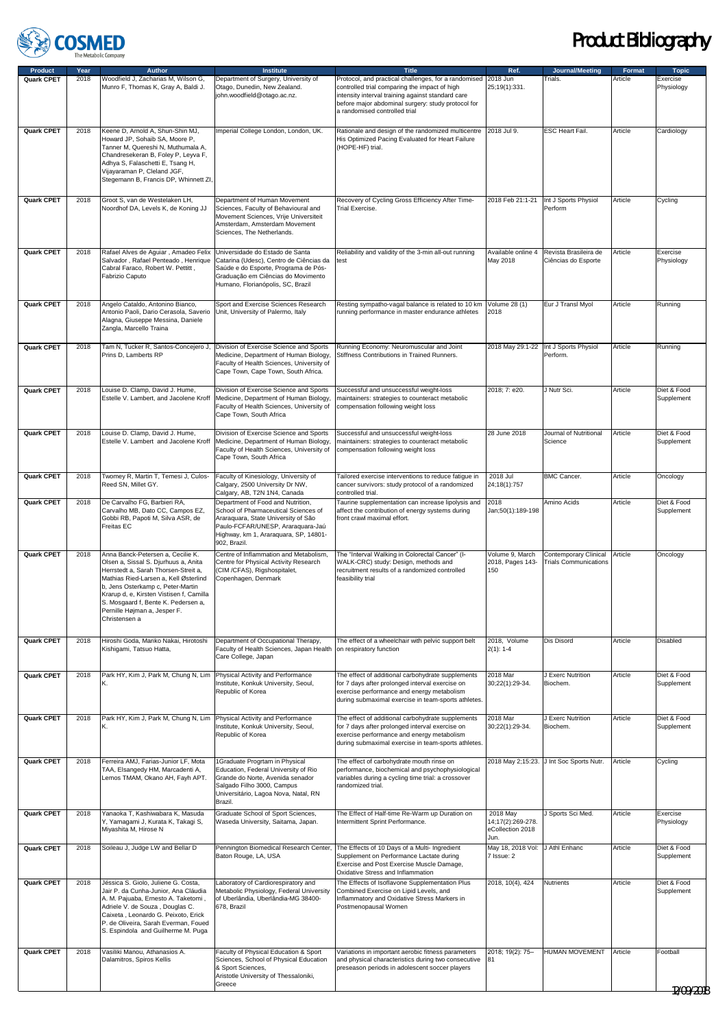

| Protocol, and practical challenges, for a randomised 2018 Jun<br>Munro F, Thomas K, Gray A, Baldi J.<br>Otago, Dunedin, New Zealand.<br>controlled trial comparing the impact of high<br>25:19(1):331.<br>Physiology<br>john.woodfield@otago.ac.nz.<br>intensity interval training against standard care<br>before major abdominal surgery: study protocol for<br>a randomised controlled trial<br>2018<br>Keene D, Arnold A, Shun-Shin MJ,<br>2018 Jul 9.<br>ESC Heart Fail.<br>Article<br>Quark CPET<br>Imperial College London, London, UK.<br>Rationale and design of the randomized multicentre<br>Cardiology<br>Howard JP, Sohaib SA, Moore P,<br>His Optimized Pacing Evaluated for Heart Failure<br>Tanner M, Quereshi N, Muthumala A,<br>(HOPE-HF) trial.<br>Chandresekeran B, Foley P, Leyva F,<br>Adhya S, Falaschetti E, Tsang H,<br>Vijayaraman P, Cleland JGF,<br>Stegemann B, Francis DP, Whinnett ZI,<br>Quark CPET<br>2018<br>Groot S, van de Westelaken LH,<br>Recovery of Cycling Gross Efficiency After Time-<br>2018 Feb 21:1-21<br>Int J Sports Physiol<br>Department of Human Movement<br>Article<br>Cycling<br>Perform<br>Noordhof DA, Levels K, de Koning JJ<br>Sciences, Faculty of Behavioural and<br>Trial Exercise.<br>Movement Sciences, Vrije Universiteit<br>Amsterdam, Amsterdam Movement<br>Sciences, The Netherlands.<br>Quark CPET<br>2018<br>Rafael Alves de Aguiar, Amadeo Felix<br>Universidade do Estado de Santa<br>Reliability and validity of the 3-min all-out running<br>Available online 4<br>Revista Brasileira de<br>Article<br>Exercise<br>Salvador, Rafael Penteado, Henrique<br>Ciências do Esporte<br>Catarina (Udesc), Centro de Ciências da<br>May 2018<br>Physiology<br>test<br>Cabral Faraco, Robert W. Pettitt,<br>Saúde e do Esporte, Programa de Pós-<br>Fabrizio Caputo<br>Graduação em Ciências do Movimento<br>Humano, Florianópolis, SC, Brazil<br>Quark CPET<br>2018<br>Angelo Cataldo, Antonino Bianco,<br>Sport and Exercise Sciences Research<br>Resting sympatho-vagal balance is related to 10 km<br>Volume 28 (1)<br>Eur J Transl Myol<br>Article<br>Running<br>2018<br>Antonio Paoli, Dario Cerasola, Saverio<br>Unit, University of Palermo, Italy<br>running performance in master endurance athletes<br>Alagna, Giuseppe Messina, Daniele<br>Zangla, Marcello Traina<br>2018<br>Tam N, Tucker R, Santos-Concejero J,<br>Division of Exercise Science and Sports<br>Running Economy: Neuromuscular and Joint<br>2018 May 29:1-22<br>Int J Sports Physiol<br>Article<br>Quark CPET<br>Running<br>Medicine, Department of Human Biology,<br>Stiffness Contributions in Trained Runners.<br>Perform.<br>Prins D, Lamberts RP<br>Faculty of Health Sciences, University of<br>Cape Town, Cape Town, South Africa.<br>Quark CPET<br>2018<br>Louise D. Clamp, David J. Hume,<br>Division of Exercise Science and Sports<br>2018; 7: e20.<br>J Nutr Sci.<br>Diet & Food<br>Successful and unsuccessful weight-loss<br>Article<br>Estelle V. Lambert, and Jacolene Kroff<br>Medicine, Department of Human Biology,<br>maintainers: strategies to counteract metabolic<br>Supplement<br>Faculty of Health Sciences, University of<br>compensation following weight loss<br>Cape Town, South Africa<br>Louise D. Clamp, David J. Hume,<br>Successful and unsuccessful weight-loss<br>Journal of Nutritional<br>Article<br>Diet & Food<br>Quark CPET<br>2018<br>Division of Exercise Science and Sports<br>28 June 2018<br>Estelle V. Lambert and Jacolene Kroff<br>Medicine, Department of Human Biology,<br>maintainers: strategies to counteract metabolic<br>Science<br>Supplement<br>Faculty of Health Sciences, University of<br>compensation following weight loss<br>Cape Town, South Africa<br>Quark CPET<br>2018<br>Twomey R, Martin T, Temesi J, Culos-<br>Faculty of Kinesiology, University of<br>2018 Jul<br><b>BMC Cancer.</b><br>Tailored exercise interventions to reduce fatigue in<br>Article<br>Oncology<br>Reed SN, Millet GY.<br>Calgary, 2500 University Dr NW,<br>cancer survivors: study protocol of a randomized<br>24;18(1):757<br>Calgary, AB, T2N 1N4, Canada<br>controlled trial.<br>2018<br>De Carvalho FG, Barbieri RA,<br>Department of Food and Nutrition,<br>Taurine supplementation can increase lipolysis and<br>2018<br>Amino Acids<br>Article<br>Diet & Food<br>Quark CPET<br>Carvalho MB, Dato CC, Campos EZ,<br>School of Pharmaceutical Sciences of<br>affect the contribution of energy systems during<br>Jan;50(1):189-198<br>Supplement<br>Gobbi RB, Papoti M, Silva ASR, de<br>Araraquara, State University of São<br>front crawl maximal effort.<br>Freitas EC<br>Paulo-FCFAR/UNESP, Araraquara-Jaú<br>Highway, km 1, Araraquara, SP, 14801-<br>902, Brazil.<br>Quark CPET<br>Centre of Inflammation and Metabolism,<br>The "Interval Walking in Colorectal Cancer" (I-<br>Volume 9, March<br>Contemporary Clinical<br>2018<br>Anna Banck-Petersen a. Cecilie K.<br>Article<br>Oncology<br>WALK-CRC) study: Design, methods and<br>2018, Pages 143-<br>Olsen a, Sissal S. Djurhuus a, Anita<br>Centre for Physical Activity Research<br><b>Trials Communications</b><br>(CIM/CFAS), Rigshospitalet,<br>recruitment results of a randomized controlled<br>Herrstedt a, Sarah Thorsen-Streit a,<br>150<br>Mathias Ried-Larsen a, Kell Østerlind<br>Copenhagen, Denmark<br>feasibility trial<br>b, Jens Osterkamp c, Peter-Martin<br>Krarup d, e, Kirsten Vistisen f, Camilla<br>S. Mosgaard f, Bente K. Pedersen a,<br>Pernille Højman a, Jesper F.<br>Christensen a<br>2018<br>2018, Volume<br>Dis Disord<br>Article<br>Disabled<br>Quark CPET<br>Hiroshi Goda, Mariko Nakai, Hirotoshi<br>Department of Occupational Therapy,<br>The effect of a wheelchair with pelvic support belt<br>Faculty of Health Sciences, Japan Health<br>Kishigami, Tatsuo Hatta,<br>on respiratory function<br>$2(1): 1-4$<br>Care College, Japan<br>Quark CPET<br>2018<br>Park HY, Kim J, Park M, Chung N, Lim Physical Activity and Performance<br>2018 Mar<br>J Exerc Nutrition<br>Diet & Food<br>The effect of additional carbohydrate supplements<br>Article<br>Institute, Konkuk University, Seoul,<br>30;22(1):29-34.<br>Biochem.<br>Κ.<br>for 7 days after prolonged interval exercise on<br>Supplement<br>Republic of Korea<br>exercise performance and energy metabolism<br>during submaximal exercise in team-sports athletes.<br><b>Quark CPET</b><br>2018<br>Park HY, Kim J, Park M, Chung N, Lim Physical Activity and Performance<br>2018 Mar<br>J Exerc Nutrition<br>Article<br>Diet & Food<br>The effect of additional carbohydrate supplements<br>Institute, Konkuk University, Seoul,<br>for 7 days after prolonged interval exercise on<br>30;22(1):29-34.<br>Biochem.<br>Supplement<br>Κ.<br>Republic of Korea<br>exercise performance and energy metabolism<br>during submaximal exercise in team-sports athletes.<br>Quark CPET<br>2018<br>2018 May 2;15:23. J Int Soc Sports Nutr.<br>Article<br>Ferreira AMJ, Farias-Junior LF, Mota<br>1Graduate Progrtam in Physical<br>The effect of carbohydrate mouth rinse on<br>Cycling<br>Education, Federal University of Rio<br>TAA, Elsangedy HM, Marcadenti A,<br>performance, biochemical and psychophysiological<br>Lemos TMAM, Okano AH, Fayh APT.<br>Grande do Norte, Avenida senador<br>variables during a cycling time trial: a crossover<br>Salgado Filho 3000, Campus<br>randomized trial.<br>Universitário, Lagoa Nova, Natal, RN<br>Brazil.<br>Quark CPET<br>2018<br>Yanaoka T, Kashiwabara K, Masuda<br>The Effect of Half-time Re-Warm up Duration on<br>2018 May<br>J Sports Sci Med.<br>Graduate School of Sport Sciences,<br>Article<br>Exercise<br>14;17(2):269-278.<br>Y, Yamagami J, Kurata K, Takagi S,<br>Waseda University, Saitama, Japan.<br>Intermittent Sprint Performance.<br>Physiology<br>eCollection 2018<br>Miyashita M, Hirose N<br>Jun.<br>Quark CPET<br>2018<br>Soileau J, Judge LW and Bellar D<br>The Effects of 10 Days of a Multi- Ingredient<br>May 18, 2018 Vol: J Athl Enhanc<br>Article<br>Pennington Biomedical Research Center,<br>Diet & Food<br>Supplement on Performance Lactate during<br>Baton Rouge, LA, USA<br>7 Issue: 2<br>Supplement<br>Exercise and Post Exercise Muscle Damage,<br>Oxidative Stress and Inflammation<br>Quark CPET<br>2018<br>Jéssica S. Giolo, Juliene G. Costa,<br>Laboratory of Cardiorespiratory and<br>The Effects of Isoflavone Supplementation Plus<br>2018, 10(4), 424<br>Nutrients<br>Article<br>Diet & Food<br>Jair P. da Cunha-Junior, Ana Cláudia<br>Metabolic Physiology, Federal University<br>Combined Exercise on Lipid Levels, and<br>Supplement<br>A. M. Pajuaba, Ernesto A. Taketomi,<br>of Uberlândia, Uberlândia-MG 38400-<br>Inflammatory and Oxidative Stress Markers in<br>Adriele V. de Souza, Douglas C.<br>678, Brazil<br>Postmenopausal Women<br>Caixeta, Leonardo G. Peixoto, Erick<br>P. de Oliveira, Sarah Everman, Foued<br>S. Espindola and Guilherme M. Puga<br>Quark CPET<br>2018<br>Faculty of Physical Education & Sport<br>2018; 19(2): 75-<br>HUMAN MOVEMENT<br>Article<br>Vasiliki Manou, Athanasios A.<br>Variations in important aerobic fitness parameters<br>Football<br>Sciences, School of Physical Education<br>Dalamitros, Spiros Kellis<br>and physical characteristics during two consecutive<br>181<br>& Sport Sciences,<br>preseason periods in adolescent soccer players<br>Aristotle University of Thessaloniki,<br>Greece<br>12/09/2018 | Product    | Year | <b>Author</b>                       | <b>Institute</b>                     | <b>Title</b> | Ref. | Journal/Meeting | Format  | <b>Topic</b> |
|-------------------------------------------------------------------------------------------------------------------------------------------------------------------------------------------------------------------------------------------------------------------------------------------------------------------------------------------------------------------------------------------------------------------------------------------------------------------------------------------------------------------------------------------------------------------------------------------------------------------------------------------------------------------------------------------------------------------------------------------------------------------------------------------------------------------------------------------------------------------------------------------------------------------------------------------------------------------------------------------------------------------------------------------------------------------------------------------------------------------------------------------------------------------------------------------------------------------------------------------------------------------------------------------------------------------------------------------------------------------------------------------------------------------------------------------------------------------------------------------------------------------------------------------------------------------------------------------------------------------------------------------------------------------------------------------------------------------------------------------------------------------------------------------------------------------------------------------------------------------------------------------------------------------------------------------------------------------------------------------------------------------------------------------------------------------------------------------------------------------------------------------------------------------------------------------------------------------------------------------------------------------------------------------------------------------------------------------------------------------------------------------------------------------------------------------------------------------------------------------------------------------------------------------------------------------------------------------------------------------------------------------------------------------------------------------------------------------------------------------------------------------------------------------------------------------------------------------------------------------------------------------------------------------------------------------------------------------------------------------------------------------------------------------------------------------------------------------------------------------------------------------------------------------------------------------------------------------------------------------------------------------------------------------------------------------------------------------------------------------------------------------------------------------------------------------------------------------------------------------------------------------------------------------------------------------------------------------------------------------------------------------------------------------------------------------------------------------------------------------------------------------------------------------------------------------------------------------------------------------------------------------------------------------------------------------------------------------------------------------------------------------------------------------------------------------------------------------------------------------------------------------------------------------------------------------------------------------------------------------------------------------------------------------------------------------------------------------------------------------------------------------------------------------------------------------------------------------------------------------------------------------------------------------------------------------------------------------------------------------------------------------------------------------------------------------------------------------------------------------------------------------------------------------------------------------------------------------------------------------------------------------------------------------------------------------------------------------------------------------------------------------------------------------------------------------------------------------------------------------------------------------------------------------------------------------------------------------------------------------------------------------------------------------------------------------------------------------------------------------------------------------------------------------------------------------------------------------------------------------------------------------------------------------------------------------------------------------------------------------------------------------------------------------------------------------------------------------------------------------------------------------------------------------------------------------------------------------------------------------------------------------------------------------------------------------------------------------------------------------------------------------------------------------------------------------------------------------------------------------------------------------------------------------------------------------------------------------------------------------------------------------------------------------------------------------------------------------------------------------------------------------------------------------------------------------------------------------------------------------------------------------------------------------------------------------------------------------------------------------------------------------------------------------------------------------------------------------------------------------------------------------------------------------------------------------------------------------------------------------------------------------------------------------------------------------------------------------------------------------------------------------------------------------------------------------------------------------------------------------------------------------------------------------------------------------------------------------------------------------------------------------------------------------------------------------------------------------------------------------------------------------------------------------------------------------------------------------------------------------------------------------------------------------------------------------------------------------------------------------------------------------------------------------------------------------------------------------------------------------------------------------------------------------------------------------------------------------------------------------------------------------------------------------------------------------------------------------------------------------------------------------------------------------------------------------------------------------------------------------------------------------------------------------------------------------------------------------------------------------------------------------------------------------------------------------------------------------------------------------------------------------------------------------------------------------------------------------------------------------------------------------------------------------------------------------------------------------------------------------------------------------------------------------------------------------------------------------------------------------------------------------------------------------------------------------------------------------------------------------------------------------------------------------------------------------------------------------------------------------------------------------------------------------------------------------------------------------------------------------------------------------------------------------------------------------------------------------------------------------------------------------------------------------------------------------------------------------------------------------------------------------------------------------------------------------------------------------------------------------------------------------------------------|------------|------|-------------------------------------|--------------------------------------|--------------|------|-----------------|---------|--------------|
|                                                                                                                                                                                                                                                                                                                                                                                                                                                                                                                                                                                                                                                                                                                                                                                                                                                                                                                                                                                                                                                                                                                                                                                                                                                                                                                                                                                                                                                                                                                                                                                                                                                                                                                                                                                                                                                                                                                                                                                                                                                                                                                                                                                                                                                                                                                                                                                                                                                                                                                                                                                                                                                                                                                                                                                                                                                                                                                                                                                                                                                                                                                                                                                                                                                                                                                                                                                                                                                                                                                                                                                                                                                                                                                                                                                                                                                                                                                                                                                                                                                                                                                                                                                                                                                                                                                                                                                                                                                                                                                                                                                                                                                                                                                                                                                                                                                                                                                                                                                                                                                                                                                                                                                                                                                                                                                                                                                                                                                                                                                                                                                                                                                                                                                                                                                                                                                                                                                                                                                                                                                                                                                                                                                                                                                                                                                                                                                                                                                                                                                                                                                                                                                                                                                                                                                                                                                                                                                                                                                                                                                                                                                                                                                                                                                                                                                                                                                                                                                                                                                                                                                                                                                                                                                                                                                                                                                                                                                                                                                                                                                                                                                                                                                                                                                                                                                                                                                                                                                                                                                                                                                                                                                                                                                                                                                                                                                                                                                                                                                                                                                                                                                                                                                                                                                                                                                                                                                                                                                                                                                                     | Quark CPET | 2018 | Woodfield J, Zacharias M, Wilson G, | Department of Surgery, University of |              |      | Trials.         | Article | Exercise     |
|                                                                                                                                                                                                                                                                                                                                                                                                                                                                                                                                                                                                                                                                                                                                                                                                                                                                                                                                                                                                                                                                                                                                                                                                                                                                                                                                                                                                                                                                                                                                                                                                                                                                                                                                                                                                                                                                                                                                                                                                                                                                                                                                                                                                                                                                                                                                                                                                                                                                                                                                                                                                                                                                                                                                                                                                                                                                                                                                                                                                                                                                                                                                                                                                                                                                                                                                                                                                                                                                                                                                                                                                                                                                                                                                                                                                                                                                                                                                                                                                                                                                                                                                                                                                                                                                                                                                                                                                                                                                                                                                                                                                                                                                                                                                                                                                                                                                                                                                                                                                                                                                                                                                                                                                                                                                                                                                                                                                                                                                                                                                                                                                                                                                                                                                                                                                                                                                                                                                                                                                                                                                                                                                                                                                                                                                                                                                                                                                                                                                                                                                                                                                                                                                                                                                                                                                                                                                                                                                                                                                                                                                                                                                                                                                                                                                                                                                                                                                                                                                                                                                                                                                                                                                                                                                                                                                                                                                                                                                                                                                                                                                                                                                                                                                                                                                                                                                                                                                                                                                                                                                                                                                                                                                                                                                                                                                                                                                                                                                                                                                                                                                                                                                                                                                                                                                                                                                                                                                                                                                                                                                     |            |      |                                     |                                      |              |      |                 |         |              |
|                                                                                                                                                                                                                                                                                                                                                                                                                                                                                                                                                                                                                                                                                                                                                                                                                                                                                                                                                                                                                                                                                                                                                                                                                                                                                                                                                                                                                                                                                                                                                                                                                                                                                                                                                                                                                                                                                                                                                                                                                                                                                                                                                                                                                                                                                                                                                                                                                                                                                                                                                                                                                                                                                                                                                                                                                                                                                                                                                                                                                                                                                                                                                                                                                                                                                                                                                                                                                                                                                                                                                                                                                                                                                                                                                                                                                                                                                                                                                                                                                                                                                                                                                                                                                                                                                                                                                                                                                                                                                                                                                                                                                                                                                                                                                                                                                                                                                                                                                                                                                                                                                                                                                                                                                                                                                                                                                                                                                                                                                                                                                                                                                                                                                                                                                                                                                                                                                                                                                                                                                                                                                                                                                                                                                                                                                                                                                                                                                                                                                                                                                                                                                                                                                                                                                                                                                                                                                                                                                                                                                                                                                                                                                                                                                                                                                                                                                                                                                                                                                                                                                                                                                                                                                                                                                                                                                                                                                                                                                                                                                                                                                                                                                                                                                                                                                                                                                                                                                                                                                                                                                                                                                                                                                                                                                                                                                                                                                                                                                                                                                                                                                                                                                                                                                                                                                                                                                                                                                                                                                                                                     |            |      |                                     |                                      |              |      |                 |         |              |
|                                                                                                                                                                                                                                                                                                                                                                                                                                                                                                                                                                                                                                                                                                                                                                                                                                                                                                                                                                                                                                                                                                                                                                                                                                                                                                                                                                                                                                                                                                                                                                                                                                                                                                                                                                                                                                                                                                                                                                                                                                                                                                                                                                                                                                                                                                                                                                                                                                                                                                                                                                                                                                                                                                                                                                                                                                                                                                                                                                                                                                                                                                                                                                                                                                                                                                                                                                                                                                                                                                                                                                                                                                                                                                                                                                                                                                                                                                                                                                                                                                                                                                                                                                                                                                                                                                                                                                                                                                                                                                                                                                                                                                                                                                                                                                                                                                                                                                                                                                                                                                                                                                                                                                                                                                                                                                                                                                                                                                                                                                                                                                                                                                                                                                                                                                                                                                                                                                                                                                                                                                                                                                                                                                                                                                                                                                                                                                                                                                                                                                                                                                                                                                                                                                                                                                                                                                                                                                                                                                                                                                                                                                                                                                                                                                                                                                                                                                                                                                                                                                                                                                                                                                                                                                                                                                                                                                                                                                                                                                                                                                                                                                                                                                                                                                                                                                                                                                                                                                                                                                                                                                                                                                                                                                                                                                                                                                                                                                                                                                                                                                                                                                                                                                                                                                                                                                                                                                                                                                                                                                                                     |            |      |                                     |                                      |              |      |                 |         |              |
|                                                                                                                                                                                                                                                                                                                                                                                                                                                                                                                                                                                                                                                                                                                                                                                                                                                                                                                                                                                                                                                                                                                                                                                                                                                                                                                                                                                                                                                                                                                                                                                                                                                                                                                                                                                                                                                                                                                                                                                                                                                                                                                                                                                                                                                                                                                                                                                                                                                                                                                                                                                                                                                                                                                                                                                                                                                                                                                                                                                                                                                                                                                                                                                                                                                                                                                                                                                                                                                                                                                                                                                                                                                                                                                                                                                                                                                                                                                                                                                                                                                                                                                                                                                                                                                                                                                                                                                                                                                                                                                                                                                                                                                                                                                                                                                                                                                                                                                                                                                                                                                                                                                                                                                                                                                                                                                                                                                                                                                                                                                                                                                                                                                                                                                                                                                                                                                                                                                                                                                                                                                                                                                                                                                                                                                                                                                                                                                                                                                                                                                                                                                                                                                                                                                                                                                                                                                                                                                                                                                                                                                                                                                                                                                                                                                                                                                                                                                                                                                                                                                                                                                                                                                                                                                                                                                                                                                                                                                                                                                                                                                                                                                                                                                                                                                                                                                                                                                                                                                                                                                                                                                                                                                                                                                                                                                                                                                                                                                                                                                                                                                                                                                                                                                                                                                                                                                                                                                                                                                                                                                                     |            |      |                                     |                                      |              |      |                 |         |              |
|                                                                                                                                                                                                                                                                                                                                                                                                                                                                                                                                                                                                                                                                                                                                                                                                                                                                                                                                                                                                                                                                                                                                                                                                                                                                                                                                                                                                                                                                                                                                                                                                                                                                                                                                                                                                                                                                                                                                                                                                                                                                                                                                                                                                                                                                                                                                                                                                                                                                                                                                                                                                                                                                                                                                                                                                                                                                                                                                                                                                                                                                                                                                                                                                                                                                                                                                                                                                                                                                                                                                                                                                                                                                                                                                                                                                                                                                                                                                                                                                                                                                                                                                                                                                                                                                                                                                                                                                                                                                                                                                                                                                                                                                                                                                                                                                                                                                                                                                                                                                                                                                                                                                                                                                                                                                                                                                                                                                                                                                                                                                                                                                                                                                                                                                                                                                                                                                                                                                                                                                                                                                                                                                                                                                                                                                                                                                                                                                                                                                                                                                                                                                                                                                                                                                                                                                                                                                                                                                                                                                                                                                                                                                                                                                                                                                                                                                                                                                                                                                                                                                                                                                                                                                                                                                                                                                                                                                                                                                                                                                                                                                                                                                                                                                                                                                                                                                                                                                                                                                                                                                                                                                                                                                                                                                                                                                                                                                                                                                                                                                                                                                                                                                                                                                                                                                                                                                                                                                                                                                                                                                     |            |      |                                     |                                      |              |      |                 |         |              |
|                                                                                                                                                                                                                                                                                                                                                                                                                                                                                                                                                                                                                                                                                                                                                                                                                                                                                                                                                                                                                                                                                                                                                                                                                                                                                                                                                                                                                                                                                                                                                                                                                                                                                                                                                                                                                                                                                                                                                                                                                                                                                                                                                                                                                                                                                                                                                                                                                                                                                                                                                                                                                                                                                                                                                                                                                                                                                                                                                                                                                                                                                                                                                                                                                                                                                                                                                                                                                                                                                                                                                                                                                                                                                                                                                                                                                                                                                                                                                                                                                                                                                                                                                                                                                                                                                                                                                                                                                                                                                                                                                                                                                                                                                                                                                                                                                                                                                                                                                                                                                                                                                                                                                                                                                                                                                                                                                                                                                                                                                                                                                                                                                                                                                                                                                                                                                                                                                                                                                                                                                                                                                                                                                                                                                                                                                                                                                                                                                                                                                                                                                                                                                                                                                                                                                                                                                                                                                                                                                                                                                                                                                                                                                                                                                                                                                                                                                                                                                                                                                                                                                                                                                                                                                                                                                                                                                                                                                                                                                                                                                                                                                                                                                                                                                                                                                                                                                                                                                                                                                                                                                                                                                                                                                                                                                                                                                                                                                                                                                                                                                                                                                                                                                                                                                                                                                                                                                                                                                                                                                                                                     |            |      |                                     |                                      |              |      |                 |         |              |
|                                                                                                                                                                                                                                                                                                                                                                                                                                                                                                                                                                                                                                                                                                                                                                                                                                                                                                                                                                                                                                                                                                                                                                                                                                                                                                                                                                                                                                                                                                                                                                                                                                                                                                                                                                                                                                                                                                                                                                                                                                                                                                                                                                                                                                                                                                                                                                                                                                                                                                                                                                                                                                                                                                                                                                                                                                                                                                                                                                                                                                                                                                                                                                                                                                                                                                                                                                                                                                                                                                                                                                                                                                                                                                                                                                                                                                                                                                                                                                                                                                                                                                                                                                                                                                                                                                                                                                                                                                                                                                                                                                                                                                                                                                                                                                                                                                                                                                                                                                                                                                                                                                                                                                                                                                                                                                                                                                                                                                                                                                                                                                                                                                                                                                                                                                                                                                                                                                                                                                                                                                                                                                                                                                                                                                                                                                                                                                                                                                                                                                                                                                                                                                                                                                                                                                                                                                                                                                                                                                                                                                                                                                                                                                                                                                                                                                                                                                                                                                                                                                                                                                                                                                                                                                                                                                                                                                                                                                                                                                                                                                                                                                                                                                                                                                                                                                                                                                                                                                                                                                                                                                                                                                                                                                                                                                                                                                                                                                                                                                                                                                                                                                                                                                                                                                                                                                                                                                                                                                                                                                                                     |            |      |                                     |                                      |              |      |                 |         |              |
|                                                                                                                                                                                                                                                                                                                                                                                                                                                                                                                                                                                                                                                                                                                                                                                                                                                                                                                                                                                                                                                                                                                                                                                                                                                                                                                                                                                                                                                                                                                                                                                                                                                                                                                                                                                                                                                                                                                                                                                                                                                                                                                                                                                                                                                                                                                                                                                                                                                                                                                                                                                                                                                                                                                                                                                                                                                                                                                                                                                                                                                                                                                                                                                                                                                                                                                                                                                                                                                                                                                                                                                                                                                                                                                                                                                                                                                                                                                                                                                                                                                                                                                                                                                                                                                                                                                                                                                                                                                                                                                                                                                                                                                                                                                                                                                                                                                                                                                                                                                                                                                                                                                                                                                                                                                                                                                                                                                                                                                                                                                                                                                                                                                                                                                                                                                                                                                                                                                                                                                                                                                                                                                                                                                                                                                                                                                                                                                                                                                                                                                                                                                                                                                                                                                                                                                                                                                                                                                                                                                                                                                                                                                                                                                                                                                                                                                                                                                                                                                                                                                                                                                                                                                                                                                                                                                                                                                                                                                                                                                                                                                                                                                                                                                                                                                                                                                                                                                                                                                                                                                                                                                                                                                                                                                                                                                                                                                                                                                                                                                                                                                                                                                                                                                                                                                                                                                                                                                                                                                                                                                                     |            |      |                                     |                                      |              |      |                 |         |              |
|                                                                                                                                                                                                                                                                                                                                                                                                                                                                                                                                                                                                                                                                                                                                                                                                                                                                                                                                                                                                                                                                                                                                                                                                                                                                                                                                                                                                                                                                                                                                                                                                                                                                                                                                                                                                                                                                                                                                                                                                                                                                                                                                                                                                                                                                                                                                                                                                                                                                                                                                                                                                                                                                                                                                                                                                                                                                                                                                                                                                                                                                                                                                                                                                                                                                                                                                                                                                                                                                                                                                                                                                                                                                                                                                                                                                                                                                                                                                                                                                                                                                                                                                                                                                                                                                                                                                                                                                                                                                                                                                                                                                                                                                                                                                                                                                                                                                                                                                                                                                                                                                                                                                                                                                                                                                                                                                                                                                                                                                                                                                                                                                                                                                                                                                                                                                                                                                                                                                                                                                                                                                                                                                                                                                                                                                                                                                                                                                                                                                                                                                                                                                                                                                                                                                                                                                                                                                                                                                                                                                                                                                                                                                                                                                                                                                                                                                                                                                                                                                                                                                                                                                                                                                                                                                                                                                                                                                                                                                                                                                                                                                                                                                                                                                                                                                                                                                                                                                                                                                                                                                                                                                                                                                                                                                                                                                                                                                                                                                                                                                                                                                                                                                                                                                                                                                                                                                                                                                                                                                                                                                     |            |      |                                     |                                      |              |      |                 |         |              |
|                                                                                                                                                                                                                                                                                                                                                                                                                                                                                                                                                                                                                                                                                                                                                                                                                                                                                                                                                                                                                                                                                                                                                                                                                                                                                                                                                                                                                                                                                                                                                                                                                                                                                                                                                                                                                                                                                                                                                                                                                                                                                                                                                                                                                                                                                                                                                                                                                                                                                                                                                                                                                                                                                                                                                                                                                                                                                                                                                                                                                                                                                                                                                                                                                                                                                                                                                                                                                                                                                                                                                                                                                                                                                                                                                                                                                                                                                                                                                                                                                                                                                                                                                                                                                                                                                                                                                                                                                                                                                                                                                                                                                                                                                                                                                                                                                                                                                                                                                                                                                                                                                                                                                                                                                                                                                                                                                                                                                                                                                                                                                                                                                                                                                                                                                                                                                                                                                                                                                                                                                                                                                                                                                                                                                                                                                                                                                                                                                                                                                                                                                                                                                                                                                                                                                                                                                                                                                                                                                                                                                                                                                                                                                                                                                                                                                                                                                                                                                                                                                                                                                                                                                                                                                                                                                                                                                                                                                                                                                                                                                                                                                                                                                                                                                                                                                                                                                                                                                                                                                                                                                                                                                                                                                                                                                                                                                                                                                                                                                                                                                                                                                                                                                                                                                                                                                                                                                                                                                                                                                                                                     |            |      |                                     |                                      |              |      |                 |         |              |
|                                                                                                                                                                                                                                                                                                                                                                                                                                                                                                                                                                                                                                                                                                                                                                                                                                                                                                                                                                                                                                                                                                                                                                                                                                                                                                                                                                                                                                                                                                                                                                                                                                                                                                                                                                                                                                                                                                                                                                                                                                                                                                                                                                                                                                                                                                                                                                                                                                                                                                                                                                                                                                                                                                                                                                                                                                                                                                                                                                                                                                                                                                                                                                                                                                                                                                                                                                                                                                                                                                                                                                                                                                                                                                                                                                                                                                                                                                                                                                                                                                                                                                                                                                                                                                                                                                                                                                                                                                                                                                                                                                                                                                                                                                                                                                                                                                                                                                                                                                                                                                                                                                                                                                                                                                                                                                                                                                                                                                                                                                                                                                                                                                                                                                                                                                                                                                                                                                                                                                                                                                                                                                                                                                                                                                                                                                                                                                                                                                                                                                                                                                                                                                                                                                                                                                                                                                                                                                                                                                                                                                                                                                                                                                                                                                                                                                                                                                                                                                                                                                                                                                                                                                                                                                                                                                                                                                                                                                                                                                                                                                                                                                                                                                                                                                                                                                                                                                                                                                                                                                                                                                                                                                                                                                                                                                                                                                                                                                                                                                                                                                                                                                                                                                                                                                                                                                                                                                                                                                                                                                                                     |            |      |                                     |                                      |              |      |                 |         |              |
|                                                                                                                                                                                                                                                                                                                                                                                                                                                                                                                                                                                                                                                                                                                                                                                                                                                                                                                                                                                                                                                                                                                                                                                                                                                                                                                                                                                                                                                                                                                                                                                                                                                                                                                                                                                                                                                                                                                                                                                                                                                                                                                                                                                                                                                                                                                                                                                                                                                                                                                                                                                                                                                                                                                                                                                                                                                                                                                                                                                                                                                                                                                                                                                                                                                                                                                                                                                                                                                                                                                                                                                                                                                                                                                                                                                                                                                                                                                                                                                                                                                                                                                                                                                                                                                                                                                                                                                                                                                                                                                                                                                                                                                                                                                                                                                                                                                                                                                                                                                                                                                                                                                                                                                                                                                                                                                                                                                                                                                                                                                                                                                                                                                                                                                                                                                                                                                                                                                                                                                                                                                                                                                                                                                                                                                                                                                                                                                                                                                                                                                                                                                                                                                                                                                                                                                                                                                                                                                                                                                                                                                                                                                                                                                                                                                                                                                                                                                                                                                                                                                                                                                                                                                                                                                                                                                                                                                                                                                                                                                                                                                                                                                                                                                                                                                                                                                                                                                                                                                                                                                                                                                                                                                                                                                                                                                                                                                                                                                                                                                                                                                                                                                                                                                                                                                                                                                                                                                                                                                                                                                                     |            |      |                                     |                                      |              |      |                 |         |              |
|                                                                                                                                                                                                                                                                                                                                                                                                                                                                                                                                                                                                                                                                                                                                                                                                                                                                                                                                                                                                                                                                                                                                                                                                                                                                                                                                                                                                                                                                                                                                                                                                                                                                                                                                                                                                                                                                                                                                                                                                                                                                                                                                                                                                                                                                                                                                                                                                                                                                                                                                                                                                                                                                                                                                                                                                                                                                                                                                                                                                                                                                                                                                                                                                                                                                                                                                                                                                                                                                                                                                                                                                                                                                                                                                                                                                                                                                                                                                                                                                                                                                                                                                                                                                                                                                                                                                                                                                                                                                                                                                                                                                                                                                                                                                                                                                                                                                                                                                                                                                                                                                                                                                                                                                                                                                                                                                                                                                                                                                                                                                                                                                                                                                                                                                                                                                                                                                                                                                                                                                                                                                                                                                                                                                                                                                                                                                                                                                                                                                                                                                                                                                                                                                                                                                                                                                                                                                                                                                                                                                                                                                                                                                                                                                                                                                                                                                                                                                                                                                                                                                                                                                                                                                                                                                                                                                                                                                                                                                                                                                                                                                                                                                                                                                                                                                                                                                                                                                                                                                                                                                                                                                                                                                                                                                                                                                                                                                                                                                                                                                                                                                                                                                                                                                                                                                                                                                                                                                                                                                                                                                     |            |      |                                     |                                      |              |      |                 |         |              |
|                                                                                                                                                                                                                                                                                                                                                                                                                                                                                                                                                                                                                                                                                                                                                                                                                                                                                                                                                                                                                                                                                                                                                                                                                                                                                                                                                                                                                                                                                                                                                                                                                                                                                                                                                                                                                                                                                                                                                                                                                                                                                                                                                                                                                                                                                                                                                                                                                                                                                                                                                                                                                                                                                                                                                                                                                                                                                                                                                                                                                                                                                                                                                                                                                                                                                                                                                                                                                                                                                                                                                                                                                                                                                                                                                                                                                                                                                                                                                                                                                                                                                                                                                                                                                                                                                                                                                                                                                                                                                                                                                                                                                                                                                                                                                                                                                                                                                                                                                                                                                                                                                                                                                                                                                                                                                                                                                                                                                                                                                                                                                                                                                                                                                                                                                                                                                                                                                                                                                                                                                                                                                                                                                                                                                                                                                                                                                                                                                                                                                                                                                                                                                                                                                                                                                                                                                                                                                                                                                                                                                                                                                                                                                                                                                                                                                                                                                                                                                                                                                                                                                                                                                                                                                                                                                                                                                                                                                                                                                                                                                                                                                                                                                                                                                                                                                                                                                                                                                                                                                                                                                                                                                                                                                                                                                                                                                                                                                                                                                                                                                                                                                                                                                                                                                                                                                                                                                                                                                                                                                                                                     |            |      |                                     |                                      |              |      |                 |         |              |
|                                                                                                                                                                                                                                                                                                                                                                                                                                                                                                                                                                                                                                                                                                                                                                                                                                                                                                                                                                                                                                                                                                                                                                                                                                                                                                                                                                                                                                                                                                                                                                                                                                                                                                                                                                                                                                                                                                                                                                                                                                                                                                                                                                                                                                                                                                                                                                                                                                                                                                                                                                                                                                                                                                                                                                                                                                                                                                                                                                                                                                                                                                                                                                                                                                                                                                                                                                                                                                                                                                                                                                                                                                                                                                                                                                                                                                                                                                                                                                                                                                                                                                                                                                                                                                                                                                                                                                                                                                                                                                                                                                                                                                                                                                                                                                                                                                                                                                                                                                                                                                                                                                                                                                                                                                                                                                                                                                                                                                                                                                                                                                                                                                                                                                                                                                                                                                                                                                                                                                                                                                                                                                                                                                                                                                                                                                                                                                                                                                                                                                                                                                                                                                                                                                                                                                                                                                                                                                                                                                                                                                                                                                                                                                                                                                                                                                                                                                                                                                                                                                                                                                                                                                                                                                                                                                                                                                                                                                                                                                                                                                                                                                                                                                                                                                                                                                                                                                                                                                                                                                                                                                                                                                                                                                                                                                                                                                                                                                                                                                                                                                                                                                                                                                                                                                                                                                                                                                                                                                                                                                                                     |            |      |                                     |                                      |              |      |                 |         |              |
|                                                                                                                                                                                                                                                                                                                                                                                                                                                                                                                                                                                                                                                                                                                                                                                                                                                                                                                                                                                                                                                                                                                                                                                                                                                                                                                                                                                                                                                                                                                                                                                                                                                                                                                                                                                                                                                                                                                                                                                                                                                                                                                                                                                                                                                                                                                                                                                                                                                                                                                                                                                                                                                                                                                                                                                                                                                                                                                                                                                                                                                                                                                                                                                                                                                                                                                                                                                                                                                                                                                                                                                                                                                                                                                                                                                                                                                                                                                                                                                                                                                                                                                                                                                                                                                                                                                                                                                                                                                                                                                                                                                                                                                                                                                                                                                                                                                                                                                                                                                                                                                                                                                                                                                                                                                                                                                                                                                                                                                                                                                                                                                                                                                                                                                                                                                                                                                                                                                                                                                                                                                                                                                                                                                                                                                                                                                                                                                                                                                                                                                                                                                                                                                                                                                                                                                                                                                                                                                                                                                                                                                                                                                                                                                                                                                                                                                                                                                                                                                                                                                                                                                                                                                                                                                                                                                                                                                                                                                                                                                                                                                                                                                                                                                                                                                                                                                                                                                                                                                                                                                                                                                                                                                                                                                                                                                                                                                                                                                                                                                                                                                                                                                                                                                                                                                                                                                                                                                                                                                                                                                                     |            |      |                                     |                                      |              |      |                 |         |              |
|                                                                                                                                                                                                                                                                                                                                                                                                                                                                                                                                                                                                                                                                                                                                                                                                                                                                                                                                                                                                                                                                                                                                                                                                                                                                                                                                                                                                                                                                                                                                                                                                                                                                                                                                                                                                                                                                                                                                                                                                                                                                                                                                                                                                                                                                                                                                                                                                                                                                                                                                                                                                                                                                                                                                                                                                                                                                                                                                                                                                                                                                                                                                                                                                                                                                                                                                                                                                                                                                                                                                                                                                                                                                                                                                                                                                                                                                                                                                                                                                                                                                                                                                                                                                                                                                                                                                                                                                                                                                                                                                                                                                                                                                                                                                                                                                                                                                                                                                                                                                                                                                                                                                                                                                                                                                                                                                                                                                                                                                                                                                                                                                                                                                                                                                                                                                                                                                                                                                                                                                                                                                                                                                                                                                                                                                                                                                                                                                                                                                                                                                                                                                                                                                                                                                                                                                                                                                                                                                                                                                                                                                                                                                                                                                                                                                                                                                                                                                                                                                                                                                                                                                                                                                                                                                                                                                                                                                                                                                                                                                                                                                                                                                                                                                                                                                                                                                                                                                                                                                                                                                                                                                                                                                                                                                                                                                                                                                                                                                                                                                                                                                                                                                                                                                                                                                                                                                                                                                                                                                                                                                     |            |      |                                     |                                      |              |      |                 |         |              |
|                                                                                                                                                                                                                                                                                                                                                                                                                                                                                                                                                                                                                                                                                                                                                                                                                                                                                                                                                                                                                                                                                                                                                                                                                                                                                                                                                                                                                                                                                                                                                                                                                                                                                                                                                                                                                                                                                                                                                                                                                                                                                                                                                                                                                                                                                                                                                                                                                                                                                                                                                                                                                                                                                                                                                                                                                                                                                                                                                                                                                                                                                                                                                                                                                                                                                                                                                                                                                                                                                                                                                                                                                                                                                                                                                                                                                                                                                                                                                                                                                                                                                                                                                                                                                                                                                                                                                                                                                                                                                                                                                                                                                                                                                                                                                                                                                                                                                                                                                                                                                                                                                                                                                                                                                                                                                                                                                                                                                                                                                                                                                                                                                                                                                                                                                                                                                                                                                                                                                                                                                                                                                                                                                                                                                                                                                                                                                                                                                                                                                                                                                                                                                                                                                                                                                                                                                                                                                                                                                                                                                                                                                                                                                                                                                                                                                                                                                                                                                                                                                                                                                                                                                                                                                                                                                                                                                                                                                                                                                                                                                                                                                                                                                                                                                                                                                                                                                                                                                                                                                                                                                                                                                                                                                                                                                                                                                                                                                                                                                                                                                                                                                                                                                                                                                                                                                                                                                                                                                                                                                                                                     |            |      |                                     |                                      |              |      |                 |         |              |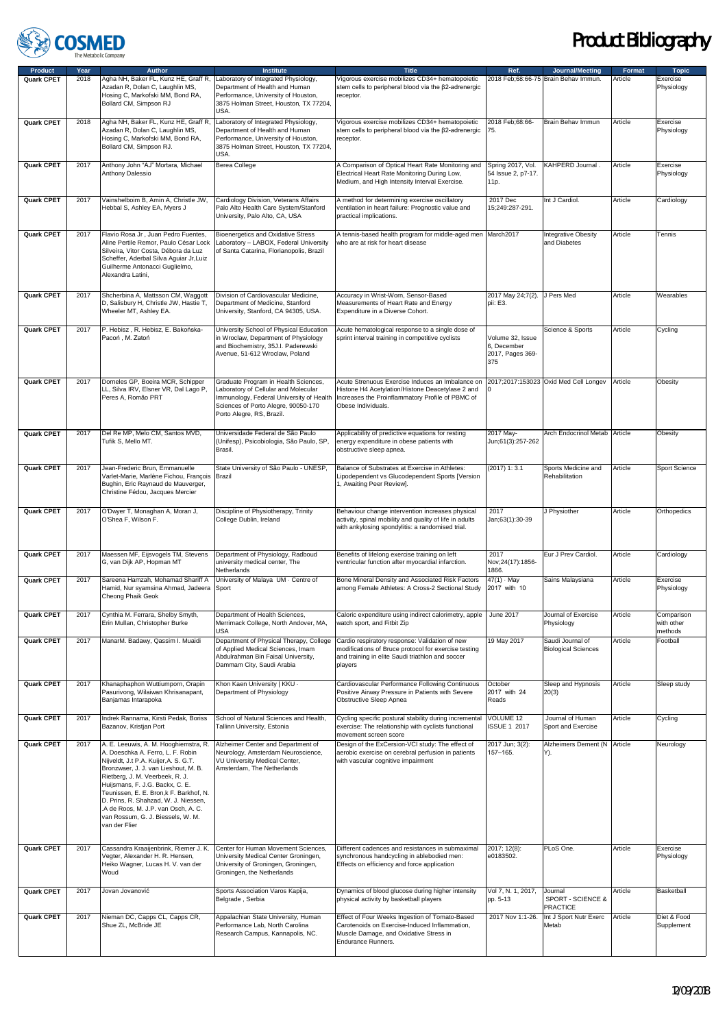

| <b>Product</b> | Year              | <b>Author</b>                                                                                                                                                                                                                                                                                                                                                                                                    | <b>Institute</b>                                                                                                                                                                             | <b>Title</b>                                                                                                                                                                   | Ref.                                                       | <b>Journal/Meeting</b>                          | <b>Format</b> | <b>Topic</b>                        |
|----------------|-------------------|------------------------------------------------------------------------------------------------------------------------------------------------------------------------------------------------------------------------------------------------------------------------------------------------------------------------------------------------------------------------------------------------------------------|----------------------------------------------------------------------------------------------------------------------------------------------------------------------------------------------|--------------------------------------------------------------------------------------------------------------------------------------------------------------------------------|------------------------------------------------------------|-------------------------------------------------|---------------|-------------------------------------|
| Quark CPET     | 2018              | Agha NH, Baker FL, Kunz HE, Graff R,<br>Azadan R, Dolan C, Laughlin MS,<br>Hosing C, Markofski MM, Bond RA,<br>Bollard CM, Simpson RJ                                                                                                                                                                                                                                                                            | Laboratory of Integrated Physiology,<br>Department of Health and Human<br>Performance, University of Houston,<br>3875 Holman Street, Houston, TX 77204,<br>USA.                              | Vigorous exercise mobilizes CD34+ hematopoietic<br>stem cells to peripheral blood via the ß2-adrenergic<br>receptor.                                                           |                                                            | 2018 Feb:68:66-75 Brain Behav Immun.            | Article       | Exercise<br>Physiology              |
| Quark CPET     | 2018              | Agha NH, Baker FL, Kunz HE, Graff R,<br>Azadan R, Dolan C, Laughlin MS,<br>Hosing C, Markofski MM, Bond RA,<br>Bollard CM, Simpson RJ.                                                                                                                                                                                                                                                                           | Laboratory of Integrated Physiology,<br>Department of Health and Human<br>Performance, University of Houston,<br>3875 Holman Street, Houston, TX 77204,<br>USA.                              | Vigorous exercise mobilizes CD34+ hematopoietic<br>stem cells to peripheral blood via the ß2-adrenergic<br>receptor.                                                           | 2018 Feb;68:66-<br>75.                                     | Brain Behav Immun                               | Article       | Exercise<br>Physiology              |
| Quark CPET     | 2017              | Anthony John "AJ" Mortara, Michael<br><b>Anthony Dalessio</b>                                                                                                                                                                                                                                                                                                                                                    | Berea College                                                                                                                                                                                | A Comparison of Optical Heart Rate Monitoring and<br>Electrical Heart Rate Monitoring During Low,<br>Medium, and High Intensity Interval Exercise.                             | Spring 2017, Vol.<br>54 Issue 2, p7-17.<br>11p.            | KAHPERD Journal.                                | Article       | Exercise<br>Physiology              |
| Quark CPET     | 2017              | Vainshelboim B, Amin A, Christle JW,<br>Hebbal S, Ashley EA, Myers J                                                                                                                                                                                                                                                                                                                                             | Cardiology Division, Veterans Affairs<br>Palo Alto Health Care System/Stanford<br>University, Palo Alto, CA, USA                                                                             | A method for determining exercise oscillatory<br>ventilation in heart failure: Prognostic value and<br>practical implications.                                                 | 2017 Dec<br>15:249:287-291.                                | Int J Cardiol.                                  | Article       | Cardiology                          |
| Quark CPET     | 2017              | Flavio Rosa Jr, Juan Pedro Fuentes,<br>Aline Pertile Remor, Paulo César Lock<br>Silveira, Vitor Costa, Débora da Luz<br>Scheffer, Aderbal Silva Aguiar Jr, Luiz<br>Guilherme Antonacci Guglielmo,<br>Alexandra Latini,                                                                                                                                                                                           | <b>Bioenergetics and Oxidative Stress</b><br>Laboratory - LABOX, Federal University<br>of Santa Catarina, Florianopolis, Brazil                                                              | A tennis-based health program for middle-aged men March2017<br>who are at risk for heart disease                                                                               |                                                            | <b>Integrative Obesity</b><br>and Diabetes      | Article       | Tennis                              |
| Quark CPET     | 2017              | Shcherbina A, Mattsson CM, Waggott<br>D, Salisbury H, Christle JW, Hastie T,<br>Wheeler MT, Ashley EA.                                                                                                                                                                                                                                                                                                           | Division of Cardiovascular Medicine,<br>Department of Medicine, Stanford<br>University, Stanford, CA 94305, USA.                                                                             | Accuracy in Wrist-Worn, Sensor-Based<br>Measurements of Heart Rate and Energy<br>Expenditure in a Diverse Cohort.                                                              | 2017 May 24;7(2). J Pers Med<br>pii: E3.                   |                                                 | Article       | Wearables                           |
| Quark CPET     | 2017              | P. Hebisz, R. Hebisz, E. Bakońska-<br>Pacoń, M. Zatoń                                                                                                                                                                                                                                                                                                                                                            | University School of Physical Education<br>in Wroclaw, Department of Physiology<br>and Biochemistry, 35J.I. Paderewski<br>Avenue, 51-612 Wroclaw, Poland                                     | Acute hematological response to a single dose of<br>sprint interval training in competitive cyclists                                                                           | Volume 32, Issue<br>6, December<br>2017, Pages 369-<br>375 | Science & Sports                                | Article       | Cycling                             |
| Quark CPET     | 2017              | Dorneles GP, Boeira MCR, Schipper<br>LL, Silva IRV, Elsner VR, Dal Lago P,<br>Peres A, Romão PRT                                                                                                                                                                                                                                                                                                                 | Graduate Program in Health Sciences,<br>Laboratory of Cellular and Molecular<br>Immunology, Federal University of Health<br>Sciences of Porto Alegre, 90050-170<br>Porto Alegre, RS, Brazil. | Acute Strenuous Exercise Induces an Imbalance on<br>Histone H4 Acetylation/Histone Deacetylase 2 and<br>Increases the Proinflammatory Profile of PBMC of<br>Obese Individuals. |                                                            | 2017;2017:153023 Oxid Med Cell Longev           | Article       | Obesity                             |
| Quark CPET     | 2017              | Del Re MP, Melo CM, Santos MVD,<br>Tufik S, Mello MT.                                                                                                                                                                                                                                                                                                                                                            | Universidade Federal de São Paulo<br>(Unifesp), Psicobiologia, São Paulo, SP,<br>Brasil.                                                                                                     | Applicability of predictive equations for resting<br>energy expenditure in obese patients with<br>obstructive sleep apnea.                                                     | 2017 May-<br>Jun;61(3):257-262                             | Arch Endocrinol Metab Article                   |               | Obesity                             |
| Quark CPET     | 2017              | Jean-Frederic Brun, Emmanuelle<br>Varlet-Marie, Marlène Fichou, François<br>Bughin, Eric Raynaud de Mauverger,<br>Christine Fédou, Jacques Mercier                                                                                                                                                                                                                                                               | State University of São Paulo - UNESP,<br>Brazil                                                                                                                                             | Balance of Substrates at Exercise in Athletes:<br>_ipodependent vs Glucodependent Sports [Version<br>1, Awaiting Peer Review].                                                 | $(2017)$ 1: 3.1                                            | Sports Medicine and<br>Rehabilitation           | Article       | Sport Science                       |
| Quark CPET     | 2017              | O'Dwyer T, Monaghan A, Moran J,<br>O'Shea F, Wilson F.                                                                                                                                                                                                                                                                                                                                                           | Discipline of Physiotherapy, Trinity<br>College Dublin, Ireland                                                                                                                              | Behaviour change intervention increases physical<br>activity, spinal mobility and quality of life in adults<br>with ankylosing spondylitis: a randomised trial.                | 2017<br>Jan;63(1):30-39                                    | J Physiother                                    | Article       | Orthopedics                         |
| Quark CPET     | 2017              | Maessen MF, Eijsvogels TM, Stevens<br>G, van Dijk AP, Hopman MT                                                                                                                                                                                                                                                                                                                                                  | Department of Physiology, Radboud<br>university medical center, The<br>Netherlands                                                                                                           | Benefits of lifelong exercise training on left<br>ventricular function after myocardial infarction.                                                                            | 2017<br>Nov; 24(17): 1856-<br>1866.                        | Eur J Prev Cardiol.                             | Article       | Cardiology                          |
| Quark CPET     | 2017              | Sareena Hamzah, Mohamad Shariff A<br>Hamid, Nur syamsina Ahmad, Jadeera<br>Cheong Phaik Geok                                                                                                                                                                                                                                                                                                                     | University of Malaya UM - Centre of<br>Sport                                                                                                                                                 | Bone Mineral Density and Associated Risk Factors<br>among Female Athletes: A Cross-2 Sectional Study                                                                           | $47(1) \cdot May$<br>2017 with 10                          | Sains Malaysiana                                | Article       | Exercise<br>Physiology              |
| Quark CPET     | 2017              | Cynthia M. Ferrara, Shelby Smyth,<br>Erin Mullan, Christopher Burke                                                                                                                                                                                                                                                                                                                                              | Department of Health Sciences,<br>Merrimack College, North Andover, MA,<br>USA                                                                                                               | Caloric expenditure using indirect calorimetry, apple June 2017<br>watch sport, and Fitbit Zip                                                                                 |                                                            | Journal of Exercise<br>Physiology               | Article       | Comparison<br>with other<br>methods |
| Quark CPET     | 2017              | ManarM. Badawy, Qassim I. Muaidi                                                                                                                                                                                                                                                                                                                                                                                 | Department of Physical Therapy, College<br>of Applied Medical Sciences, Imam<br>Abdulrahman Bin Faisal University,<br>Dammam City, Saudi Arabia                                              | Cardio respiratory response: Validation of new<br>modifications of Bruce protocol for exercise testing<br>and training in elite Saudi triathlon and soccer<br>players          | 19 May 2017                                                | Saudi Journal of<br><b>Biological Sciences</b>  | Article       | Football                            |
| Quark CPET     | 2017              | Khanaphaphon Wuttiumporn, Orapin<br>Pasurivong, Wilaiwan Khrisanapant,<br>Banjamas Intarapoka                                                                                                                                                                                                                                                                                                                    | Khon Kaen University   KKU -<br>Department of Physiology                                                                                                                                     | Cardiovascular Performance Following Continuous<br>Positive Airway Pressure in Patients with Severe<br>Obstructive Sleep Apnea                                                 | October<br>2017 with 24<br>Reads                           | Sleep and Hypnosis<br>20(3)                     | Article       | Sleep study                         |
| Quark CPET     | 2017              | Indrek Rannama, Kirsti Pedak, Boriss<br>Bazanov, Kristjan Port                                                                                                                                                                                                                                                                                                                                                   | School of Natural Sciences and Health,<br>Tallinn University, Estonia                                                                                                                        | Cycling specific postural stability during incrementa<br>exercise: The relationship with cyclists functional<br>movement screen score                                          | VOLUME 12<br><b>ISSUE 1 2017</b>                           | Journal of Human<br>Sport and Exercise          | Article       | Cycling                             |
| Quark CPET     | 2017              | A. E. Leeuwis, A. M. Hooghiemstra, R.<br>A. Doeschka A. Ferro, L. F. Robin<br>Nijveldt, J.t P.A. Kuijer, A. S. G.T.<br>Bronzwaer, J. J. van Lieshout, M. B.<br>Rietberg, J. M. Veerbeek, R. J.<br>Huijsmans, F. J.G. Backx, C. E.<br>Teunissen, E. E. Bron,k F. Barkhof, N.<br>D. Prins, R. Shahzad, W. J. Niessen,<br>.A de Roos, M. J.P. van Osch, A. C.<br>van Rossum, G. J. Biessels, W. M.<br>van der Flier | Alzheimer Center and Department of<br>Neurology, Amsterdam Neuroscience,<br>VU University Medical Center,<br>Amsterdam, The Netherlands                                                      | Design of the ExCersion-VCI study: The effect of<br>aerobic exercise on cerebral perfusion in patients<br>with vascular cognitive impairment                                   | 2017 Jun; 3(2):<br>157-165.                                | Alzheimers Dement (N<br>Y).                     | Article       | Neurology                           |
| Quark CPET     | 2017              | Cassandra Kraaijenbrink, Riemer J. K.<br>Vegter, Alexander H. R. Hensen,<br>Heiko Wagner, Lucas H. V. van der<br>Woud                                                                                                                                                                                                                                                                                            | Center for Human Movement Sciences,<br>University Medical Center Groningen,<br>University of Groningen, Groningen,<br>Groningen, the Netherlands                                             | Different cadences and resistances in submaximal<br>synchronous handcycling in ablebodied men:<br>Effects on efficiency and force application                                  | 2017; 12(8):<br>e0183502.                                  | PLoS One.                                       | Article       | Exercise<br>Physiology              |
| Quark CPET     | 2017              | Jovan Jovanović                                                                                                                                                                                                                                                                                                                                                                                                  | Sports Association Varos Kapija,<br>Belgrade, Serbia                                                                                                                                         | Dynamics of blood glucose during higher intensity<br>physical activity by basketball players                                                                                   | Vol 7, N. 1, 2017,<br>pp. 5-13                             | Journal<br>SPORT - SCIENCE &<br><b>PRACTICE</b> | Article       | Basketball                          |
| Quark CPET     | $\overline{20}17$ | Nieman DC, Capps CL, Capps CR,<br>Shue ZL, McBride JE                                                                                                                                                                                                                                                                                                                                                            | Appalachian State University, Human<br>Performance Lab, North Carolina<br>Research Campus, Kannapolis, NC.                                                                                   | Effect of Four Weeks Ingestion of Tomato-Based<br>Carotenoids on Exercise-Induced Inflammation,<br>Muscle Damage, and Oxidative Stress in<br>Endurance Runners.                | 2017 Nov 1:1-26.                                           | Int J Sport Nutr Exerc<br>Metab                 | Article       | Diet & Food<br>Supplement           |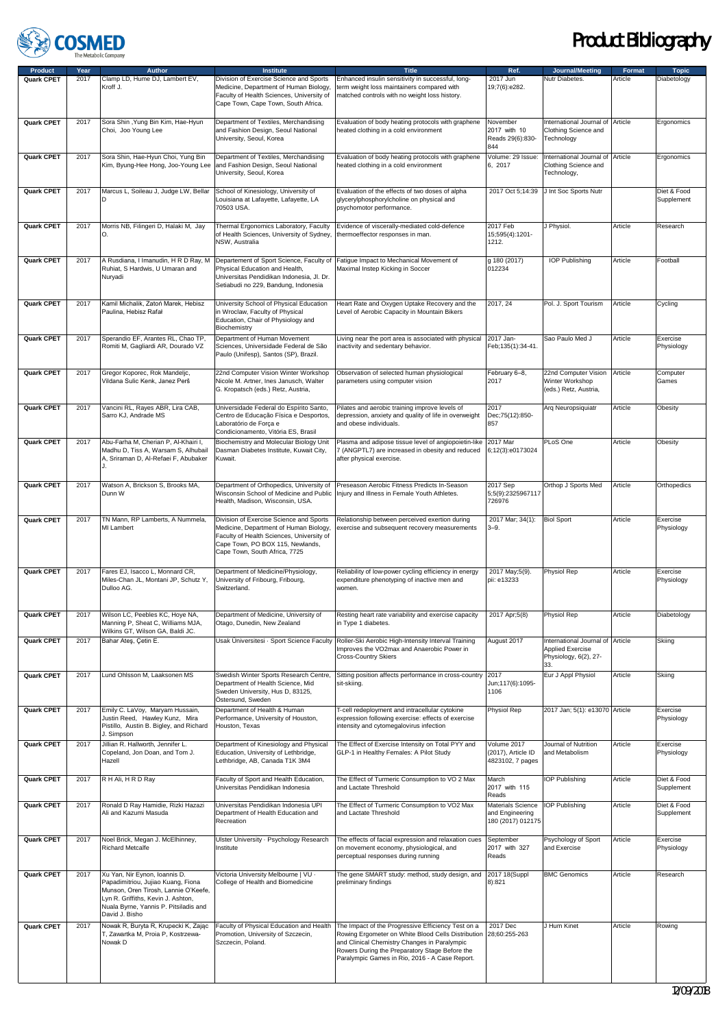

| <b>Product</b>    | Year | <b>Author</b>                                                                                                                                                                                                | <b>Institute</b>                                                                                                                                                                                    | <b>Title</b>                                                                                                                                                                                                                                                               | Ref.                                                      | Journal/Meeting                                                                             | <b>Format</b> | <b>Topic</b>              |
|-------------------|------|--------------------------------------------------------------------------------------------------------------------------------------------------------------------------------------------------------------|-----------------------------------------------------------------------------------------------------------------------------------------------------------------------------------------------------|----------------------------------------------------------------------------------------------------------------------------------------------------------------------------------------------------------------------------------------------------------------------------|-----------------------------------------------------------|---------------------------------------------------------------------------------------------|---------------|---------------------------|
| Quark CPET        | 2017 | Clamp LD, Hume DJ, Lambert EV,<br>Kroff J.                                                                                                                                                                   | Division of Exercise Science and Sports<br>Medicine, Department of Human Biology,<br>Faculty of Health Sciences, University of<br>Cape Town, Cape Town, South Africa.                               | Enhanced insulin sensitivity in successful, long-<br>term weight loss maintainers compared with<br>matched controls with no weight loss history.                                                                                                                           | 2017 Jun<br>19;7(6):e282.                                 | Nutr Diabetes.                                                                              | Article       | Diabetology               |
| Quark CPET        | 2017 | Sora Shin, Yung Bin Kim, Hae-Hyun<br>Choi, Joo Young Lee                                                                                                                                                     | Department of Textiles, Merchandising<br>and Fashion Design, Seoul National<br>University, Seoul, Korea                                                                                             | Evaluation of body heating protocols with graphene<br>heated clothing in a cold environment                                                                                                                                                                                | November<br>2017 with 10<br>Reads 29(6):830-<br>844       | International Journal of Article<br>Clothing Science and<br>Technology                      |               | Ergonomics                |
| Quark CPET        | 2017 | Sora Shin, Hae-Hyun Choi, Yung Bin<br>Kim, Byung-Hee Hong, Joo-Young Lee                                                                                                                                     | Department of Textiles, Merchandising<br>and Fashion Design, Seoul National<br>University, Seoul, Korea                                                                                             | Evaluation of body heating protocols with graphene<br>heated clothing in a cold environment                                                                                                                                                                                | Volume: 29 Issue:<br>6, 2017                              | International Journal of<br>Clothing Science and<br>Technology,                             | Article       | Ergonomics                |
| Quark CPET        | 2017 | Marcus L, Soileau J, Judge LW, Bellar<br>D                                                                                                                                                                   | School of Kinesiology, University of<br>Louisiana at Lafayette, Lafayette, LA<br>70503 USA.                                                                                                         | Evaluation of the effects of two doses of alpha<br>glycerylphosphorylcholine on physical and<br>psychomotor performance.                                                                                                                                                   | 2017 Oct 5;14:39                                          | J Int Soc Sports Nutr                                                                       |               | Diet & Food<br>Supplement |
| Quark CPET        | 2017 | Morris NB, Filingeri D, Halaki M, Jay                                                                                                                                                                        | Thermal Ergonomics Laboratory, Faculty<br>of Health Sciences, University of Sydney,<br>NSW, Australia                                                                                               | Evidence of viscerally-mediated cold-defence<br>thermoeffector responses in man.                                                                                                                                                                                           | 2017 Feb<br>15;595(4):1201-<br>1212.                      | J Physiol.                                                                                  | Article       | Research                  |
| Quark CPET        | 2017 | A Rusdiana, I Imanudin, H R D Ray, M<br>Ruhiat, S Hardwis, U Umaran and<br>Nuryadi                                                                                                                           | Departement of Sport Science, Faculty of<br>Physical Education and Health,<br>Universitas Pendidikan Indonesia, Jl. Dr.<br>Setiabudi no 229, Bandung, Indonesia                                     | Fatigue Impact to Mechanical Movement of<br>Maximal Instep Kicking in Soccer                                                                                                                                                                                               | g 180 (2017)<br>012234                                    | <b>IOP Publishing</b>                                                                       | Article       | Football                  |
| Quark CPET        | 2017 | Kamil Michalik, Zatoń Marek, Hebisz<br>Paulina, Hebisz Rafał                                                                                                                                                 | University School of Physical Education<br>in Wroclaw, Faculty of Physical<br>Education, Chair of Physiology and<br>Biochemistry                                                                    | Heart Rate and Oxygen Uptake Recovery and the<br>Level of Aerobic Capacity in Mountain Bikers                                                                                                                                                                              | 2017, 24                                                  | Pol. J. Sport Tourism                                                                       | Article       | Cycling                   |
| <b>Quark CPET</b> | 2017 | Sperandio EF, Arantes RL, Chao TP,<br>Romiti M, Gagliardi AR, Dourado VZ                                                                                                                                     | Department of Human Movement<br>Sciences, Universidade Federal de São<br>Paulo (Unifesp), Santos (SP), Brazil.                                                                                      | Living near the port area is associated with physical<br>inactivity and sedentary behavior.                                                                                                                                                                                | 2017 Jan-<br>Feb;135(1):34-41.                            | Sao Paulo Med J                                                                             | Article       | Exercise<br>Physiology    |
| Quark CPET        | 2017 | Gregor Koporec, Rok Mandeljc,<br>Vildana Sulic Kenk, Janez Perš                                                                                                                                              | 22nd Computer Vision Winter Workshop<br>Nicole M. Artner, Ines Janusch, Walter<br>G. Kropatsch (eds.) Retz, Austria,                                                                                | Observation of selected human physiological<br>parameters using computer vision                                                                                                                                                                                            | February 6-8,<br>2017                                     | 22nd Computer Vision<br>Winter Workshop<br>(eds.) Retz, Austria,                            | Article       | Computer<br>Games         |
| Quark CPET        | 2017 | Vancini RL, Rayes ABR, Lira CAB,<br>Sarro KJ, Andrade MS                                                                                                                                                     | Universidade Federal do Espírito Santo,<br>Centro de Educação Física e Desportos,<br>Laboratório de Força e<br>Condicionamento, Vitória ES, Brasil                                                  | Pilates and aerobic training improve levels of<br>depression, anxiety and quality of life in overweight<br>and obese individuals.                                                                                                                                          | 2017<br>Dec; 75(12): 850-<br>857                          | Arq Neuropsiquiatr                                                                          | Article       | Obesity                   |
| Quark CPET        | 2017 | Abu-Farha M, Cherian P, Al-Khairi I,<br>Madhu D, Tiss A, Warsam S, Alhubail<br>A, Sriraman D, Al-Refaei F, Abubaker                                                                                          | Biochemistry and Molecular Biology Unit<br>Dasman Diabetes Institute, Kuwait City,<br>Kuwait.                                                                                                       | Plasma and adipose tissue level of angiopoietin-like<br>7 (ANGPTL7) are increased in obesity and reduced<br>after physical exercise.                                                                                                                                       | 2017 Mar<br>6;12(3):e0173024                              | PLoS One                                                                                    | Article       | Obesity                   |
| Quark CPET        | 2017 | Watson A, Brickson S, Brooks MA,<br>Dunn W                                                                                                                                                                   | Department of Orthopedics, University of<br>Wisconsin School of Medicine and Public<br>Health, Madison, Wisconsin, USA.                                                                             | Preseason Aerobic Fitness Predicts In-Season<br>Injury and Illness in Female Youth Athletes.                                                                                                                                                                               | 2017 Sep<br>5;5(9):2325967117<br>726976                   | Orthop J Sports Med                                                                         | Article       | Orthopedics               |
| Quark CPET        | 2017 | TN Mann, RP Lamberts, A Nummela,<br>MI Lambert                                                                                                                                                               | Division of Exercise Science and Sports<br>Medicine, Department of Human Biology,<br>Faculty of Health Sciences, University of<br>Cape Town, PO BOX 115, Newlands,<br>Cape Town, South Africa, 7725 | Relationship between perceived exertion during<br>exercise and subsequent recovery measurements                                                                                                                                                                            | 2017 Mar; 34(1):<br>$3 - 9.$                              | <b>Biol Sport</b>                                                                           | Article       | Exercise<br>Physiology    |
| Quark CPET        | 2017 | Fares EJ, Isacco L, Monnard CR,<br>Miles-Chan JL, Montani JP, Schutz Y,<br>Dulloo AG.                                                                                                                        | Department of Medicine/Physiology,<br>University of Fribourg, Fribourg,<br>Switzerland.                                                                                                             | Reliability of low-power cycling efficiency in energy<br>expenditure phenotyping of inactive men and<br>women.                                                                                                                                                             | 2017 May;5(9).<br>pii: e13233                             | Physiol Rep                                                                                 | Article       | Exercise<br>Physiology    |
| Quark CPET        | 2017 | Wilson LC, Peebles KC, Hoye NA,<br>Manning P, Sheat C, Williams MJA,<br>Wilkins GT, Wilson GA, Baldi JC.                                                                                                     | Department of Medicine, University of<br>Otago, Dunedin, New Zealand                                                                                                                                | Resting heart rate variability and exercise capacity<br>in Type 1 diabetes.                                                                                                                                                                                                | 2017 Apr;5(8)                                             | Physiol Rep                                                                                 | Article       | Diabetology               |
| Quark CPET        | 2017 | Bahar Ateş, Çetin E.                                                                                                                                                                                         | Usak Üniversitesi · Sport Science Faculty                                                                                                                                                           | Roller-Ski Aerobic High-Intensity Interval Training<br>Improves the VO2max and Anaerobic Power in<br>Cross-Country Skiers                                                                                                                                                  | August 2017                                               | International Journal of Article<br><b>Applied Exercise</b><br>Physiology, 6(2), 27-<br>33. |               | Skiing                    |
| Quark CPET        | 2017 | Lund Ohlsson M, Laaksonen MS                                                                                                                                                                                 | Swedish Winter Sports Research Centre,<br>Department of Health Science, Mid<br>Sweden University, Hus D, 83125,<br>Östersund, Sweden                                                                | Sitting position affects performance in cross-country<br>sit-skiing.                                                                                                                                                                                                       | 2017<br>Jun;117(6):1095-<br>1106                          | Eur J Appl Physiol                                                                          | Article       | Skiing                    |
| Quark CPET        | 2017 | Emily C. LaVoy, Maryam Hussain,<br>Justin Reed, Hawley Kunz, Mira<br>Pistillo, Austin B. Bigley, and Richard<br>J. Simpson                                                                                   | Department of Health & Human<br>Performance, University of Houston,<br>Houston, Texas                                                                                                               | T-cell redeployment and intracellular cytokine<br>expression following exercise: effects of exercise<br>intensity and cytomegalovirus infection                                                                                                                            | Physiol Rep                                               | 2017 Jan; 5(1): e13070 Article                                                              |               | Exercise<br>Physiology    |
| Quark CPET        | 2017 | Jillian R. Hallworth, Jennifer L.<br>Copeland, Jon Doan, and Tom J.<br>Hazell                                                                                                                                | Department of Kinesiology and Physical<br>Education, University of Lethbridge,<br>Lethbridge, AB, Canada T1K 3M4                                                                                    | The Effect of Exercise Intensity on Total PYY and<br>GLP-1 in Healthy Females: A Pilot Study                                                                                                                                                                               | Volume 2017<br>(2017), Article ID<br>4823102, 7 pages     | Journal of Nutrition<br>and Metabolism                                                      | Article       | Exercise<br>Physiology    |
| Quark CPET        | 2017 | R H Ali, H R D Ray                                                                                                                                                                                           | Faculty of Sport and Health Education,<br>Universitas Pendidikan Indonesia                                                                                                                          | The Effect of Turmeric Consumption to VO 2 Max<br>and Lactate Threshold                                                                                                                                                                                                    | March<br>2017 with 115<br>Reads                           | IOP Publishing                                                                              | Article       | Diet & Food<br>Supplement |
| Quark CPET        | 2017 | Ronald D Ray Hamidie, Rizki Hazazi<br>Ali and Kazumi Masuda                                                                                                                                                  | Universitas Pendidikan Indonesia UPI<br>Department of Health Education and<br>Recreation                                                                                                            | The Effect of Turmeric Consumption to VO2 Max<br>and Lactate Threshold                                                                                                                                                                                                     | Materials Science<br>and Engineering<br>180 (2017) 012175 | <b>IOP Publishing</b>                                                                       | Article       | Diet & Food<br>Supplement |
| Quark CPET        | 2017 | Noel Brick, Megan J. McElhinney,<br><b>Richard Metcalfe</b>                                                                                                                                                  | Ulster University · Psychology Research<br>Institute                                                                                                                                                | The effects of facial expression and relaxation cues<br>on movement economy, physiological, and<br>perceptual responses during running                                                                                                                                     | September<br>2017 with 327<br>Reads                       | Psychology of Sport<br>and Exercise                                                         | Article       | Exercise<br>Physiology    |
| Quark CPET        | 2017 | Xu Yan, Nir Eynon, Ioannis D.<br>Papadimitriou, Jujiao Kuang, Fiona<br>Munson, Oren Tirosh, Lannie O'Keefe,<br>Lyn R. Griffiths, Kevin J. Ashton,<br>Nuala Byrne, Yannis P. Pitsiladis and<br>David J. Bisho | Victoria University Melbourne   VU -<br>College of Health and Biomedicine                                                                                                                           | The gene SMART study: method, study design, and<br>preliminary findings                                                                                                                                                                                                    | 2017 18(Suppl<br>8):821                                   | <b>BMC Genomics</b>                                                                         | Article       | Research                  |
| Quark CPET        | 2017 | Nowak R, Buryta R, Krupecki K, Zając<br>T, Zawartka M, Proia P, Kostrzewa-<br>Nowak D                                                                                                                        | Faculty of Physical Education and Health<br>Promotion, University of Szczecin,<br>Szczecin, Poland.                                                                                                 | The Impact of the Progressive Efficiency Test on a<br>Rowing Ergometer on White Blood Cells Distribution 28;60:255-263<br>and Clinical Chemistry Changes in Paralympic<br>Rowers During the Preparatory Stage Before the<br>Paralympic Games in Rio, 2016 - A Case Report. | 2017 Dec                                                  | J Hum Kinet                                                                                 | Article       | Rowing                    |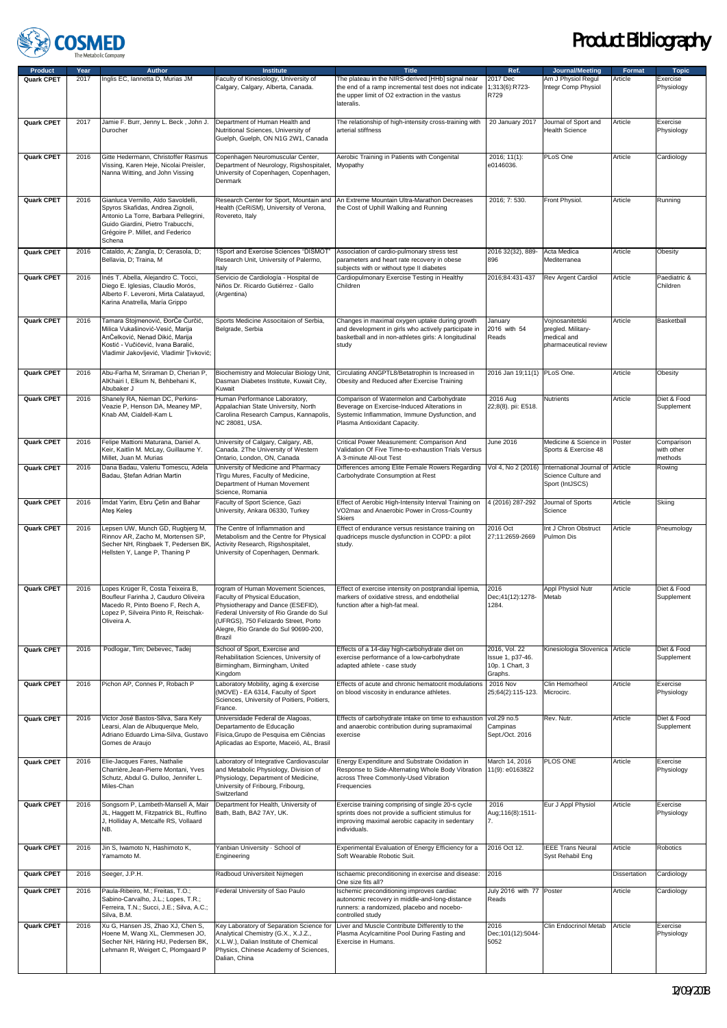

| <b>Product</b> | Year         | <b>Author</b>                                                                                                                                                                                       | <b>Institute</b>                                                                                                                                                                                                                               | <b>Title</b>                                                                                                                                                               | Ref.                                                            | Journal/Meeting                                                               | Format       | <b>Topic</b>                        |
|----------------|--------------|-----------------------------------------------------------------------------------------------------------------------------------------------------------------------------------------------------|------------------------------------------------------------------------------------------------------------------------------------------------------------------------------------------------------------------------------------------------|----------------------------------------------------------------------------------------------------------------------------------------------------------------------------|-----------------------------------------------------------------|-------------------------------------------------------------------------------|--------------|-------------------------------------|
| Quark CPET     | 2017         | Inglis EC, Iannetta D, Murias JM                                                                                                                                                                    | Faculty of Kinesiology, University of<br>Calgary, Calgary, Alberta, Canada.                                                                                                                                                                    | The plateau in the NIRS-derived [HHb] signal near<br>the end of a ramp incremental test does not indicate<br>the upper limit of O2 extraction in the vastus<br>lateralis.  | 2017 Dec<br>1;313(6):R723-<br>R729                              | Am J Physiol Regul<br>Integr Comp Physiol                                     | Article      | Exercise<br>Physiology              |
| Quark CPET     | 2017         | Jamie F. Burr, Jenny L. Beck, John J.<br>Durocher                                                                                                                                                   | Department of Human Health and<br>Nutritional Sciences, University of<br>Guelph, Guelph, ON N1G 2W1, Canada                                                                                                                                    | The relationship of high-intensity cross-training with<br>arterial stiffness                                                                                               | 20 January 2017                                                 | Journal of Sport and<br><b>Health Science</b>                                 | Article      | Exercise<br>Physiology              |
| Quark CPET     | 2016         | Gitte Hedermann, Christoffer Rasmus<br>Vissing, Karen Heje, Nicolai Preisler,<br>Nanna Witting, and John Vissing                                                                                    | Copenhagen Neuromuscular Center,<br>Department of Neurology, Rigshospitalet,<br>University of Copenhagen, Copenhagen,<br>Denmark                                                                                                               | Aerobic Training in Patients with Congenital<br>Myopathy                                                                                                                   | 2016; 11(1):<br>e0146036.                                       | PLoS One                                                                      | Article      | Cardiology                          |
| Quark CPET     | 2016         | Gianluca Vernillo, Aldo Savoldelli,<br>Spyros Skafidas, Andrea Zignoli,<br>Antonio La Torre, Barbara Pellegrini,<br>Guido Giardini, Pietro Trabucchi,<br>Grégoire P. Millet, and Federico<br>Schena | Research Center for Sport, Mountain and<br>Health (CeRiSM), University of Verona,<br>Rovereto, Italy                                                                                                                                           | An Extreme Mountain Ultra-Marathon Decreases<br>the Cost of Uphill Walking and Running                                                                                     | 2016; 7:530.                                                    | Front Physiol.                                                                | Article      | Running                             |
| Quark CPET     | 2016         | Cataldo, A; Zangla, D; Cerasola, D;<br>Bellavia, D; Traina, M                                                                                                                                       | 1Sport and Exercise Sciences "DISMOT<br>Research Unit, University of Palermo,<br>Italy                                                                                                                                                         | Association of cardio-pulmonary stress test<br>parameters and heart rate recovery in obese<br>subjects with or without type II diabetes                                    | 2016 32(32), 889-<br>896                                        | Acta Medica<br>Mediterranea                                                   | Article      | Obesity                             |
| Quark CPET     | 2016         | Inés T. Abella, Alejandro C. Tocci,<br>Diego E. Iglesias, Claudio Morós,<br>Alberto F. Leveroni, Mirta Calatayud,<br>Karina Anatrella, María Grippo                                                 | Servicio de Cardiología - Hospital de<br>Niños Dr. Ricardo Gutiérrez - Gallo<br>(Argentina)                                                                                                                                                    | Cardiopulmonary Exercise Testing in Healthy<br>Children                                                                                                                    | 2016;84:431-437                                                 | Rev Argent Cardiol                                                            | Article      | Paediatric &<br>Children            |
| Quark CPET     | 2016         | Tamara Stojmenović, ĐorCe Ćurĉić,<br>Milica Vukašinović-Vesić, Marija<br>AnĆelković, Nenad Dikić, Marija<br>Kostić - Vuĉićević, Ivana Baralić,<br>Vladimir Jakovljević, Vladimir Tivković;          | Sports Medicine Associtaion of Serbia,<br>Belgrade, Serbia                                                                                                                                                                                     | Changes in maximal oxygen uptake during growth<br>and development in girls who actively participate in<br>basketball and in non-athletes girls: A longitudinal<br>study    | January<br>2016 with 54<br>Reads                                | Vojnosanitetski<br>pregled. Military-<br>medical and<br>pharmaceutical review | Article      | Basketball                          |
| Quark CPET     | 2016         | Abu-Farha M, Sriraman D, Cherian P,<br>AlKhairi I, Elkum N, Behbehani K,<br>Abubaker J                                                                                                              | Biochemistry and Molecular Biology Unit<br>Dasman Diabetes Institute, Kuwait City,<br>Kuwait                                                                                                                                                   | Circulating ANGPTL8/Betatrophin Is Increased in<br>Obesity and Reduced after Exercise Training                                                                             | 2016 Jan 19;11(1) PLoS One.                                     |                                                                               | Article      | Obesity                             |
| Quark CPET     | 2016         | Shanely RA, Nieman DC, Perkins-<br>Veazie P, Henson DA, Meaney MP,<br>Knab AM, Cialdell-Kam L                                                                                                       | Human Performance Laboratory,<br>Appalachian State University, North<br>Carolina Research Campus, Kannapolis,<br>NC 28081, USA.                                                                                                                | Comparison of Watermelon and Carbohydrate<br>Beverage on Exercise-Induced Alterations in<br>Systemic Inflammation, Immune Dysfunction, and<br>Plasma Antioxidant Capacity. | 2016 Aug<br>22;8(8). pii: E518.                                 | Nutrients                                                                     | Article      | Diet & Food<br>Supplement           |
| Quark CPET     | 2016         | Felipe Mattioni Maturana, Daniel A.<br>Keir, Kaitlin M. McLay, Guillaume Y.<br>Millet, Juan M. Murias                                                                                               | University of Calgary, Calgary, AB,<br>Canada. 2The University of Western<br>Ontario, London, ON, Canada                                                                                                                                       | Critical Power Measurement: Comparison And<br>Validation Of Five Time-to-exhaustion Trials Versus<br>A 3-minute All-out Test                                               | June 2016                                                       | Medicine & Science in<br>Sports & Exercise 48                                 | Poster       | Comparison<br>with other<br>methods |
| Quark CPET     | 2016         | Dana Badau, Valeriu Tomescu, Adela<br>Badau, Ștefan Adrian Martin                                                                                                                                   | University of Medicine and Pharmacy<br>Tîrgu Mures, Faculty of Medicine,<br>Department of Human Movement<br>Science, Romania                                                                                                                   | Differences among Elite Female Rowers Regarding<br>Carbohydrate Consumption at Rest                                                                                        | Vol 4, No 2 (2016)                                              | International Journal of Article<br>Science Culture and<br>Sport (IntJSCS)    |              | Rowing                              |
| Quark CPET     | 2016         | Imdat Yarim, Ebru Çetin and Bahar<br>Ateş Keleş                                                                                                                                                     | Faculty of Sport Science, Gazi<br>University, Ankara 06330, Turkey                                                                                                                                                                             | Effect of Aerobic High-Intensity Interval Training on<br>VO2max and Anaerobic Power in Cross-Country<br><b>Skiers</b>                                                      | 4 (2016) 287-292                                                | Journal of Sports<br>Science                                                  | Article      | Skiing                              |
| Quark CPET     | 2016         | Lepsen UW, Munch GD, Rugbjerg M,<br>Rinnov AR, Zacho M, Mortensen SP,<br>Secher NH, Ringbaek T, Pedersen BK,<br>Hellsten Y, Lange P, Thaning P                                                      | The Centre of Inflammation and<br>Metabolism and the Centre for Physical<br>Activity Research, Rigshospitalet,<br>University of Copenhagen, Denmark.                                                                                           | Effect of endurance versus resistance training on<br>quadriceps muscle dysfunction in COPD: a pilot<br>study.                                                              | 2016 Oct<br>27;11:2659-2669                                     | Int J Chron Obstruct<br>Pulmon Dis                                            | Article      | Pneumology                          |
| Quark CPET     | 2016         | Lopes Krüger R, Costa Teixeira B,<br>Boufleur Farinha J, Cauduro Oliveira<br>Macedo R, Pinto Boeno F, Rech A,<br>Lopez P, Silveira Pinto R, Reischak-<br>Oliveira A.                                | rogram of Human Movement Sciences,<br>Faculty of Physical Education,<br>Physiotherapy and Dance (ESEFID),<br>Federal University of Rio Grande do Sul<br>(UFRGS), 750 Felizardo Street, Porto<br>Alegre, Rio Grande do Sul 90690-200,<br>Brazil | Effect of exercise intensity on postprandial lipemia.<br>markers of oxidative stress, and endothelial<br>function after a high-fat meal.                                   | 2016<br>Dec;41(12):1278-<br>1284.                               | Appl Physiol Nutr<br>Metab                                                    | Article      | Diet & Food<br>Supplement           |
| Quark CPET     | 2016         | Podlogar, Tim; Debevec, Tadej                                                                                                                                                                       | School of Sport, Exercise and<br>Rehabilitation Sciences, University of<br>Birmingham, Birmingham, United<br>Kingdom                                                                                                                           | Effects of a 14-day high-carbohydrate diet on<br>exercise performance of a low-carbohydrate<br>adapted athlete - case study                                                | 2016, Vol. 22<br>Issue 1, p37-46.<br>10p. 1 Chart, 3<br>Graphs. | Kinesiologia Slovenica Article                                                |              | Diet & Food<br>Supplement           |
| Quark CPET     | 2016         | Pichon AP, Connes P, Robach P                                                                                                                                                                       | Laboratory Mobility, aging & exercise<br>(MOVE) - EA 6314, Faculty of Sport<br>Sciences, University of Poitiers, Poitiers,<br>France.                                                                                                          | Effects of acute and chronic hematocrit modulations<br>on blood viscosity in endurance athletes.                                                                           | <b>2016 Nov</b><br>25;64(2):115-123.                            | Clin Hemorheol<br>Microcirc.                                                  | Article      | Exercise<br>Physiology              |
| Quark CPET     | 2016         | Victor José Bastos-Silva, Sara Kely<br>Learsi, Alan de Albuquerque Melo,<br>Adriano Eduardo Lima-Silva, Gustavo<br>Gomes de Araujo                                                                  | Universidade Federal de Alagoas,<br>Departamento de Educação<br>Física, Grupo de Pesquisa em Ciências<br>Aplicadas ao Esporte, Maceió, AL, Brasil                                                                                              | Effects of carbohydrate intake on time to exhaustion<br>and anaerobic contribution during supramaximal<br>exercise                                                         | vol.29 no.5<br>Campinas<br>Sept./Oct. 2016                      | Rev. Nutr.                                                                    | Article      | Diet & Food<br>Supplement           |
| Quark CPET     | 2016         | Elie-Jacques Fares, Nathalie<br>Charrière, Jean-Pierre Montani, Yves<br>Schutz, Abdul G. Dulloo, Jennifer L.<br>Miles-Chan                                                                          | Laboratory of Integrative Cardiovascular<br>and Metabolic Physiology, Division of<br>Physiology, Department of Medicine,<br>University of Fribourg, Fribourg,<br>Switzerland                                                                   | Energy Expenditure and Substrate Oxidation in<br>Response to Side-Alternating Whole Body Vibration<br>across Three Commonly-Used Vibration<br>Frequencies                  | March 14, 2016<br>11(9): e0163822                               | PLOS ONE                                                                      | Article      | Exercise<br>Physiology              |
| Quark CPET     | 2016         | Songsorn P, Lambeth-Mansell A, Mair<br>JL, Haggett M, Fitzpatrick BL, Ruffino<br>J, Holliday A, Metcalfe RS, Vollaard<br>NB.                                                                        | Department for Health, University of<br>Bath, Bath, BA2 7AY, UK.                                                                                                                                                                               | Exercise training comprising of single 20-s cycle<br>sprints does not provide a sufficient stimulus for<br>improving maximal aerobic capacity in sedentary<br>individuals. | 2016<br>Aug; 116(8): 1511-<br>7.                                | Eur J Appl Physiol                                                            | Article      | Exercise<br>Physiology              |
| Quark CPET     | 2016         | Jin S, Iwamoto N, Hashimoto K,<br>Yamamoto M.                                                                                                                                                       | Yanbian University · School of<br>Engineering                                                                                                                                                                                                  | Experimental Evaluation of Energy Efficiency for a<br>Soft Wearable Robotic Suit.                                                                                          | 2016 Oct 12.                                                    | <b>IEEE Trans Neural</b><br>Syst Rehabil Eng                                  | Article      | Robotics                            |
| Quark CPET     | 2016<br>2016 | Seeger, J.P.H.                                                                                                                                                                                      | Radboud Universiteit Nijmegen                                                                                                                                                                                                                  | Ischaemic preconditioning in exercise and disease:<br>One size fits all?                                                                                                   | 2016                                                            |                                                                               | Dissertation | Cardiology                          |
| Quark CPET     |              | Paula-Ribeiro, M.; Freitas, T.O.;<br>Sabino-Carvalho, J.L.; Lopes, T.R.;<br>Ferreira, T.N.; Succi, J.E.; Silva, A.C.;<br>Silva, B.M.                                                                | Federal University of Sao Paulo                                                                                                                                                                                                                | Ischemic preconditioning improves cardiac<br>autonomic recovery in middle-and-long-distance<br>runners: a randomized, placebo and nocebo-<br>controlled study              | July 2016 with 77 Poster<br>Reads                               |                                                                               | Article      | Cardiology                          |
| Quark CPET     | 2016         | Xu G, Hansen JS, Zhao XJ, Chen S,<br>Hoene M, Wang XL, Clemmesen JO,<br>Secher NH, Häring HU, Pedersen BK,<br>Lehmann R, Weigert C, Plomgaard P                                                     | Key Laboratory of Separation Science for<br>Analytical Chemistry (G.X., X.J.Z.,<br>X.L.W.), Dalian Institute of Chemical<br>Physics, Chinese Academy of Sciences,<br>Dalian, China                                                             | Liver and Muscle Contribute Differently to the<br>Plasma Acylcarnitine Pool During Fasting and<br>Exercise in Humans.                                                      | 2016<br>Dec;101(12):5044-<br>5052                               | Clin Endocrinol Metab                                                         | Article      | Exercise<br>Physiology              |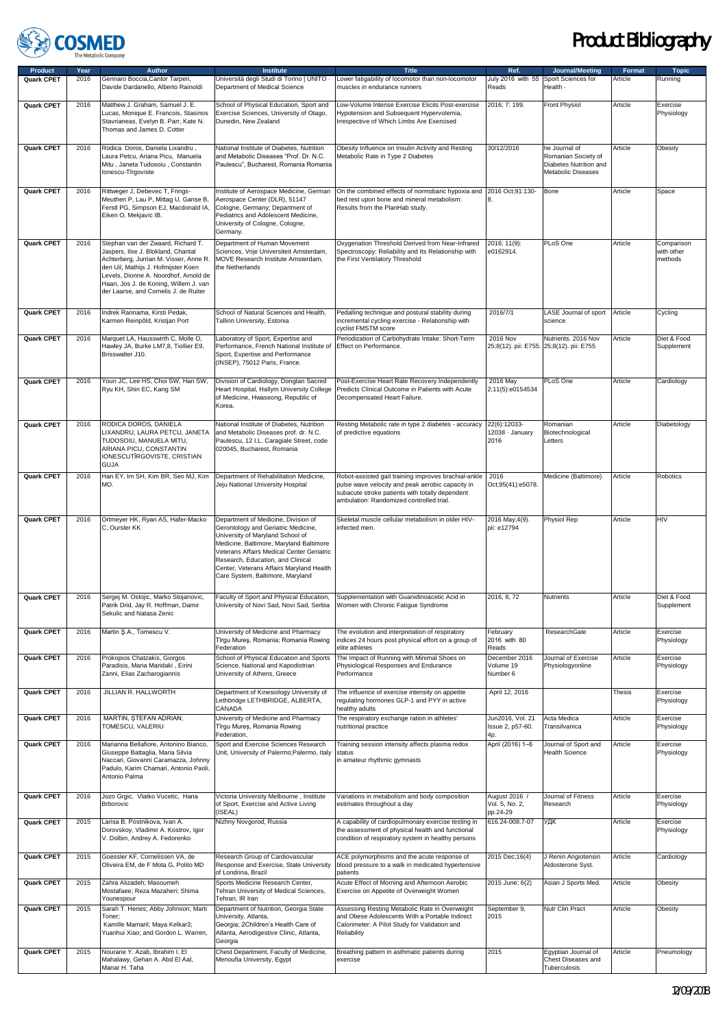

| <b>Product</b>    | Year | Author                                                                                                                                                                                                                                                                               | <b>Institute</b>                                                                                                                                                                                                                                                                                                            | <b>Title</b>                                                                                                                                                                                            | Ref.                                        | Journal/Meeting                                                                             | Format  | <b>Topic</b>                        |
|-------------------|------|--------------------------------------------------------------------------------------------------------------------------------------------------------------------------------------------------------------------------------------------------------------------------------------|-----------------------------------------------------------------------------------------------------------------------------------------------------------------------------------------------------------------------------------------------------------------------------------------------------------------------------|---------------------------------------------------------------------------------------------------------------------------------------------------------------------------------------------------------|---------------------------------------------|---------------------------------------------------------------------------------------------|---------|-------------------------------------|
| Quark CPET        | 2016 | Gennaro Boccia, Cantor Tarperi,<br>Davide Dardanello, Alberto Rainoldi                                                                                                                                                                                                               | Università degli Studi di Torino   UNITO -<br>Department of Medical Science                                                                                                                                                                                                                                                 | Lower fatigability of locomotor than non-locomotor<br>muscles in endurance runners                                                                                                                      | July 2016 with 55<br>Reads                  | Sport Sciences for<br>Health -                                                              | Article | Running                             |
| <b>Quark CPET</b> | 2016 | Matthew J. Graham. Samuel J. E.<br>Lucas, Monique E. Francois, Stasinos<br>Stavrianeas, Evelyn B. Parr, Kate N.<br>Thomas and James D. Cotter                                                                                                                                        | School of Physical Education, Sport and<br>Exercise Sciences, University of Otago,<br>Dunedin, New Zealand                                                                                                                                                                                                                  | Low-Volume Intense Exercise Elicits Post-exercise<br>Hypotension and Subsequent Hypervolemia,<br>Irrespective of Which Limbs Are Exercised                                                              | 2016; 7: 199.                               | <b>Front Physiol</b>                                                                        | Article | Exercise<br>Physiology              |
| <b>Quark CPET</b> | 2016 | Rodica Doros, Daniela Lixandru,<br>Laura Petcu, Ariana Picu, Manuela<br>Mitu, Janeta Tudosoiu, Constantin<br>Ionescu-Tîrgoviste                                                                                                                                                      | National Institute of Diabetes, Nutrition<br>and Metabolic Diseases "Prof. Dr. N.C.<br>Paulescu", Bucharest, Romania Romania                                                                                                                                                                                                | Obesity Influence on Insulin Activity and Resting<br>Metabolic Rate in Type 2 Diabetes                                                                                                                  | 30/12/2016                                  | he Journal of<br>Romanian Society of<br>Diabetes Nutrition and<br><b>Metabolic Diseases</b> | Article | Obesity                             |
| <b>Quark CPET</b> | 2016 | Rittweger J, Debevec T, Frings-<br>Meuthen P, Lau P, Mittag U, Ganse B,<br>Ferstl PG, Simpson EJ, Macdonald IA,<br>Eiken O, Mekjavic IB.                                                                                                                                             | Institute of Aerospace Medicine, German<br>Aerospace Center (DLR), 51147<br>Cologne, Germany; Department of<br>Pediatrics and Adolescent Medicine,<br>University of Cologne, Cologne,<br>Germany.                                                                                                                           | On the combined effects of normobaric hypoxia and<br>bed rest upon bone and mineral metabolism:<br>Results from the PlanHab study.                                                                      | 2016 Oct;91:130-                            | Bone                                                                                        | Article | Space                               |
| Quark CPET        | 2016 | Stephan van der Zwaard, Richard T.<br>Jaspers, Ilse J. Blokland, Chantal<br>Achterberg, Jurrian M. Visser, Anne R.<br>den Uil, Mathijs J. Hofmijster Koen<br>Levels, Dionne A. Noordhof, Arnold de<br>Haan, Jos J. de Koning, Willem J. van<br>der Laarse, and Cornelis J. de Ruiter | Department of Human Movement<br>Sciences, Vrije Universiteit Amsterdam,<br>MOVE Research Institute Amsterdam,<br>the Netherlands                                                                                                                                                                                            | Oxygenation Threshold Derived from Near-Infrared<br>Spectroscopy: Reliability and Its Relationship with<br>the First Ventilatory Threshold                                                              | 2016; 11(9):<br>e0162914.                   | PLoS One                                                                                    | Article | Comparison<br>with other<br>methods |
| Quark CPET        | 2016 | Indrek Rannama, Kirsti Pedak,<br>Karmen Reinpöld, Kristjan Port                                                                                                                                                                                                                      | School of Natural Sciences and Health,<br>Tallinn University, Estonia                                                                                                                                                                                                                                                       | Pedalling technique and postural stability during<br>incremental cycling exercise - Relationship with<br>cyclist FMSTM score                                                                            | 2016/7/1                                    | LASE Journal of sport<br>science                                                            | Article | Cycling                             |
| <b>Quark CPET</b> | 2016 | Marquet LA, Hausswirth C, Molle O,<br>Hawley JA, Burke LM7,8, Tiollier E9,<br>Brisswalter J10.                                                                                                                                                                                       | Laboratory of Sport, Expertise and<br>Performance, French National Institute of<br>Sport, Expertise and Performance<br>(INSEP), 75012 Paris, France.                                                                                                                                                                        | Periodization of Carbohydrate Intake: Short-Term<br>Effect on Performance.                                                                                                                              | 2016 Nov                                    | Nutrients. 2016 Nov<br>25;8(12). pii: E755. 25;8(12). pii: E755                             | Article | Diet & Food<br>Supplement           |
| <b>Quark CPET</b> | 2016 | Youn JC, Lee HS, Choi SW, Han SW,<br>Ryu KH, Shin EC, Kang SM                                                                                                                                                                                                                        | Division of Cardiology, Dongtan Sacred<br>Heart Hospital, Hallym University College<br>of Medicine, Hwaseong, Republic of<br>Korea.                                                                                                                                                                                         | Post-Exercise Heart Rate Recovery Independently<br>Predicts Clinical Outcome in Patients with Acute<br>Decompensated Heart Failure.                                                                     | 2016 May<br>2;11(5):e0154534                | PLoS One                                                                                    | Article | Cardiology                          |
| Quark CPET        | 2016 | RODICA DOROS, DANIELA<br>LIXANDRU, LAURA PETCU, JANETA<br>TUDOSOIU, MANUELA MITU,<br>ARIANA PICU, CONSTANTIN<br>IONESCUTÎRGOVISTE, CRISTIAN<br><b>GUJA</b>                                                                                                                           | National Institute of Diabetes, Nutrition<br>and Metabolic Diseases prof. dr. N.C.<br>Paulescu, 12 I.L. Caragiale Street, code<br>020045, Bucharest, Romania                                                                                                                                                                | Resting Metabolic rate in type 2 diabetes - accuracy<br>of predictive equations                                                                                                                         | 22(6):12033-<br>12038 · January<br>2016     | Romanian<br>Biotechnological<br>Letters                                                     | Article | Diabetology                         |
| Quark CPET        | 2016 | Han EY, Im SH, Kim BR, Seo MJ, Kim<br>MO.                                                                                                                                                                                                                                            | Department of Rehabilitation Medicine,<br>Jeju National University Hospital                                                                                                                                                                                                                                                 | Robot-assisted gait training improves brachial-ankle<br>pulse wave velocity and peak aerobic capacity in<br>subacute stroke patients with totally dependent<br>ambulation: Randomized controlled trial. | 2016<br>Oct;95(41):e5078.                   | Medicine (Baltimore)                                                                        | Article | Robotics                            |
| Quark CPET        | 2016 | Ortmeyer HK, Ryan AS, Hafer-Macko<br>C, Oursler KK                                                                                                                                                                                                                                   | Department of Medicine, Division of<br>Gerontology and Geriatric Medicine,<br>University of Maryland School of<br>Medicine, Baltimore, Maryland Baltimore<br>Veterans Affairs Medical Center Geriatric<br>Research, Education, and Clinical<br>Center, Veterans Affairs Maryland Health<br>Care System, Baltimore, Maryland | Skeletal muscle cellular metabolism in older HIV-<br>infected men.                                                                                                                                      | 2016 May; 4(9).<br>pii: e12794              | Physiol Rep                                                                                 | Article | HIV                                 |
| <b>Quark CPET</b> | 2016 | Sergej M. Ostojic, Marko Stojanovic,<br>Patrik Drid, Jay R. Hoffman, Damir<br>Sekulic and Natasa Zenic                                                                                                                                                                               | Faculty of Sport and Physical Education,<br>University of Novi Sad, Novi Sad, Serbia                                                                                                                                                                                                                                        | Supplementation with Guanidinoacetic Acid in<br>Women with Chronic Fatigue Syndrome                                                                                                                     | 2016, 8, 72                                 | Nutrients                                                                                   | Article | Diet & Food<br>Supplement           |
| Quark CPET        | 2016 | Martin Ş.A., Tomescu V.                                                                                                                                                                                                                                                              | University of Medicine and Pharmacy<br>Tîrgu Mureş, Romania; Romania Rowing<br>Federation                                                                                                                                                                                                                                   | The evolution and interpretation of respiratory<br>indices 24 hours post physical effort on a group of<br>elite athletes                                                                                | February<br>2016 with 80<br>Reads           | ResearchGate                                                                                | Article | Exercise<br>Physiology              |
| Quark CPET        | 2016 | Prokopios Chatzakis, Giorgos<br>Paradisis, Maria Maridaki, Eirini<br>Zanni, Elias Zacharogiannis                                                                                                                                                                                     | School of Physical Education and Sports<br>Science, National and Kapodistrian<br>University of Athens, Greece                                                                                                                                                                                                               | The Impact of Running with Minimal Shoes on<br>Physiological Responses and Endurance<br>Performance                                                                                                     | December 2016<br>Volume 19<br>Number 6      | Journal of Exercise<br>Physiologyonline                                                     | Article | Exercise<br>Physiology              |
| Quark CPET        | 2016 | JILLIAN R. HALLWORTH                                                                                                                                                                                                                                                                 | Department of Kinesiology University of<br>Lethbridge LETHBRIDGE, ALBERTA,<br>CANADA                                                                                                                                                                                                                                        | The influence of exercise intensity on appetite<br>regulating hormones GLP-1 and PYY in active<br>healthy adults                                                                                        | April 12, 2016                              |                                                                                             | Thesis  | Exercise<br>Physiology              |
| Quark CPET        | 2016 | MARTIN, STEFAN ADRIAN;<br>TOMESCU, VALERIU                                                                                                                                                                                                                                           | University of Medicine and Pharmacy<br>Tîrgu Mureș, Romania Rowing<br>Federation,                                                                                                                                                                                                                                           | The respiratory exchange ration in athletes'<br>nutritional practice                                                                                                                                    | Jun2016, Vol. 21<br>Issue 2, p57-60.<br>4p. | Acta Medica<br>Transilvanica                                                                | Article | Exercise<br>Physiology              |
| Quark CPET        | 2016 | Marianna Bellafiore, Antonino Bianco,<br>Giuseppe Battaglia, Maria Silvia<br>Naccari, Giovanni Caramazza, Johnny<br>Padulo, Karim Chamari, Antonio Paoli,<br>Antonio Palma                                                                                                           | Sport and Exercise Sciences Research<br>Unit, University of Palermo; Palermo, Italy                                                                                                                                                                                                                                         | Training session intensity affects plasma redox<br>status<br>in amateur rhythmic gymnasts                                                                                                               | April (2016) 1-6                            | Journal of Sport and<br><b>Health Science</b>                                               | Article | Exercise<br>Physiology              |
| Quark CPET        | 2016 | Jozo Grgic, Vlatko Vucetic, Hana<br>Brborovic                                                                                                                                                                                                                                        | Victoria University Melbourne, Institute<br>of Sport, Exercise and Active Living<br>(ISEAL)                                                                                                                                                                                                                                 | Variations in metabolism and body composition<br>estimates throughout a day                                                                                                                             | August 2016 /<br>Vol. 5, No. 2,<br>pp.24-29 | Journal of Fitness<br>Research                                                              | Article | Exercise<br>Physiology              |
| Quark CPET        | 2015 | Larisa B. Postnikova, Ivan A.<br>Dorovskoy, Vladimir A. Kostrov, Igor<br>V. Dolbin, Andrey A. Fedorenko                                                                                                                                                                              | Nizhny Novgorod, Russia                                                                                                                                                                                                                                                                                                     | A capability of cardiopulmonary exercise testing in<br>the assessment of physical health and functional<br>condition of respiratory system in healthy persons                                           | 616.24-008.7-07                             | УДК                                                                                         | Article | Exercise<br>Physiology              |
| Quark CPET        | 2015 | Goessler KF, Cornelissen VA, de<br>Oliveira EM, de F Mota G, Polito MD                                                                                                                                                                                                               | Research Group of Cardiovascular<br>Response and Exercise, State University<br>of Londrina, Brazil                                                                                                                                                                                                                          | ACE polymorphisms and the acute response of<br>blood pressure to a walk in medicated hypertensive<br>patients                                                                                           | 2015 Dec; 16(4)                             | J Renin Angiotensin<br>Aldosterone Syst.                                                    | Article | Cardiology                          |
| Quark CPET        | 2015 | Zahra Alizadeh; Masoumeh<br>Mostafaee; Reza Mazaheri; Shima<br>Younespour                                                                                                                                                                                                            | Sports Medicine Research Center,<br>Tehran University of Medical Sciences,<br>Tehran, IR Iran                                                                                                                                                                                                                               | Acute Effect of Morning and Afternoon Aerobic<br>Exercise on Appetite of Overweight Women                                                                                                               | 2015 June; 6(2)                             | Asian J Sports Med.                                                                         | Article | Obesity                             |
| Quark CPET        | 2015 | Sarah T. Henes; Abby Johnson; Marti<br>Toner;<br>Kamille Mamaril; Maya Kelkar3;<br>Yuanhui Xiao; and Gordon L. Warren,                                                                                                                                                               | Department of Nutrition, Georgia State<br>University, Atlanta,<br>Georgia; 2Children's Health Care of<br>Atlanta, Aerodigestive Clinic, Atlanta,<br>Georgia                                                                                                                                                                 | Assessing Resting Metabolic Rate in Overweight<br>and Obese Adolescents With a Portable Indirect<br>Calorimeter: A Pilot Study for Validation and<br>Reliability                                        | September 9,<br>2015                        | Nutr Clin Pract                                                                             | Article | Obesity                             |
| Quark CPET        | 2015 | Nourane Y. Azab, Ibrahim I. El<br>Mahalawy, Gehan A. Abd El Aal,<br>Manar H. Taha                                                                                                                                                                                                    | Chest Department, Faculty of Medicine,<br>Menoufia University, Egypt                                                                                                                                                                                                                                                        | Breathing pattern in asthmatic patients during<br>exercise                                                                                                                                              | 2015                                        | Egyptian Journal of<br>Chest Diseases and<br>Tuberculosis                                   | Article | Pneumology                          |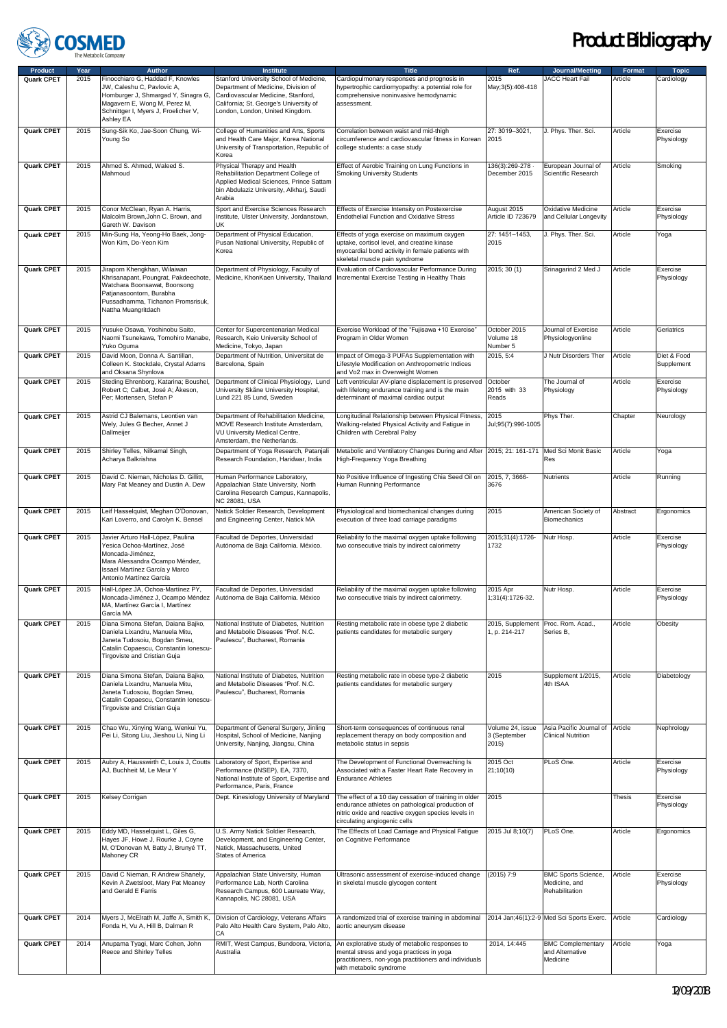

| <b>Product</b>    | Year              | <b>Author</b>                                                                                                                                                                                | <b>Institute</b>                                                                                                                                                                                  | <b>Title</b>                                                                                                                                                                                    | Ref.                                      | Journal/Meeting                                               | Format   | <b>Topic</b>              |
|-------------------|-------------------|----------------------------------------------------------------------------------------------------------------------------------------------------------------------------------------------|---------------------------------------------------------------------------------------------------------------------------------------------------------------------------------------------------|-------------------------------------------------------------------------------------------------------------------------------------------------------------------------------------------------|-------------------------------------------|---------------------------------------------------------------|----------|---------------------------|
| Quark CPET        | $\overline{2015}$ | Finocchiaro G, Haddad F, Knowles<br>JW. Caleshu C. Pavlovic A.<br>Homburger J, Shmargad Y, Sinagra G,<br>Magavern E, Wong M, Perez M,<br>Schnittger I, Myers J, Froelicher V,<br>Ashley EA   | Stanford University School of Medicine,<br>Department of Medicine, Division of<br>Cardiovascular Medicine, Stanford,<br>California; St. George's University of<br>London, London, United Kingdom. | Cardiopulmonary responses and prognosis in<br>hypertrophic cardiomyopathy: a potential role for<br>comprehensive noninvasive hemodynamic<br>assessment.                                         | 2015<br>May; 3(5): 408-418                | JACC Heart Fail                                               | Article  | Cardiology                |
| Quark CPET        | 2015              | Sung-Sik Ko, Jae-Soon Chung, Wi-<br>Young So                                                                                                                                                 | College of Humanities and Arts, Sports<br>and Health Care Major, Korea National<br>University of Transportation, Republic of<br>Korea                                                             | Correlation between waist and mid-thigh<br>circumference and cardiovascular fitness in Korean<br>college students: a case study                                                                 | 27: 3019-3021,<br>2015                    | J. Phys. Ther. Sci.                                           | Article  | Exercise<br>Physiology    |
| Quark CPET        | 2015              | Ahmed S. Ahmed, Waleed S.<br>Mahmoud                                                                                                                                                         | Physical Therapy and Health<br>Rehabilitation Department College of<br>Applied Medical Sciences, Prince Sattam<br>bin Abdulaziz University, Alkharj, Saudi<br>Arabia                              | Effect of Aerobic Training on Lung Functions in<br><b>Smoking University Students</b>                                                                                                           | 136(3):269-278 -<br>December 2015         | European Journal of<br>Scientific Research                    | Article  | Smoking                   |
| Quark CPET        | 2015              | Conor McClean, Ryan A. Harris,<br>Malcolm Brown, John C. Brown, and<br>Gareth W. Davison                                                                                                     | Sport and Exercise Sciences Research<br>Institute, Ulster University, Jordanstown,<br>UK                                                                                                          | Effects of Exercise Intensity on Postexercise<br><b>Endothelial Function and Oxidative Stress</b>                                                                                               | August 2015<br>Article ID 723679          | <b>Oxidative Medicine</b><br>and Cellular Longevity           | Article  | Exercise<br>Physiology    |
| Quark CPET        | 2015              | Min-Sung Ha, Yeong-Ho Baek, Jong-<br>Won Kim, Do-Yeon Kim                                                                                                                                    | Department of Physical Education,<br>Pusan National University, Republic of<br>Korea                                                                                                              | Effects of yoga exercise on maximum oxygen<br>uptake, cortisol level, and creatine kinase<br>myocardial bond activity in female patients with<br>skeletal muscle pain syndrome                  | 27: 1451-1453,<br>2015                    | J. Phys. Ther. Sci.                                           | Article  | Yoga                      |
| Quark CPET        | 2015              | Jiraporn Khengkhan, Wilaiwan<br>Khrisanapant, Poungrat, Pakdeechote,<br>Watchara Boonsawat, Boonsong<br>Patjanasoontorn, Burabha<br>Pussadhamma, Tichanon Promsrisuk,<br>Nattha Muangritdach | Department of Physiology, Faculty of<br>Medicine, KhonKaen University, Thailand                                                                                                                   | Evaluation of Cardiovascular Performance During<br>Incremental Exercise Testing in Healthy Thais                                                                                                | 2015; 30 (1)                              | Srinagarind 2 Med J                                           | Article  | Exercise<br>Physiology    |
| Quark CPET        | 2015              | Yusuke Osawa, Yoshinobu Saito,<br>Naomi Tsunekawa, Tomohiro Manabe,<br>Yuko Oguma                                                                                                            | Center for Supercentenarian Medical<br>Research, Keio University School of<br>Medicine, Tokyo, Japan                                                                                              | Exercise Workload of the "Fujisawa +10 Exercise"<br>Program in Older Women                                                                                                                      | October 2015<br>Volume 18<br>Number 5     | Journal of Exercise<br>Physiologyonline                       | Article  | Geriatrics                |
| Quark CPET        | 2015              | David Moon, Donna A. Santillan,<br>Colleen K. Stockdale, Crystal Adams<br>and Oksana Shynlova                                                                                                | Department of Nutrition, Universitat de<br>Barcelona, Spain                                                                                                                                       | Impact of Omega-3 PUFAs Supplementation with<br>Lifestyle Modification on Anthropometric Indices<br>and Vo2 max in Overweight Women                                                             | 2015, 5:4                                 | J Nutr Disorders Ther                                         | Article  | Diet & Food<br>Supplement |
| Quark CPET        | 2015              | Steding Ehrenborg, Katarina; Boushel,<br>Robert C; Calbet, José A; Åkeson,<br>Per; Mortensen, Stefan P                                                                                       | Department of Clinical Physiology, Lund<br>University Skåne University Hospital,<br>Lund 221 85 Lund, Sweden                                                                                      | Left ventricular AV-plane displacement is preserved<br>with lifelong endurance training and is the main<br>determinant of maximal cardiac output                                                | October<br>2015 with 33<br>Reads          | The Journal of<br>Physiology                                  | Article  | Exercise<br>Physiology    |
| Quark CPET        | 2015              | Astrid CJ Balemans, Leontien van<br>Wely, Jules G Becher, Annet J<br>Dallmeijer                                                                                                              | Department of Rehabilitation Medicine,<br>MOVE Research Institute Amsterdam,<br>VU University Medical Centre,<br>Amsterdam, the Netherlands.                                                      | Longitudinal Relationship between Physical Fitness,<br>Walking-related Physical Activity and Fatigue in<br>Children with Cerebral Palsy                                                         | 2015<br>Jul;95(7):996-1005                | Phys Ther.                                                    | Chapter  | Neurology                 |
| Quark CPET        | 2015              | Shirley Telles, Nilkamal Singh,<br>Acharya Balkrishna                                                                                                                                        | Department of Yoga Research, Patanjali<br>Research Foundation, Haridwar, India                                                                                                                    | Metabolic and Ventilatory Changes During and After 2015; 21: 161-171<br>High-Frequency Yoga Breathing                                                                                           |                                           | Med Sci Monit Basic<br>Res                                    | Article  | Yoga                      |
| Quark CPET        | 2015              | David C. Nieman, Nicholas D. Gillitt,<br>Mary Pat Meaney and Dustin A. Dew                                                                                                                   | Human Performance Laboratory,<br>Appalachian State University, North<br>Carolina Research Campus, Kannapolis,<br>NC 28081, USA                                                                    | No Positive Influence of Ingesting Chia Seed Oil on<br>Human Running Performance                                                                                                                | 2015, 7, 3666-<br>3676                    | Nutrients                                                     | Article  | Running                   |
| Quark CPET        | 2015              | Leif Hasselquist, Meghan O'Donovan,<br>Kari Loverro, and Carolyn K. Bensel                                                                                                                   | Natick Soldier Research, Development<br>and Engineering Center, Natick MA                                                                                                                         | Physiological and biomechanical changes during<br>execution of three load carriage paradigms                                                                                                    | 2015                                      | American Society of<br>Biomechanics                           | Abstract | Ergonomics                |
| <b>Quark CPET</b> | 2015              | Javier Arturo Hall-López, Paulina<br>Yesica Ochoa-Martínez, José<br>Moncada-Jiménez,<br>Mara Alessandra Ocampo Méndez,<br>Issael Martínez García y Marco<br>Antonio Martínez García          | Facultad de Deportes, Universidad<br>Autónoma de Baja California. México.                                                                                                                         | Reliability fo the maximal oxygen uptake following<br>two consecutive trials by indirect calorimetry                                                                                            | 2015;31(4):1726-<br>1732                  | Nutr Hosp.                                                    | Article  | Exercise<br>Physiology    |
| <b>Quark CPET</b> | 2015              | Hall-López JA, Ochoa-Martínez PY,<br>Moncada-Jiménez J, Ocampo Méndez<br>MA, Martínez García I, Martínez<br>García MA                                                                        | Facultad de Deportes, Universidad<br>Autónoma de Baja California. México                                                                                                                          | Reliability of the maximal oxygen uptake following<br>two consecutive trials by indirect calorimetry.                                                                                           | 2015 Apr<br>1;31(4):1726-32.              | Nutr Hosp.                                                    | Article  | Exercise<br>Physiology    |
| Quark CPET        | 2015              | Diana Simona Stefan, Daiana Bajko,<br>Daniela Lixandru, Manuela Mitu,<br>Janeta Tudosoiu, Bogdan Smeu,<br>Catalin Copaescu, Constantin Ionescu-<br>Tirgoviste and Cristian Guja              | National Institute of Diabetes, Nutrition<br>and Metabolic Diseases "Prof. N.C.<br>Paulescu", Bucharest, Romania                                                                                  | Resting metabolic rate in obese type 2 diabetic<br>patients candidates for metabolic surgery                                                                                                    | 2015, Supplement<br>1, p. 214-217         | Proc. Rom. Acad.,<br>Series B.                                | Article  | Obesity                   |
| Quark CPET        | 2015              | Diana Simona Stefan, Daiana Bajko,<br>Daniela Lixandru, Manuela Mitu,<br>Janeta Tudosoiu, Bogdan Smeu,<br>Catalin Copaescu, Constantin Ionescu-<br>Tirgoviste and Cristian Guja              | National Institute of Diabetes, Nutrition<br>and Metabolic Diseases "Prof. N.C.<br>Paulescu", Bucharest, Romania                                                                                  | Resting metabolic rate in obese type-2 diabetic<br>patients candidates for metabolic surgery                                                                                                    | 2015                                      | Supplement 1/2015,<br>4th ISAA                                | Article  | Diabetology               |
| Quark CPET        | 2015              | Chao Wu, Xinying Wang, Wenkui Yu,<br>Pei Li, Sitong Liu, Jieshou Li, Ning Li                                                                                                                 | Department of General Surgery, Jinling<br>Hospital, School of Medicine, Nanjing<br>University, Nanjing, Jiangsu, China                                                                            | Short-term consequences of continuous renal<br>replacement therapy on body composition and<br>metabolic status in sepsis                                                                        | Volume 24, issue<br>3 (September<br>2015) | Asia Pacific Journal of<br><b>Clinical Nutrition</b>          | Article  | Nephrology                |
| Quark CPET        | 2015              | Aubry A, Hausswirth C, Louis J, Coutts<br>AJ, Buchheit M, Le Meur Y                                                                                                                          | Laboratory of Sport, Expertise and<br>Performance (INSEP), EA, 7370,<br>National Institute of Sport, Expertise and<br>Performance, Paris, France                                                  | The Development of Functional Overreaching Is<br>Associated with a Faster Heart Rate Recovery in<br><b>Endurance Athletes</b>                                                                   | 2015 Oct<br>21;10(10)                     | PLoS One.                                                     | Article  | Exercise<br>Physiology    |
| Quark CPET        | 2015              | Kelsey Corrigan                                                                                                                                                                              | Dept. Kinesiology University of Maryland                                                                                                                                                          | The effect of a 10 day cessation of training in older<br>endurance athletes on pathological production of<br>nitric oxide and reactive oxygen species levels in<br>circulating angiogenic cells | 2015                                      |                                                               | Thesis   | Exercise<br>Physiology    |
| Quark CPET        | 2015              | Eddy MD, Hasselquist L, Giles G,<br>Hayes JF, Howe J, Rourke J, Coyne<br>M, O'Donovan M, Batty J, Brunyé TT,<br>Mahoney CR                                                                   | U.S. Army Natick Soldier Research,<br>Development, and Engineering Center,<br>Natick, Massachusetts, United<br>States of America                                                                  | The Effects of Load Carriage and Physical Fatigue<br>on Cognitive Performance                                                                                                                   | 2015 Jul 8:10(7)                          | PLoS One.                                                     | Article  | Ergonomics                |
| <b>Quark CPET</b> | 2015              | David C Nieman, R Andrew Shanely,<br>Kevin A Zwetsloot, Mary Pat Meaney<br>and Gerald E Farris                                                                                               | Appalachian State University, Human<br>Performance Lab, North Carolina<br>Research Campus, 600 Laureate Way,<br>Kannapolis, NC 28081, USA                                                         | Ultrasonic assessment of exercise-induced change<br>in skeletal muscle glycogen content                                                                                                         | $(2015)$ 7:9                              | <b>BMC Sports Science,</b><br>Medicine, and<br>Rehabilitation | Article  | Exercise<br>Physiology    |
| Quark CPET        | 2014              | Myers J, McElrath M, Jaffe A, Smith K,<br>Fonda H, Vu A, Hill B, Dalman R                                                                                                                    | Division of Cardiology, Veterans Affairs<br>Palo Alto Health Care System, Palo Alto,<br>СA                                                                                                        | A randomized trial of exercise training in abdominal<br>aortic aneurysm disease                                                                                                                 |                                           | 2014 Jan; 46(1): 2-9 Med Sci Sports Exerc.                    | Article  | Cardiology                |
| Quark CPET        | 2014              | Anupama Tyagi, Marc Cohen, John<br>Reece and Shirley Telles                                                                                                                                  | RMIT, West Campus, Bundoora, Victoria,<br>Australia                                                                                                                                               | An explorative study of metabolic responses to<br>mental stress and yoga practices in yoga<br>practitioners, non-yoga practitioners and individuals<br>with metabolic syndrome                  | 2014, 14:445                              | <b>BMC Complementary</b><br>and Alternative<br>Medicine       | Article  | Yoga                      |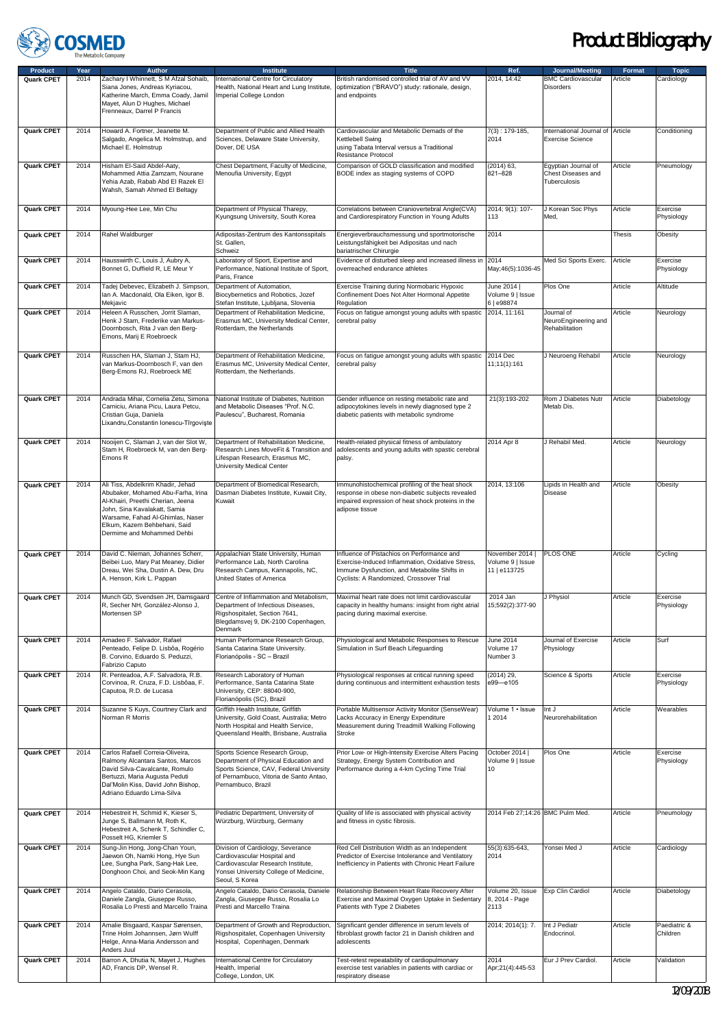

| <b>Product</b>    | Year | Author                                                                                                                                                                                                                                         | <b>Institute</b>                                                                                                                                                                  | <b>Title</b>                                                                                                                                                                              | Ref.                                              | Journal/Meeting                                             | Format        | <b>Topic</b>             |
|-------------------|------|------------------------------------------------------------------------------------------------------------------------------------------------------------------------------------------------------------------------------------------------|-----------------------------------------------------------------------------------------------------------------------------------------------------------------------------------|-------------------------------------------------------------------------------------------------------------------------------------------------------------------------------------------|---------------------------------------------------|-------------------------------------------------------------|---------------|--------------------------|
| Quark CPET        | 2014 | Zachary I Whinnett, S M Afzal Sohaib,<br>Siana Jones, Andreas Kyriacou,<br>Katherine March, Emma Coady, Jamil<br>Mayet, Alun D Hughes, Michael<br>Frenneaux, Darrel P Francis                                                                  | International Centre for Circulatory<br>Health, National Heart and Lung Institute,<br>Imperial College London                                                                     | British randomised controlled trial of AV and VV<br>optimization ("BRAVO") study: rationale, design,<br>and endpoints                                                                     | 2014, 14:42                                       | <b>BMC Cardiovascular</b><br><b>Disorders</b>               | Article       | Cardiology               |
| <b>Quark CPET</b> | 2014 | Howard A. Fortner, Jeanette M.<br>Salgado, Angelica M. Holmstrup, and<br>Michael E. Holmstrup                                                                                                                                                  | Department of Public and Allied Health<br>Sciences, Delaware State University,<br>Dover, DE USA                                                                                   | Cardiovascular and Metabolic Demads of the<br>Kettlebell Swing<br>using Tabata Interval versus a Traditional<br>Resistance Protocol                                                       | 7(3): 179-185,<br>2014                            | International Journal of Article<br><b>Exercise Science</b> |               | Conditioning             |
| Quark CPET        | 2014 | Hisham El-Said Abdel-Aaty,<br>Mohammed Attia Zamzam, Nourane<br>Yehia Azab, Rabab Abd El Razek El<br>Wahsh, Samah Ahmed El Beltagy                                                                                                             | Chest Department, Faculty of Medicine,<br>Menoufia University, Egypt                                                                                                              | Comparison of GOLD classification and modified<br>BODE index as staging systems of COPD                                                                                                   | (2014) 63,<br>821-828                             | Egyptian Journal of<br>Chest Diseases and<br>Tuberculosis   | Article       | Pneumology               |
| Quark CPET        | 2014 | Myoung-Hee Lee, Min Chu                                                                                                                                                                                                                        | Department of Physical Tharepy,<br>Kyungsung University, South Korea                                                                                                              | Correlations between Craniovertebral Angle(CVA)<br>and Cardiorespiratory Function in Young Adults                                                                                         | 2014; 9(1): 107-<br>113                           | J Korean Soc Phys<br>Med,                                   | Article       | Exercise<br>Physiology   |
| Quark CPET        | 2014 | Rahel Waldburger                                                                                                                                                                                                                               | Adipositas-Zentrum des Kantonsspitals<br>St. Gallen,<br>Schweiz                                                                                                                   | Energieverbrauchsmessung und sportmotorische<br>Leistungsfähigkeit bei Adipositas und nach<br>bariatrischer Chirurgie                                                                     | 2014                                              |                                                             | <b>Thesis</b> | Obesity                  |
| Quark CPET        | 2014 | Hausswirth C, Louis J, Aubry A,<br>Bonnet G, Duffield R, LE Meur Y                                                                                                                                                                             | Laboratory of Sport, Expertise and<br>Performance, National Institute of Sport,<br>Paris, France                                                                                  | Evidence of disturbed sleep and increased illness in 2014<br>overreached endurance athletes                                                                                               | May; 46(5): 1036-45                               | Med Sci Sports Exerc.                                       | Article       | Exercise<br>Physiology   |
| Quark CPET        | 2014 | Tadej Debevec, Elizabeth J. Simpson,<br>Ian A. Macdonald, Ola Eiken, Igor B.<br>Mekjavic                                                                                                                                                       | Department of Automation,<br>Biocybernetics and Robotics, Jozef<br>Stefan Institute, Ljubljana, Slovenia                                                                          | Exercise Training during Normobaric Hypoxic<br>Confinement Does Not Alter Hormonal Appetite<br>Regulation                                                                                 | June 2014  <br>Volume 9   Issue<br>6   e98874     | Plos One                                                    | Article       | Altitude                 |
| Quark CPET        | 2014 | Heleen A Russchen, Jorrit Slaman,<br>Henk J Stam, Frederike van Markus-<br>Doornbosch. Rita J van den Berg-<br>Emons, Marij E Roebroeck                                                                                                        | Department of Rehabilitation Medicine,<br>Erasmus MC, University Medical Center,<br>Rotterdam, the Netherlands                                                                    | Focus on fatigue amongst young adults with spastic<br>cerebral palsy                                                                                                                      | 2014, 11:161                                      | Journal of<br>NeuroEngineering and<br>Rehabilitation        | Article       | Neurology                |
| <b>Quark CPET</b> | 2014 | Russchen HA, Slaman J, Stam HJ,<br>van Markus-Doornbosch F, van den<br>Berg-Emons RJ, Roebroeck ME                                                                                                                                             | Department of Rehabilitation Medicine,<br>Erasmus MC, University Medical Center,<br>Rotterdam, the Netherlands.                                                                   | Focus on fatigue amongst young adults with spastic<br>cerebral palsy                                                                                                                      | 2014 Dec<br>11;11(1):161                          | J Neuroeng Rehabil                                          | Article       | Neurology                |
| <b>Quark CPET</b> | 2014 | Andrada Mihai, Cornelia Zetu, Simona<br>Carniciu, Ariana Picu, Laura Petcu,<br>Cristian Guja, Daniela<br>Lixandru, Constantin Ionescu-Tîrgovişte                                                                                               | National Institute of Diabetes, Nutrition<br>and Metabolic Diseases "Prof. N.C.<br>Paulescu", Bucharest, Romania                                                                  | Gender influence on resting metabolic rate and<br>adipocytokines levels in newly diagnosed type 2<br>diabetic patients with metabolic syndrome                                            | 21(3):193-202                                     | Rom J Diabetes Nutr<br>Metab Dis.                           | Article       | Diabetology              |
| Quark CPET        | 2014 | Nooijen C, Slaman J, van der Slot W,<br>Stam H, Roebroeck M, van den Berg-<br>Emons R                                                                                                                                                          | Department of Rehabilitation Medicine,<br>Research Lines MoveFit & Transition and<br>Lifespan Research, Erasmus MC,<br>University Medical Center                                  | Health-related physical fitness of ambulatory<br>adolescents and young adults with spastic cerebral<br>palsy.                                                                             | 2014 Apr 8                                        | J Rehabil Med.                                              | Article       | Neurology                |
| Quark CPET        | 2014 | Ali Tiss, Abdelkrim Khadir, Jehad<br>Abubaker, Mohamed Abu-Farha, Irina<br>Al-Khairi, Preethi Cherian, Jeena<br>John, Sina Kavalakatt, Samia<br>Warsame, Fahad Al-Ghimlas, Naser<br>Elkum, Kazem Behbehani, Said<br>Dermime and Mohammed Dehbi | Department of Biomedical Research,<br>Dasman Diabetes Institute, Kuwait City,<br>Kuwait                                                                                           | Immunohistochemical profiling of the heat shock<br>response in obese non-diabetic subjects revealed<br>impaired expression of heat shock proteins in the<br>adipose tissue                | 2014, 13:106                                      | Lipids in Health and<br>Disease                             | Article       | Obesity                  |
| Quark CPET        | 2014 | David C. Nieman, Johannes Scherr,<br>Beibei Luo, Mary Pat Meaney, Didier<br>Dreau, Wei Sha, Dustin A. Dew, Dru<br>A. Henson, Kirk L. Pappan                                                                                                    | Appalachian State University, Human<br>Performance Lab, North Carolina<br>Research Campus, Kannapolis, NC,<br>United States of America                                            | Influence of Pistachios on Performance and<br>Exercise-Induced Inflammation, Oxidative Stress,<br>Immune Dysfunction, and Metabolite Shifts in<br>Cyclists: A Randomized, Crossover Trial | November 2014<br>Volume 9   Issue<br>11   e113725 | PLOS ONE                                                    | Article       | Cycling                  |
| Quark CPET        | 2014 | Munch GD, Svendsen JH, Damsgaard<br>R. Secher NH. González-Alonso J.<br>Mortensen SP                                                                                                                                                           | Centre of Inflammation and Metabolism,<br>Department of Infectious Diseases,<br>Rigshospitalet, Section 7641<br>Blegdamsvej 9, DK-2100 Copenhagen,<br>Denmark                     | Maximal heart rate does not limit cardiovascular<br>capacity in healthy humans: insight from right atrial<br>pacing during maximal exercise.                                              | 2014 Jan<br>15;592(2):377-90                      | J Physiol                                                   | Article       | Exercise<br>Physiology   |
| Quark CPET        | 2014 | Amadeo F. Salvador, Rafael<br>Penteado, Felipe D. Lisbôa, Rogério<br>B. Corvino, Eduardo S. Peduzzi,<br>Fabrizio Caputo                                                                                                                        | Human Performance Research Group,<br>Santa Catarina State University.<br>Florianópolis - SC - Brazil                                                                              | Physiological and Metabolic Responses to Rescue<br>Simulation in Surf Beach Lifeguarding                                                                                                  | June 2014<br>Volume 17<br>Number 3                | Journal of Exercise<br>Physiology                           | Article       | Surf                     |
| Quark CPET        | 2014 | R. Penteadoa, A.F. Salvadora, R.B.<br>Corvinoa, R. Cruza, F.D. Lisbôaa, F.<br>Caputoa, R.D. de Lucasa                                                                                                                                          | Research Laboratory of Human<br>Performance, Santa Catarina State<br>University, CEP: 88040-900,<br>Florianópolis (SC), Brazil                                                    | Physiological responses at critical running speed<br>during continuous and intermittent exhaustion tests                                                                                  | $(2014)$ 29,<br>e99-e105                          | Science & Sports                                            | Article       | Exercise<br>Physiology   |
| Quark CPET        | 2014 | Suzanne S Kuys, Courtney Clark and<br>Norman R Morris                                                                                                                                                                                          | Griffith Health Institute. Griffith<br>University, Gold Coast, Australia; Metro<br>North Hospital and Health Service,<br>Queensland Health, Brisbane, Australia                   | Portable Multisensor Activity Monitor (SenseWear)<br>Lacks Accuracy in Energy Expenditure<br>Measurement during Treadmill Walking Following<br>Stroke                                     | Volume 1 . Issue<br>1 2014                        | Int J<br>Neurorehabilitation                                | Article       | Wearables                |
| Quark CPET        | 2014 | Carlos Rafaell Correia-Oliveira,<br>Ralmony Alcantara Santos, Marcos<br>David Silva-Cavalcante, Romulo<br>Bertuzzi, Maria Augusta Peduti<br>Dal'Molin Kiss, David John Bishop,<br>Adriano Eduardo Lima-Silva                                   | Sports Science Research Group,<br>Department of Physical Education and<br>Sports Science, CAV, Federal University<br>of Pernambuco, Vitoria de Santo Antao,<br>Pernambuco, Brazil | Prior Low- or High-Intensity Exercise Alters Pacing<br>Strategy, Energy System Contribution and<br>Performance during a 4-km Cycling Time Trial                                           | October 2014  <br>Volume 9   Issue<br>10          | Plos One                                                    | Article       | Exercise<br>Physiology   |
| Quark CPET        | 2014 | Hebestreit H, Schmid K, Kieser S,<br>Junge S, Ballmann M, Roth K,<br>Hebestreit A, Schenk T, Schindler C,<br>Posselt HG, Kriemler S                                                                                                            | Pediatric Department, University of<br>Würzburg, Würzburg, Germany                                                                                                                | Quality of life is associated with physical activity<br>and fitness in cystic fibrosis.                                                                                                   | 2014 Feb 27;14:26 BMC Pulm Med.                   |                                                             | Article       | Pneumology               |
| Quark CPET        | 2014 | Sung-Jin Hong, Jong-Chan Youn,<br>Jaewon Oh, Namki Hong, Hye Sun<br>Lee, Sungha Park, Sang-Hak Lee,<br>Donghoon Choi, and Seok-Min Kang                                                                                                        | Division of Cardiology, Severance<br>Cardiovascular Hospital and<br>Cardiovascular Research Institute,<br>Yonsei University College of Medicine,<br>Seoul, S Korea                | Red Cell Distribution Width as an Independent<br>Predictor of Exercise Intolerance and Ventilatory<br>Inefficiency in Patients with Chronic Heart Failure                                 | 55(3):635-643,<br>2014                            | Yonsei Med J                                                | Article       | Cardiology               |
| Quark CPET        | 2014 | Angelo Cataldo, Dario Cerasola,<br>Daniele Zangla, Giuseppe Russo,<br>Rosalia Lo Presti and Marcello Traina                                                                                                                                    | Angelo Cataldo, Dario Cerasola, Daniele<br>Zangla, Giuseppe Russo, Rosalia Lo<br>Presti and Marcello Traina                                                                       | Relationship Between Heart Rate Recovery After<br>Exercise and Maximal Oxygen Uptake in Sedentary<br>Patients with Type 2 Diabetes                                                        | Volume 20, Issue<br>8, 2014 - Page<br>2113        | Exp Clin Cardiol                                            | Article       | Diabetology              |
| Quark CPET        | 2014 | Amalie Bisgaard, Kaspar Sørensen,<br>Trine Holm Johannsen, Jørn Wulff<br>Helge, Anna-Maria Andersson and<br>Anders Juul                                                                                                                        | Department of Growth and Reproduction,<br>Rigshospitalet, Copenhagen University<br>Hospital, Copenhagen, Denmark                                                                  | Significant gender difference in serum levels of<br>fibroblast growth factor 21 in Danish children and<br>adolescents                                                                     | 2014; 2014(1): 7.                                 | Int J Pediatr<br>Endocrinol.                                | Article       | Paediatric &<br>Children |
| Quark CPET        | 2014 | Barron A, Dhutia N, Mayet J, Hughes<br>AD, Francis DP, Wensel R.                                                                                                                                                                               | International Centre for Circulatory<br>Health, Imperial<br>College, London, UK                                                                                                   | Test-retest repeatability of cardiopulmonary<br>exercise test variables in patients with cardiac or<br>respiratory disease                                                                | 2014<br>Apr;21(4):445-53                          | Eur J Prev Cardiol.                                         | Article       | Validation               |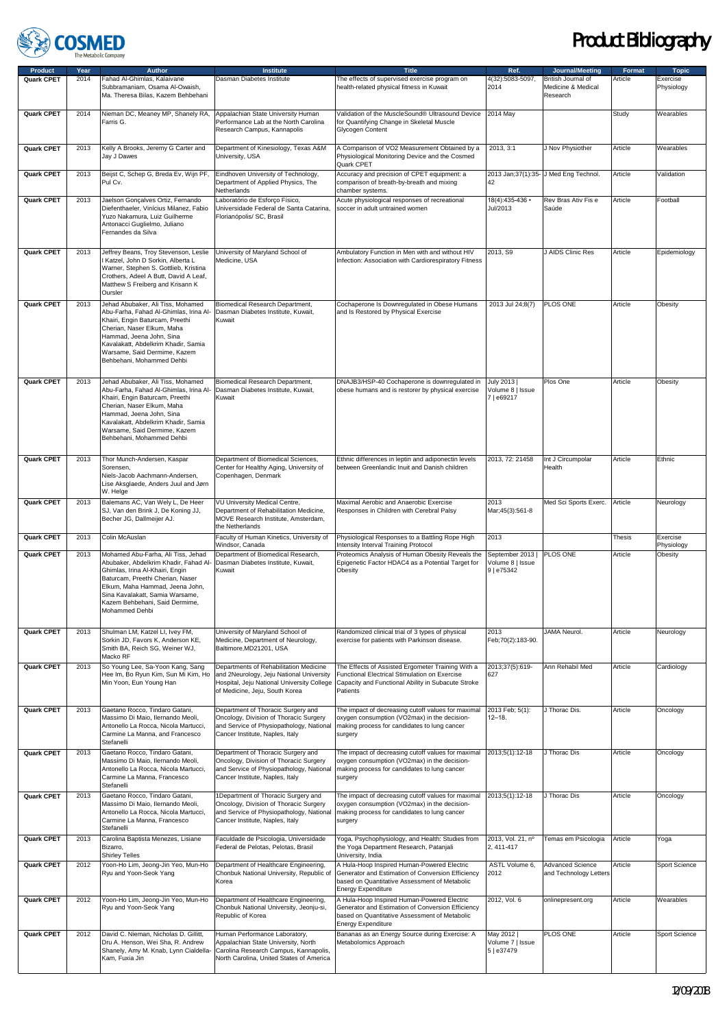

| <b>Product</b>    | Year | <b>Author</b>                                                                                                                                                                                                                                                                | <b>Institute</b>                                                                                                                                                   | <b>Title</b>                                                                                                                                                                   | Ref.                                             | Journal/Meeting                                      | <b>Format</b> | <b>Topic</b>           |
|-------------------|------|------------------------------------------------------------------------------------------------------------------------------------------------------------------------------------------------------------------------------------------------------------------------------|--------------------------------------------------------------------------------------------------------------------------------------------------------------------|--------------------------------------------------------------------------------------------------------------------------------------------------------------------------------|--------------------------------------------------|------------------------------------------------------|---------------|------------------------|
| Quark CPET        | 2014 | Fahad Al-Ghimlas, Kalaivane<br>Subbramaniam, Osama Al-Owaish,<br>Ma. Theresa Bilas, Kazem Behbehani                                                                                                                                                                          | Dasman Diabetes Institute                                                                                                                                          | The effects of supervised exercise program on<br>health-related physical fitness in Kuwait                                                                                     | 4(32):5083-5097,<br>2014                         | British Journal of<br>Medicine & Medical<br>Research | Article       | Exercise<br>Physiology |
| Quark CPET        | 2014 | Nieman DC, Meaney MP, Shanely RA,<br>Farris G.                                                                                                                                                                                                                               | Appalachian State University Human<br>Performance Lab at the North Carolina<br>Research Campus, Kannapolis                                                         | Validation of the MuscleSound® Ultrasound Device<br>for Quantifying Change in Skeletal Muscle<br>Glycogen Content                                                              | 2014 May                                         |                                                      | Study         | Wearables              |
| Quark CPET        | 2013 | Kelly A Brooks, Jeremy G Carter and<br>Jay J Dawes                                                                                                                                                                                                                           | Department of Kinesiology, Texas A&M<br>University, USA                                                                                                            | A Comparison of VO2 Measurement Obtained by a<br>Physiological Monitoring Device and the Cosmed<br>Quark CPET                                                                  | 2013.3:1                                         | J Nov Physiother                                     | Article       | Wearables              |
| Quark CPET        | 2013 | Beijst C, Schep G, Breda Ev, Wijn PF,<br>Pul Cv.                                                                                                                                                                                                                             | Eindhoven University of Technology,<br>Department of Applied Physics, The<br>Netherlands                                                                           | Accuracy and precision of CPET equipment: a<br>comparison of breath-by-breath and mixing<br>chamber systems.                                                                   | 42                                               | 2013 Jan; 37(1): 35- J Med Eng Technol.              | Article       | Validation             |
| Quark CPET        | 2013 | Jaelson Gonçalves Ortiz, Fernando<br>Diefenthaeler, Vinícius Milanez, Fabio<br>Yuzo Nakamura, Luiz Guilherme<br>Antonacci Guglielmo, Juliano<br>Fernandes da Silva                                                                                                           | Laboratório de Esforço Físico,<br>Universidade Federal de Santa Catarina,<br>Florianópolis/ SC. Brasil                                                             | Acute physiological responses of recreational<br>soccer in adult untrained women                                                                                               | $18(4):435-436$<br>Jul/2013                      | Rev Bras Ativ Fis e<br>Saúde                         | Article       | Football               |
| <b>Quark CPET</b> | 2013 | Jeffrey Beans, Troy Stevenson, Leslie<br>Katzel, John D Sorkin, Alberta L<br>Warner, Stephen S. Gottlieb, Kristina<br>Crothers, Adeel A Butt, David A Leaf,<br>Matthew S Freiberg and Krisann K<br>Oursler                                                                   | University of Maryland School of<br>Medicine, USA                                                                                                                  | Ambulatory Function in Men with and without HIV<br>Infection: Association with Cardiorespiratory Fitness                                                                       | 2013, S9                                         | J AIDS Clinic Res                                    | Article       | Epidemiology           |
| <b>Quark CPET</b> | 2013 | Jehad Abubaker, Ali Tiss, Mohamed<br>Abu-Farha, Fahad Al-Ghimlas, Irina Al-<br>Khairi, Engin Baturcam, Preethi<br>Cherian, Naser Elkum, Maha<br>Hammad, Jeena John, Sina<br>Kavalakatt, Abdelkrim Khadir, Samia<br>Warsame, Said Dermime, Kazem<br>Behbehani, Mohammed Dehbi | Biomedical Research Department,<br>Dasman Diabetes Institute, Kuwait,<br>Kuwait                                                                                    | Cochaperone Is Downregulated in Obese Humans<br>and Is Restored by Physical Exercise                                                                                           | 2013 Jul 24;8(7)                                 | PLOS ONE                                             | Article       | Obesity                |
| <b>Quark CPET</b> | 2013 | Jehad Abubaker, Ali Tiss, Mohamed<br>Abu-Farha, Fahad Al-Ghimlas, Irina Al-<br>Khairi, Engin Baturcam, Preethi<br>Cherian, Naser Elkum, Maha<br>Hammad, Jeena John, Sina<br>Kavalakatt, Abdelkrim Khadir, Samia<br>Warsame, Said Dermime, Kazem<br>Behbehani, Mohammed Dehbi | Biomedical Research Department,<br>Dasman Diabetes Institute, Kuwait,<br>Kuwait                                                                                    | DNAJB3/HSP-40 Cochaperone is downregulated in<br>obese humans and is restorer by physical exercise                                                                             | July 2013  <br>Volume 8   Issue<br>7   e69217    | Plos One                                             | Article       | Obesity                |
| Quark CPET        | 2013 | Thor Munch-Andersen, Kaspar<br>Sorensen,<br>Niels-Jacob Aachmann-Andersen,<br>Lise Aksglaede, Anders Juul and Jørn<br>W. Helge                                                                                                                                               | Department of Biomedical Sciences,<br>Center for Healthy Aging, University of<br>Copenhagen, Denmark                                                               | Ethnic differences in leptin and adiponectin levels<br>between Greenlandic Inuit and Danish children                                                                           | 2013, 72: 21458                                  | Int J Circumpolar<br>Health                          | Article       | Ethnic                 |
| Quark CPET        | 2013 | Balemans AC, Van Wely L, De Heer<br>SJ, Van den Brink J, De Koning JJ,<br>Becher JG, Dallmeijer AJ.                                                                                                                                                                          | VU University Medical Centre,<br>Department of Rehabilitation Medicine,<br>MOVE Research Institute, Amsterdam,<br>the Netherlands                                  | Maximal Aerobic and Anaerobic Exercise<br>Responses in Children with Cerebral Palsy                                                                                            | 2013<br>Mar;45(3):561-8                          | Med Sci Sports Exerc.                                | Article       | Neurology              |
| Quark CPET        | 2013 | Colin McAuslan                                                                                                                                                                                                                                                               | Faculty of Human Kinetics, University of<br>Windsor, Canada                                                                                                        | Physiological Responses to a Battling Rope High<br>Intensity Interval Training Protocol                                                                                        | 2013                                             |                                                      | <b>Thesis</b> | Exercise<br>Physiology |
| Quark CPET        | 2013 | Mohamed Abu-Farha, Ali Tiss, Jehad<br>Abubaker, Abdelkrim Khadir, Fahad Al-<br>Ghimlas, Irina Al-Khairi, Engin<br>Baturcam, Preethi Cherian, Naser<br>Elkum, Maha Hammad, Jeena John,<br>Sina Kavalakatt, Samia Warsame,<br>Kazem Behbehani, Said Dermime,<br>Mohammed Dehbi | Department of Biomedical Research,<br>Dasman Diabetes Institute, Kuwait,<br>Kuwait                                                                                 | Proteomics Analysis of Human Obesity Reveals the<br>Epigenetic Factor HDAC4 as a Potential Target for<br>Obesity                                                               | September 2013<br>Volume 8   Issue<br>9   e75342 | PLOS ONE                                             | Article       | Obesity                |
| Quark CPET        | 2013 | Shulman LM, Katzel LI, Ivey FM,<br>Sorkin JD, Favors K, Anderson KE,<br>Smith BA, Reich SG, Weiner WJ,<br>Macko RF                                                                                                                                                           | University of Maryland School of<br>Medicine, Department of Neurology,<br>Baltimore, MD21201, USA                                                                  | Randomized clinical trial of 3 types of physical<br>exercise for patients with Parkinson disease.                                                                              | 2013<br>Feb;70(2):183-90.                        | <b>JAMA Neurol.</b>                                  | Article       | Neurology              |
| Quark CPET        | 2013 | So Young Lee, Sa-Yoon Kang, Sang<br>Hee Im, Bo Ryun Kim, Sun Mi Kim, Ho<br>Min Yoon, Eun Young Han                                                                                                                                                                           | Departments of Rehabilitation Medicine<br>and 2Neurology, Jeju National University<br>Hospital, Jeju National University College<br>of Medicine, Jeju, South Korea | The Effects of Assisted Ergometer Training With a<br>Functional Electrical Stimulation on Exercise<br>Capacity and Functional Ability in Subacute Stroke<br>Patients           | 2013;37(5):619-<br>627                           | Ann Rehabil Med                                      | Article       | Cardiology             |
| Quark CPET        | 2013 | Gaetano Rocco, Tindaro Gatani,<br>Massimo Di Maio, Ilernando Meoli,<br>Antonello La Rocca, Nicola Martucci,<br>Carmine La Manna, and Francesco<br>Stefanelli                                                                                                                 | Department of Thoracic Surgery and<br>Oncology, Division of Thoracic Surgery<br>and Service of Physiopathology, National<br>Cancer Institute, Naples, Italy        | The impact of decreasing cutoff values for maximal<br>oxygen consumption (VO2max) in the decision-<br>making process for candidates to lung cancer<br>surgery                  | 2013 Feb; 5(1):<br>$12 - 18.$                    | J Thorac Dis.                                        | Article       | Oncology               |
| <b>Quark CPET</b> | 2013 | Gaetano Rocco, Tindaro Gatani,<br>Massimo Di Maio, Ilernando Meoli,<br>Antonello La Rocca, Nicola Martucci,<br>Carmine La Manna, Francesco<br>Stefanelli                                                                                                                     | Department of Thoracic Surgery and<br>Oncology, Division of Thoracic Surgery<br>and Service of Physiopathology, National<br>Cancer Institute, Naples, Italy        | The impact of decreasing cutoff values for maximal<br>oxygen consumption (VO2max) in the decision-<br>making process for candidates to lung cancer<br>surgery                  | 2013;5(1):12-18                                  | J Thorac Dis                                         | Article       | Oncology               |
| Quark CPET        | 2013 | Gaetano Rocco, Tindaro Gatani,<br>Massimo Di Maio, Ilernando Meoli,<br>Antonello La Rocca, Nicola Martucci,<br>Carmine La Manna, Francesco<br>Stefanelli                                                                                                                     | 1Department of Thoracic Surgery and<br>Oncology, Division of Thoracic Surgery<br>and Service of Physiopathology, National<br>Cancer Institute, Naples, Italy       | The impact of decreasing cutoff values for maximal<br>oxygen consumption (VO2max) in the decision-<br>making process for candidates to lung cancer<br>surgery                  | 2013;5(1):12-18                                  | J Thorac Dis                                         | Article       | Oncology               |
| Quark CPET        | 2013 | Carolina Baptista Menezes, Lisiane<br>Bizarro,<br><b>Shirley Telles</b>                                                                                                                                                                                                      | Faculdade de Psicologia, Universidade<br>Federal de Pelotas, Pelotas, Brasil                                                                                       | Yoga, Psychophysiology, and Health: Studies from<br>the Yoga Department Research, Patanjali<br>University, India                                                               | 2013, Vol. 21, nº<br>2, 411-417                  | Temas em Psicologia                                  | Article       | Yoga                   |
| Quark CPET        | 2012 | Yoon-Ho Lim, Jeong-Jin Yeo, Mun-Ho<br>Ryu and Yoon-Seok Yang                                                                                                                                                                                                                 | Department of Healthcare Engineering,<br>Chonbuk National University, Republic of<br>Korea                                                                         | A Hula-Hoop Inspired Human-Powered Electric<br>Generator and Estimation of Conversion Efficiency<br>based on Quantitative Assessment of Metabolic<br><b>Energy Expenditure</b> | ASTL Volume 6,<br>2012                           | <b>Advanced Science</b><br>and Technology Letters    | Article       | Sport Science          |
| <b>Quark CPET</b> | 2012 | Yoon-Ho Lim, Jeong-Jin Yeo, Mun-Ho<br>Ryu and Yoon-Seok Yang                                                                                                                                                                                                                 | Department of Healthcare Engineering,<br>Chonbuk National University, Jeonju-si,<br>Republic of Korea                                                              | A Hula-Hoop Inspired Human-Powered Electric<br>Generator and Estimation of Conversion Efficiency<br>based on Quantitative Assessment of Metabolic<br><b>Energy Expenditure</b> | 2012, Vol. 6                                     | onlinepresent.org                                    | Article       | Wearables              |
| Quark CPET        | 2012 | David C. Nieman, Nicholas D. Gillitt,<br>Dru A. Henson, Wei Sha, R. Andrew<br>Shanely, Amy M. Knab, Lynn Cialdella-<br>Kam, Fuxia Jin                                                                                                                                        | Human Performance Laboratory,<br>Appalachian State University, North<br>Carolina Research Campus, Kannapolis,<br>North Carolina, United States of America          | Bananas as an Energy Source during Exercise: A<br>Metabolomics Approach                                                                                                        | May 2012  <br>Volume 7   Issue<br>5   e37479     | PLOS ONE                                             | Article       | Sport Science          |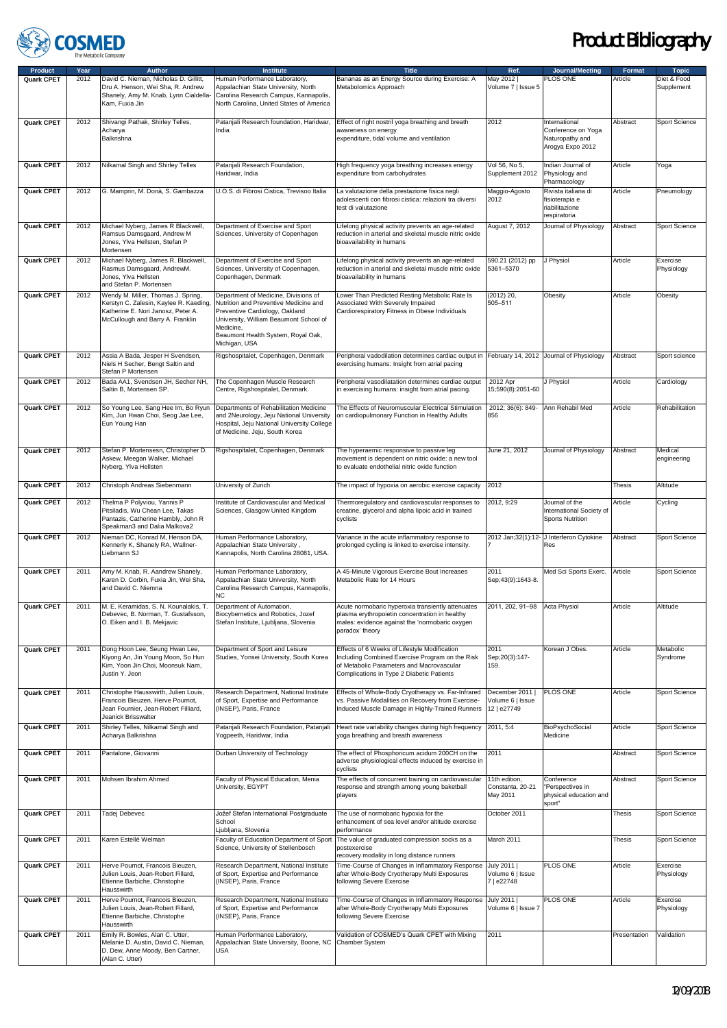

| <b>Product</b>    | Year | <b>Author</b>                                                                                                                                          | <b>Institute</b>                                                                                                                                                                                                              | <b>Title</b>                                                                                                                                                                              | Ref.                                             | Journal/Meeting                                                            | Format        | <b>Topic</b>              |
|-------------------|------|--------------------------------------------------------------------------------------------------------------------------------------------------------|-------------------------------------------------------------------------------------------------------------------------------------------------------------------------------------------------------------------------------|-------------------------------------------------------------------------------------------------------------------------------------------------------------------------------------------|--------------------------------------------------|----------------------------------------------------------------------------|---------------|---------------------------|
| Quark CPET        | 2012 | David C. Nieman, Nicholas D. Gillitt,<br>Dru A. Henson, Wei Sha, R. Andrew<br>Shanely, Amy M. Knab, Lynn Cialdella-<br>Kam, Fuxia Jin                  | Human Performance Laboratory,<br>Appalachian State University, North<br>Carolina Research Campus, Kannapolis,<br>North Carolina, United States of America                                                                     | Bananas as an Energy Source during Exercise: A<br>Metabolomics Approach                                                                                                                   | May 2012  <br>Volume 7   Issue 5                 | PLOS ONE                                                                   | Article       | Diet & Food<br>Supplement |
| Quark CPET        | 2012 | Shivangi Pathak, Shirley Telles,<br>Acharya<br>Balkrishna                                                                                              | Patanjali Research foundation, Haridwar,<br>India                                                                                                                                                                             | Effect of right nostril yoga breathing and breath<br>awareness on energy<br>expenditure, tidal volume and ventilation                                                                     | 2012                                             | International<br>Conference on Yoga<br>Naturopathy and<br>Arogya Expo 2012 | Abstract      | Sport Science             |
| Quark CPET        | 2012 | Nilkamal Singh and Shirley Telles                                                                                                                      | Patanjali Research Foundation,<br>Haridwar, India                                                                                                                                                                             | High frequency yoga breathing increases energy<br>expenditure from carbohydrates                                                                                                          | Vol 56, No 5,<br>Supplement 2012                 | Indian Journal of<br>Physiology and<br>Pharmacology                        | Article       | Yoga                      |
| Quark CPET        | 2012 | G. Mamprin, M. Donà, S. Gambazza                                                                                                                       | U.O.S. di Fibrosi Cistica, Trevisoo Italia                                                                                                                                                                                    | La valutazione della prestazione fisica negli<br>adolescenti con fibrosi cistica: relazioni tra diversi<br>test di valutazione                                                            | Maggio-Agosto<br>2012                            | Rivista italiana di<br>fisioterapia e<br>riabilitazione<br>respiratoria    | Article       | Pneumology                |
| Quark CPET        | 2012 | Michael Nyberg, James R Blackwell,<br>Ramsus Damsgaard, Andrew M<br>Jones, Ylva Hellsten, Stefan P<br>Mortensen                                        | Department of Exercise and Sport<br>Sciences, University of Copenhagen                                                                                                                                                        | Lifelong physical activity prevents an age-related<br>reduction in arterial and skeletal muscle nitric oxide<br>bioavailability in humans                                                 | August 7, 2012                                   | Journal of Physiology                                                      | Abstract      | Sport Science             |
| Quark CPET        | 2012 | Michael Nyberg, James R. Blackwell,<br>Rasmus Damsgaard, AndrewM.<br>Jones, Ylva Hellsten<br>and Stefan P. Mortensen                                   | Department of Exercise and Sport<br>Sciences, University of Copenhagen,<br>Copenhagen, Denmark                                                                                                                                | Lifelong physical activity prevents an age-related<br>reduction in arterial and skeletal muscle nitric oxide<br>bioavailability in humans                                                 | 590.21 (2012) pp<br>5361-5370                    | J Physiol                                                                  | Article       | Exercise<br>Physiology    |
| Quark CPET        | 2012 | Wendy M. Miller, Thomas J. Spring,<br>Kerstyn C. Zalesin, Kaylee R. Kaeding,<br>Katherine E. Nori Janosz, Peter A.<br>McCullough and Barry A. Franklin | Department of Medicine, Divisions of<br>Nutrition and Preventive Medicine and<br>Preventive Cardiology, Oakland<br>University, William Beaumont School of<br>Medicine,<br>Beaumont Health System, Royal Oak,<br>Michigan, USA | Lower Than Predicted Resting Metabolic Rate Is<br>Associated With Severely Impaired<br>Cardiorespiratory Fitness in Obese Individuals                                                     | (2012) 20,<br>505-511                            | Obesity                                                                    | Article       | Obesity                   |
| Quark CPET        | 2012 | Assia A Bada, Jesper H Svendsen,<br>Niels H Secher, Bengt Saltin and<br>Stefan P Mortensen                                                             | Rigshospitalet, Copenhagen, Denmark                                                                                                                                                                                           | Peripheral vadodilation determines cardiac output in<br>exercising humans: Insight from atrial pacing                                                                                     |                                                  | February 14, 2012 Journal of Physiology                                    | Abstract      | Sport science             |
| Quark CPET        | 2012 | Bada AA1, Svendsen JH, Secher NH,<br>Saltin B. Mortensen SP.                                                                                           | The Copenhagen Muscle Research<br>Centre, Rigshospitalet, Denmark.                                                                                                                                                            | Peripheral vasodilatation determines cardiac output<br>in exercising humans: insight from atrial pacing.                                                                                  | 2012 Apr<br>15;590(8):2051-60                    | J Physiol                                                                  | Article       | Cardiology                |
| Quark CPET        | 2012 | So Young Lee, Sang Hee Im, Bo Ryun<br>Kim, Jun Hwan Choi, Seog Jae Lee,<br>Eun Young Han                                                               | Departments of Rehabilitation Medicine<br>and 2Neurology, Jeju National University<br>Hospital, Jeju National University College<br>of Medicine, Jeju, South Korea                                                            | The Effects of Neuromuscular Electrical Stimulation<br>on cardiopulmonary Function in Healthy Adults                                                                                      | 2012; 36(6): 849-<br>856                         | Ann Rehabil Med                                                            | Article       | Rehabilitation            |
| Quark CPET        | 2012 | Stefan P. Mortensesn, Christopher D.<br>Askew, Meegan Walker, Michael<br>Nyberg, Ylva Hellsten                                                         | Rigshospitalet, Copenhagen, Denmark                                                                                                                                                                                           | The hyperaemic responsive to passive leg<br>movement is dependent on nitric oxide: a new tool<br>to evaluate endothelial nitric oxide function                                            | June 21, 2012                                    | Journal of Physiology                                                      | Abstract      | Medical<br>engineering    |
| Quark CPET        | 2012 | Christoph Andreas Siebenmann                                                                                                                           | University of Zurich                                                                                                                                                                                                          | The impact of hypoxia on aerobic exercise capacity                                                                                                                                        | 2012                                             |                                                                            | <b>Thesis</b> | Altitude                  |
| Quark CPET        | 2012 | Thelma P Polyviou, Yannis P<br>Pitsiladis, Wu Chean Lee, Takas<br>Pantazis, Catherine Hambly, John R<br>Speakman3 and Dalia Malkova2                   | Institute of Cardiovascular and Medical<br>Sciences, Glasgow United Kingdom                                                                                                                                                   | Thermoregulatory and cardiovascular responses to<br>creatine, glycerol and alpha lipoic acid in trained<br>cyclists                                                                       | 2012, 9:29                                       | Journal of the<br>International Society of<br>Sports Nutrition             | Article       | Cycling                   |
| Quark CPET        | 2012 | Nieman DC, Konrad M, Henson DA,<br>Kennerly K, Shanely RA, Wallner-<br>Liebmann SJ                                                                     | Human Performance Laboratory,<br>Appalachian State University,<br>Kannapolis, North Carolina 28081, USA.                                                                                                                      | Variance in the acute inflammatory response to<br>prolonged cycling is linked to exercise intensity.                                                                                      |                                                  | 2012 Jan;32(1):12- J Interferon Cytokine<br>Res                            | Abstract      | Sport Science             |
| Quark CPET        | 2011 | Amy M. Knab, R. Aandrew Shanely,<br>Karen D. Corbin, Fuxia Jin, Wei Sha,<br>and David C. Niemna                                                        | Human Performance Laboratory,<br>Appalachian State University, North<br>Carolina Research Campus, Kannapolis,<br>ΝC                                                                                                           | A 45-Minute Vigorous Exercise Bout Increases<br>Metabolic Rate for 14 Hours                                                                                                               | 2011<br>Sep; 43(9): 1643-8.                      | Med Sci Sports Exerc.                                                      | Article       | Sport Science             |
| <b>Quark CPET</b> | 2011 | M. E. Keramidas, S. N. Kounalakis, T.<br>Debevec, B. Norman, T. Gustafsson,<br>O. Eiken and I. B. Mekjavic                                             | Department of Automation,<br>Biocybernetics and Robotics, Jozef<br>Stefan Institute, Ljubljana, Slovenia                                                                                                                      | Acute normobaric hyperoxia transiently attenuates<br>plasma erythropoietin concentration in healthy<br>males: evidence against the 'normobaric oxygen<br>paradox' theory                  | 2011, 202, 91-98                                 | Acta Physiol                                                               | Article       | Altitude                  |
| Quark CPET        | 2011 | Dong Hoon Lee, Seung Hwan Lee,<br>Kiyong An, Jin Young Moon, So Hun<br>Kim, Yoon Jin Choi, Moonsuk Nam,<br>Justin Y. Jeon                              | Department of Sport and Leisure<br>Studies, Yonsei University, South Korea                                                                                                                                                    | Effects of 6 Weeks of Lifestyle Modification<br>Including Combined Exercise Program on the Risk<br>of Metabolic Parameters and Macrovascular<br>Complications in Type 2 Diabetic Patients | 2011<br>Sep; 20(3): 147-<br>159.                 | Korean J Obes.                                                             | Article       | Metabolic<br>Syndrome     |
| Quark CPET        | 2011 | Christophe Hausswirth, Julien Louis,<br>Francois Bieuzen, Herve Pournot,<br>Jean Fournier, Jean-Robert Filliard,<br>Jeanick Brisswalter                | Research Department, National Institute<br>of Sport, Expertise and Performance<br>(INSEP), Paris, France                                                                                                                      | Effects of Whole-Body Cryotherapy vs. Far-Infrared<br>vs. Passive Modalities on Recovery from Exercise-<br>Induced Muscle Damage in Highly-Trained Runners                                | December 2011<br>Volume 6   Issue<br>12   e27749 | <b>PLOS ONE</b>                                                            | Article       | Sport Science             |
| Quark CPET        | 2011 | Shirley Telles, Nilkamal Singh and<br>Acharya Balkrishna                                                                                               | Patanjali Research Foundation, Patanjali<br>Yogpeeth, Haridwar, India                                                                                                                                                         | Heart rate variability changes during high frequency<br>yoga breathing and breath awareness                                                                                               | 2011, 5:4                                        | BioPsychoSocial<br>Medicine                                                | Article       | Sport Science             |
| Quark CPET        | 2011 | Pantalone, Giovanni                                                                                                                                    | Durban University of Technology                                                                                                                                                                                               | The effect of Phosphoricum acidum 200CH on the<br>adverse physiological effects induced by exercise in<br>cyclists                                                                        | 2011                                             |                                                                            | Abstract      | Sport Science             |
| Quark CPET        | 2011 | Mohsen Ibrahim Ahmed                                                                                                                                   | Faculty of Physical Education, Menia<br>University, EGYPT                                                                                                                                                                     | The effects of concurrent training on cardiovascular<br>response and strength among young baketball<br>players                                                                            | 11th edition,<br>Constanta, 20-21<br>May 2011    | Conference<br>"Perspectives in<br>physical education and<br>sport"         | Abstract      | Sport Science             |
| Quark CPET        | 2011 | Tadej Debevec                                                                                                                                          | Jožef Stefan International Postgraduate<br>School<br>Ljubljana, Slovenia                                                                                                                                                      | The use of normobaric hypoxia for the<br>enhancement of sea level and/or altitude exercise<br>performance                                                                                 | October 2011                                     |                                                                            | Thesis        | Sport Science             |
| Quark CPET        | 2011 | Karen Estellé Welman                                                                                                                                   | Faculty of Education Department of Sport<br>Science, University of Stellenbosch                                                                                                                                               | The value of graduated compression socks as a<br>postexercise<br>recovery modality in long distance runners                                                                               | March 2011                                       |                                                                            | Thesis        | Sport Science             |
| Quark CPET        | 2011 | Herve Pournot, Francois Bieuzen,<br>Julien Louis, Jean-Robert Fillard,<br>Etienne Barbiche, Christophe<br>Hausswirth                                   | Research Department, National Institute<br>of Sport, Expertise and Performance<br>(INSEP), Paris, France                                                                                                                      | Time-Course of Changes in Inflammatory Response<br>after Whole-Body Cryotherapy Multi Exposures<br>following Severe Exercise                                                              | July 2011  <br>Volume 6   Issue<br>7   e22748    | PLOS ONE                                                                   | Article       | Exercise<br>Physiology    |
| Quark CPET        | 2011 | Herve Pournot, Francois Bieuzen,<br>Julien Louis, Jean-Robert Fillard,<br>Etienne Barbiche, Christophe<br>Hausswirth                                   | Research Department, National Institute<br>of Sport, Expertise and Performance<br>(INSEP), Paris, France                                                                                                                      | Time-Course of Changes in Inflammatory Response<br>after Whole-Body Cryotherapy Multi Exposures<br>following Severe Exercise                                                              | July 2011  <br>Volume 6   Issue 7                | PLOS ONE                                                                   | Article       | Exercise<br>Physiology    |
| Quark CPET        | 2011 | Emily R. Bowles, Alan C. Utter,<br>Melanie D. Austin, David C. Nieman,<br>D. Dew, Anne Moody, Ben Cartner,<br>(Alan C. Utter)                          | Human Performance Laboratory,<br>Appalachian State University, Boone, NC<br>USA                                                                                                                                               | Validation of COSMED's Quark CPET with Mixing<br>Chamber System                                                                                                                           | 2011                                             |                                                                            | Presentation  | Validation                |